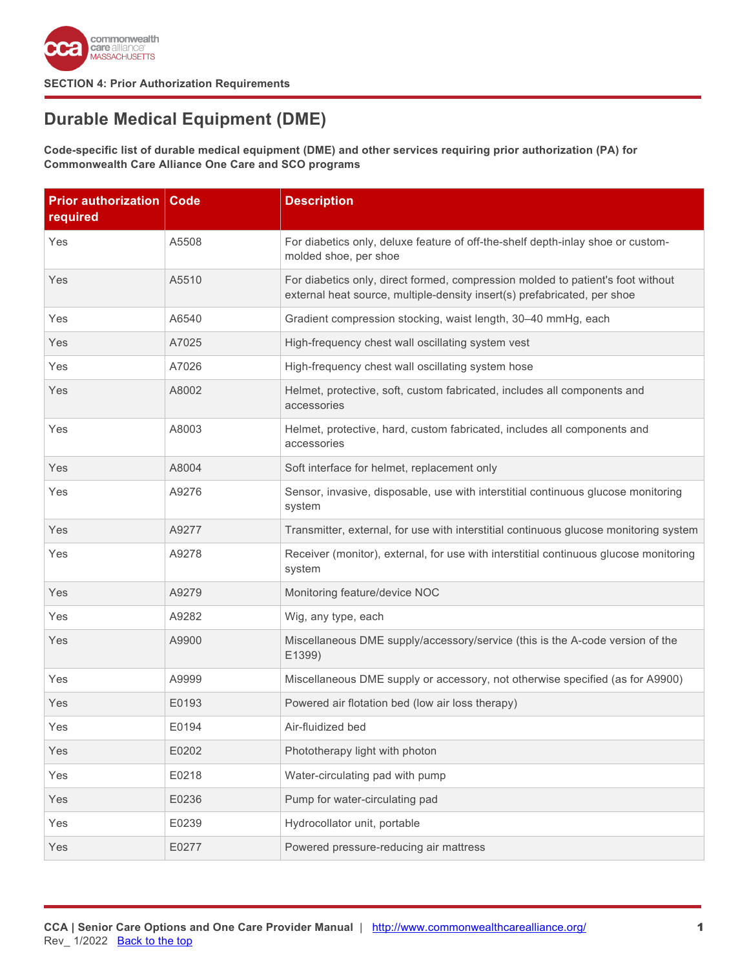

# <span id="page-0-0"></span>**Durable Medical Equipment (DME)**

**Code-specific list of durable medical equipment (DME) and other services requiring prior authorization (PA) for Commonwealth Care Alliance One Care and SCO programs**

| <b>Prior authorization   Code</b><br>required |       | <b>Description</b>                                                                                                                                          |
|-----------------------------------------------|-------|-------------------------------------------------------------------------------------------------------------------------------------------------------------|
| Yes                                           | A5508 | For diabetics only, deluxe feature of off-the-shelf depth-inlay shoe or custom-<br>molded shoe, per shoe                                                    |
| Yes                                           | A5510 | For diabetics only, direct formed, compression molded to patient's foot without<br>external heat source, multiple-density insert(s) prefabricated, per shoe |
| Yes                                           | A6540 | Gradient compression stocking, waist length, 30-40 mmHg, each                                                                                               |
| Yes                                           | A7025 | High-frequency chest wall oscillating system vest                                                                                                           |
| Yes                                           | A7026 | High-frequency chest wall oscillating system hose                                                                                                           |
| Yes                                           | A8002 | Helmet, protective, soft, custom fabricated, includes all components and<br>accessories                                                                     |
| Yes                                           | A8003 | Helmet, protective, hard, custom fabricated, includes all components and<br>accessories                                                                     |
| Yes                                           | A8004 | Soft interface for helmet, replacement only                                                                                                                 |
| Yes                                           | A9276 | Sensor, invasive, disposable, use with interstitial continuous glucose monitoring<br>system                                                                 |
| Yes                                           | A9277 | Transmitter, external, for use with interstitial continuous glucose monitoring system                                                                       |
| Yes                                           | A9278 | Receiver (monitor), external, for use with interstitial continuous glucose monitoring<br>system                                                             |
| Yes                                           | A9279 | Monitoring feature/device NOC                                                                                                                               |
| Yes                                           | A9282 | Wig, any type, each                                                                                                                                         |
| Yes                                           | A9900 | Miscellaneous DME supply/accessory/service (this is the A-code version of the<br>E1399)                                                                     |
| Yes                                           | A9999 | Miscellaneous DME supply or accessory, not otherwise specified (as for A9900)                                                                               |
| Yes                                           | E0193 | Powered air flotation bed (low air loss therapy)                                                                                                            |
| Yes                                           | E0194 | Air-fluidized bed                                                                                                                                           |
| Yes                                           | E0202 | Phototherapy light with photon                                                                                                                              |
| Yes                                           | E0218 | Water-circulating pad with pump                                                                                                                             |
| Yes                                           | E0236 | Pump for water-circulating pad                                                                                                                              |
| Yes                                           | E0239 | Hydrocollator unit, portable                                                                                                                                |
| Yes                                           | E0277 | Powered pressure-reducing air mattress                                                                                                                      |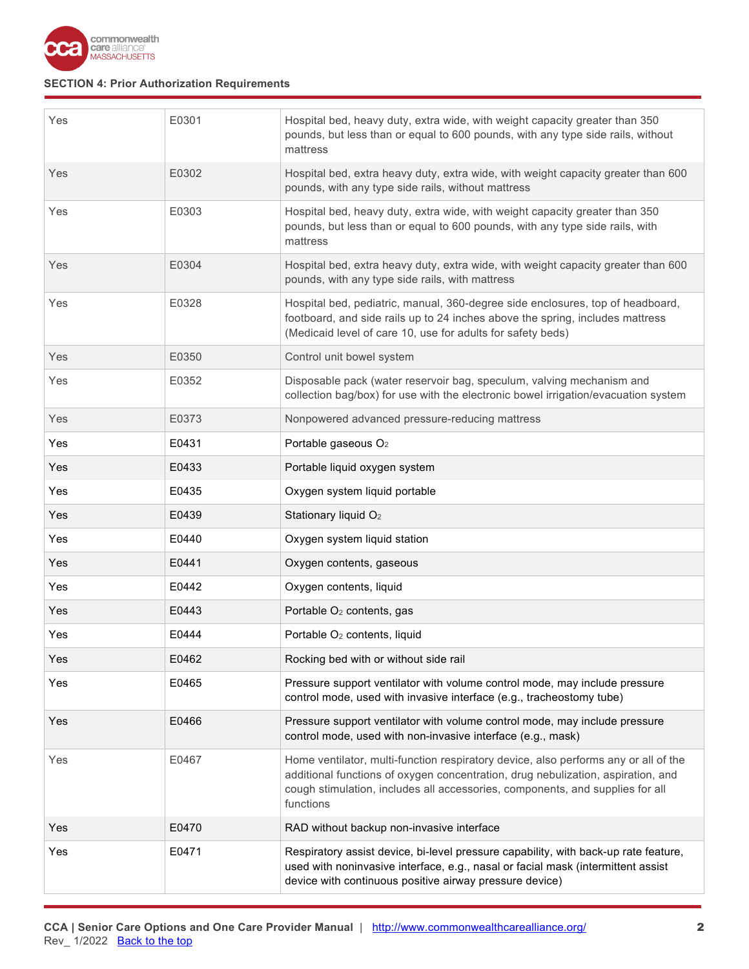

| Yes | E0301 | Hospital bed, heavy duty, extra wide, with weight capacity greater than 350<br>pounds, but less than or equal to 600 pounds, with any type side rails, without<br>mattress                                                                                            |
|-----|-------|-----------------------------------------------------------------------------------------------------------------------------------------------------------------------------------------------------------------------------------------------------------------------|
| Yes | E0302 | Hospital bed, extra heavy duty, extra wide, with weight capacity greater than 600<br>pounds, with any type side rails, without mattress                                                                                                                               |
| Yes | E0303 | Hospital bed, heavy duty, extra wide, with weight capacity greater than 350<br>pounds, but less than or equal to 600 pounds, with any type side rails, with<br>mattress                                                                                               |
| Yes | E0304 | Hospital bed, extra heavy duty, extra wide, with weight capacity greater than 600<br>pounds, with any type side rails, with mattress                                                                                                                                  |
| Yes | E0328 | Hospital bed, pediatric, manual, 360-degree side enclosures, top of headboard,<br>footboard, and side rails up to 24 inches above the spring, includes mattress<br>(Medicaid level of care 10, use for adults for safety beds)                                        |
| Yes | E0350 | Control unit bowel system                                                                                                                                                                                                                                             |
| Yes | E0352 | Disposable pack (water reservoir bag, speculum, valving mechanism and<br>collection bag/box) for use with the electronic bowel irrigation/evacuation system                                                                                                           |
| Yes | E0373 | Nonpowered advanced pressure-reducing mattress                                                                                                                                                                                                                        |
| Yes | E0431 | Portable gaseous O <sub>2</sub>                                                                                                                                                                                                                                       |
| Yes | E0433 | Portable liquid oxygen system                                                                                                                                                                                                                                         |
| Yes | E0435 | Oxygen system liquid portable                                                                                                                                                                                                                                         |
| Yes | E0439 | Stationary liquid O <sub>2</sub>                                                                                                                                                                                                                                      |
| Yes | E0440 | Oxygen system liquid station                                                                                                                                                                                                                                          |
| Yes | E0441 | Oxygen contents, gaseous                                                                                                                                                                                                                                              |
| Yes | E0442 | Oxygen contents, liquid                                                                                                                                                                                                                                               |
| Yes | E0443 | Portable $O2$ contents, gas                                                                                                                                                                                                                                           |
| Yes | E0444 | Portable O <sub>2</sub> contents, liquid                                                                                                                                                                                                                              |
| Yes | E0462 | Rocking bed with or without side rail                                                                                                                                                                                                                                 |
| Yes | E0465 | Pressure support ventilator with volume control mode, may include pressure<br>control mode, used with invasive interface (e.g., tracheostomy tube)                                                                                                                    |
| Yes | E0466 | Pressure support ventilator with volume control mode, may include pressure<br>control mode, used with non-invasive interface (e.g., mask)                                                                                                                             |
| Yes | E0467 | Home ventilator, multi-function respiratory device, also performs any or all of the<br>additional functions of oxygen concentration, drug nebulization, aspiration, and<br>cough stimulation, includes all accessories, components, and supplies for all<br>functions |
| Yes | E0470 | RAD without backup non-invasive interface                                                                                                                                                                                                                             |
| Yes | E0471 | Respiratory assist device, bi-level pressure capability, with back-up rate feature,<br>used with noninvasive interface, e.g., nasal or facial mask (intermittent assist<br>device with continuous positive airway pressure device)                                    |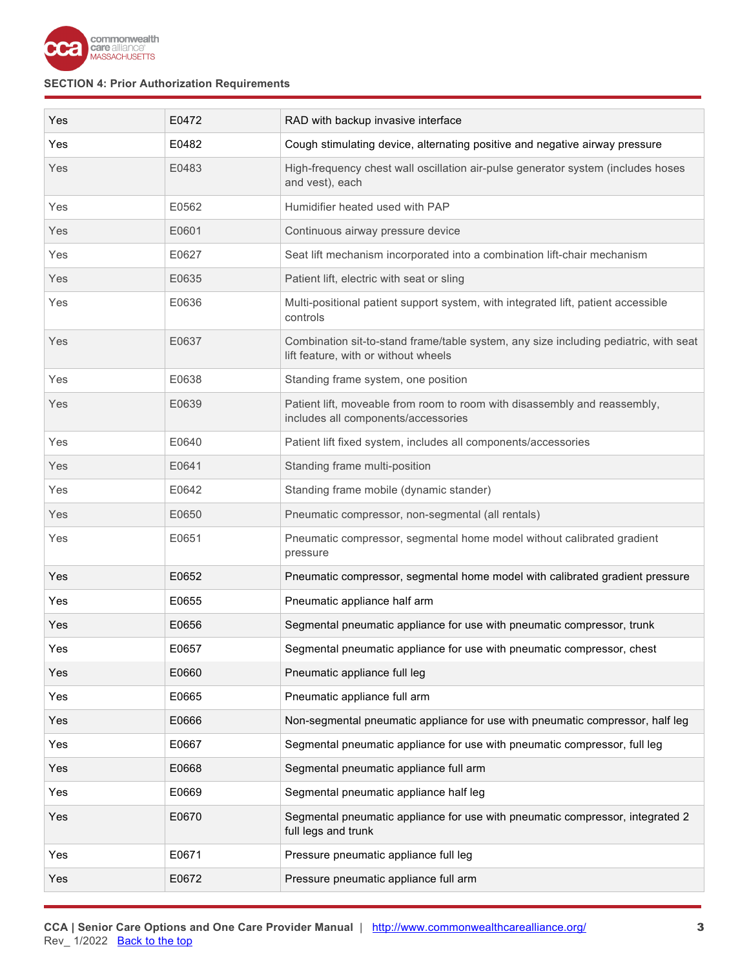

| Yes | E0472 | RAD with backup invasive interface                                                                                           |
|-----|-------|------------------------------------------------------------------------------------------------------------------------------|
| Yes | E0482 | Cough stimulating device, alternating positive and negative airway pressure                                                  |
| Yes | E0483 | High-frequency chest wall oscillation air-pulse generator system (includes hoses<br>and vest), each                          |
| Yes | E0562 | Humidifier heated used with PAP                                                                                              |
| Yes | E0601 | Continuous airway pressure device                                                                                            |
| Yes | E0627 | Seat lift mechanism incorporated into a combination lift-chair mechanism                                                     |
| Yes | E0635 | Patient lift, electric with seat or sling                                                                                    |
| Yes | E0636 | Multi-positional patient support system, with integrated lift, patient accessible<br>controls                                |
| Yes | E0637 | Combination sit-to-stand frame/table system, any size including pediatric, with seat<br>lift feature, with or without wheels |
| Yes | E0638 | Standing frame system, one position                                                                                          |
| Yes | E0639 | Patient lift, moveable from room to room with disassembly and reassembly,<br>includes all components/accessories             |
| Yes | E0640 | Patient lift fixed system, includes all components/accessories                                                               |
| Yes | E0641 | Standing frame multi-position                                                                                                |
| Yes | E0642 | Standing frame mobile (dynamic stander)                                                                                      |
| Yes | E0650 | Pneumatic compressor, non-segmental (all rentals)                                                                            |
| Yes | E0651 | Pneumatic compressor, segmental home model without calibrated gradient<br>pressure                                           |
| Yes | E0652 | Pneumatic compressor, segmental home model with calibrated gradient pressure                                                 |
| Yes | E0655 | Pneumatic appliance half arm                                                                                                 |
| Yes | E0656 | Segmental pneumatic appliance for use with pneumatic compressor, trunk                                                       |
| Yes | E0657 | Segmental pneumatic appliance for use with pneumatic compressor, chest                                                       |
| Yes | E0660 | Pneumatic appliance full leg                                                                                                 |
| Yes | E0665 | Pneumatic appliance full arm                                                                                                 |
| Yes | E0666 | Non-segmental pneumatic appliance for use with pneumatic compressor, half leg                                                |
| Yes | E0667 | Segmental pneumatic appliance for use with pneumatic compressor, full leg                                                    |
| Yes | E0668 | Segmental pneumatic appliance full arm                                                                                       |
| Yes | E0669 | Segmental pneumatic appliance half leg                                                                                       |
| Yes | E0670 | Segmental pneumatic appliance for use with pneumatic compressor, integrated 2<br>full legs and trunk                         |
| Yes | E0671 | Pressure pneumatic appliance full leg                                                                                        |
| Yes | E0672 | Pressure pneumatic appliance full arm                                                                                        |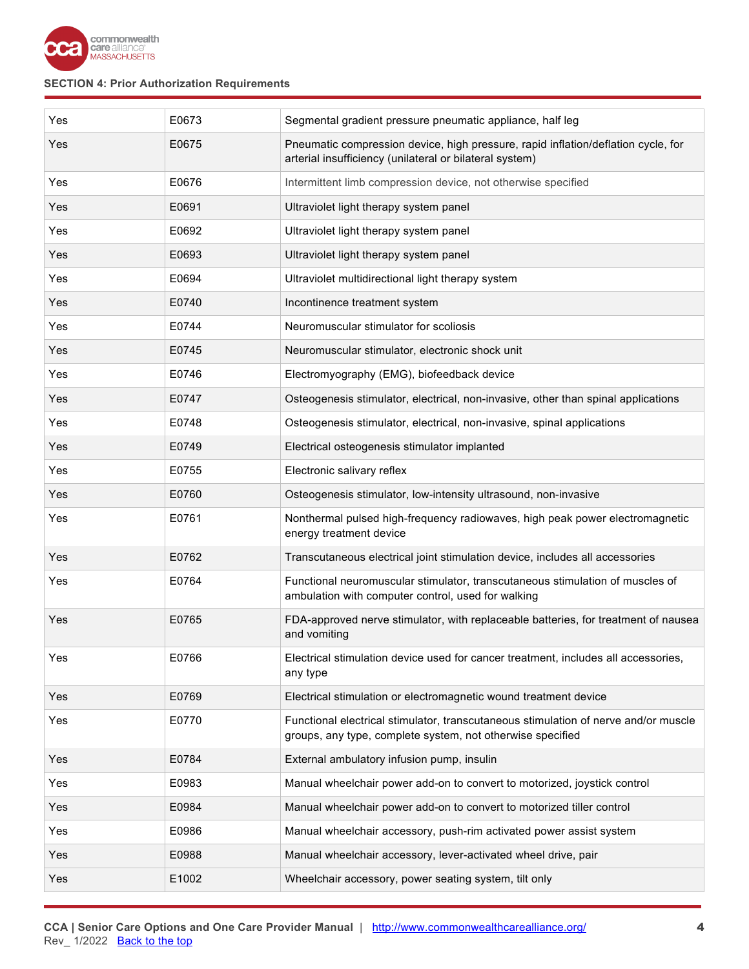

| Yes        | E0673 | Segmental gradient pressure pneumatic appliance, half leg                                                                                         |
|------------|-------|---------------------------------------------------------------------------------------------------------------------------------------------------|
| Yes        | E0675 | Pneumatic compression device, high pressure, rapid inflation/deflation cycle, for<br>arterial insufficiency (unilateral or bilateral system)      |
| Yes        | E0676 | Intermittent limb compression device, not otherwise specified                                                                                     |
| Yes        | E0691 | Ultraviolet light therapy system panel                                                                                                            |
| Yes        | E0692 | Ultraviolet light therapy system panel                                                                                                            |
| Yes        | E0693 | Ultraviolet light therapy system panel                                                                                                            |
| Yes        | E0694 | Ultraviolet multidirectional light therapy system                                                                                                 |
| Yes        | E0740 | Incontinence treatment system                                                                                                                     |
| Yes        | E0744 | Neuromuscular stimulator for scoliosis                                                                                                            |
| Yes        | E0745 | Neuromuscular stimulator, electronic shock unit                                                                                                   |
| Yes        | E0746 | Electromyography (EMG), biofeedback device                                                                                                        |
| Yes        | E0747 | Osteogenesis stimulator, electrical, non-invasive, other than spinal applications                                                                 |
| Yes        | E0748 | Osteogenesis stimulator, electrical, non-invasive, spinal applications                                                                            |
| Yes        | E0749 | Electrical osteogenesis stimulator implanted                                                                                                      |
| Yes        | E0755 | Electronic salivary reflex                                                                                                                        |
| Yes        | E0760 | Osteogenesis stimulator, low-intensity ultrasound, non-invasive                                                                                   |
| Yes        | E0761 | Nonthermal pulsed high-frequency radiowaves, high peak power electromagnetic<br>energy treatment device                                           |
| Yes        | E0762 | Transcutaneous electrical joint stimulation device, includes all accessories                                                                      |
| Yes        | E0764 | Functional neuromuscular stimulator, transcutaneous stimulation of muscles of<br>ambulation with computer control, used for walking               |
| Yes        | E0765 | FDA-approved nerve stimulator, with replaceable batteries, for treatment of nausea<br>and vomiting                                                |
| Yes        | E0766 | Electrical stimulation device used for cancer treatment, includes all accessories,<br>any type                                                    |
| Yes        | E0769 | Electrical stimulation or electromagnetic wound treatment device                                                                                  |
| Yes        | E0770 | Functional electrical stimulator, transcutaneous stimulation of nerve and/or muscle<br>groups, any type, complete system, not otherwise specified |
| <b>Yes</b> | E0784 | External ambulatory infusion pump, insulin                                                                                                        |
| Yes        | E0983 | Manual wheelchair power add-on to convert to motorized, joystick control                                                                          |
| Yes        | E0984 | Manual wheelchair power add-on to convert to motorized tiller control                                                                             |
| Yes        | E0986 | Manual wheelchair accessory, push-rim activated power assist system                                                                               |
| Yes        | E0988 | Manual wheelchair accessory, lever-activated wheel drive, pair                                                                                    |
| Yes        | E1002 | Wheelchair accessory, power seating system, tilt only                                                                                             |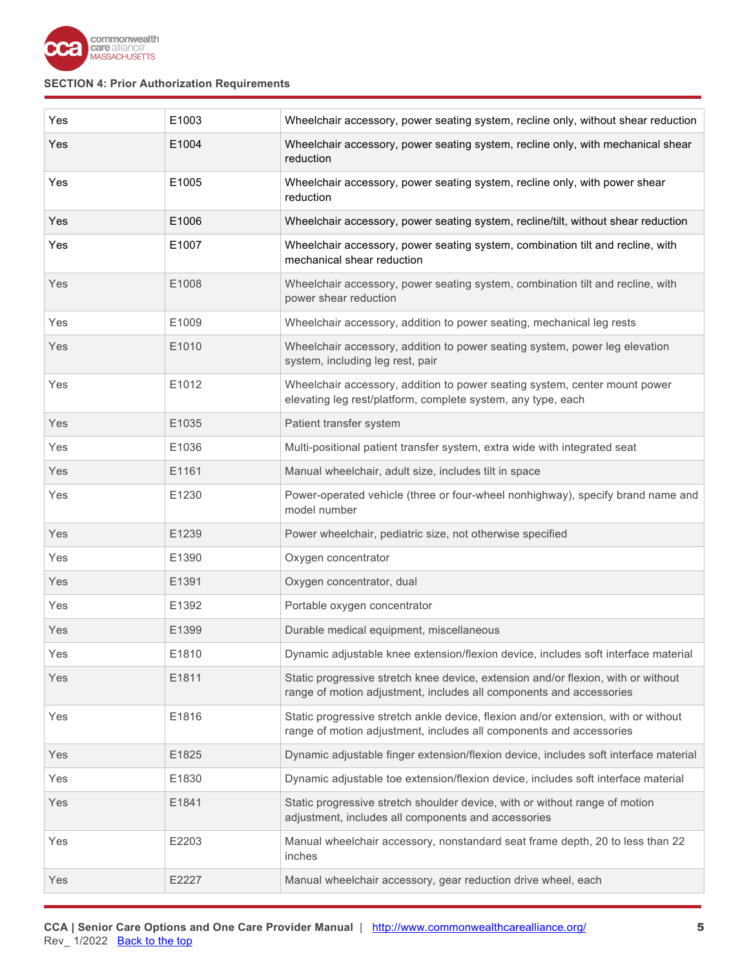

| Yes | E1003 | Wheelchair accessory, power seating system, recline only, without shear reduction                                                                         |
|-----|-------|-----------------------------------------------------------------------------------------------------------------------------------------------------------|
| Yes | E1004 | Wheelchair accessory, power seating system, recline only, with mechanical shear<br>reduction                                                              |
| Yes | E1005 | Wheelchair accessory, power seating system, recline only, with power shear<br>reduction                                                                   |
| Yes | E1006 | Wheelchair accessory, power seating system, recline/tilt, without shear reduction                                                                         |
| Yes | E1007 | Wheelchair accessory, power seating system, combination tilt and recline, with<br>mechanical shear reduction                                              |
| Yes | E1008 | Wheelchair accessory, power seating system, combination tilt and recline, with<br>power shear reduction                                                   |
| Yes | E1009 | Wheelchair accessory, addition to power seating, mechanical leg rests                                                                                     |
| Yes | E1010 | Wheelchair accessory, addition to power seating system, power leg elevation<br>system, including leg rest, pair                                           |
| Yes | E1012 | Wheelchair accessory, addition to power seating system, center mount power<br>elevating leg rest/platform, complete system, any type, each                |
| Yes | E1035 | Patient transfer system                                                                                                                                   |
| Yes | E1036 | Multi-positional patient transfer system, extra wide with integrated seat                                                                                 |
| Yes | E1161 | Manual wheelchair, adult size, includes tilt in space                                                                                                     |
| Yes | E1230 | Power-operated vehicle (three or four-wheel nonhighway), specify brand name and<br>model number                                                           |
| Yes | E1239 | Power wheelchair, pediatric size, not otherwise specified                                                                                                 |
| Yes | E1390 | Oxygen concentrator                                                                                                                                       |
| Yes | E1391 | Oxygen concentrator, dual                                                                                                                                 |
| Yes | E1392 | Portable oxygen concentrator                                                                                                                              |
| Yes | E1399 | Durable medical equipment, miscellaneous                                                                                                                  |
| Yes | E1810 | Dynamic adjustable knee extension/flexion device, includes soft interface material                                                                        |
| Yes | E1811 | Static progressive stretch knee device, extension and/or flexion, with or without<br>range of motion adjustment, includes all components and accessories  |
| Yes | E1816 | Static progressive stretch ankle device, flexion and/or extension, with or without<br>range of motion adjustment, includes all components and accessories |
| Yes | E1825 | Dynamic adjustable finger extension/flexion device, includes soft interface material                                                                      |
| Yes | E1830 | Dynamic adjustable toe extension/flexion device, includes soft interface material                                                                         |
| Yes | E1841 | Static progressive stretch shoulder device, with or without range of motion<br>adjustment, includes all components and accessories                        |
| Yes | E2203 | Manual wheelchair accessory, nonstandard seat frame depth, 20 to less than 22<br>inches                                                                   |
| Yes | E2227 | Manual wheelchair accessory, gear reduction drive wheel, each                                                                                             |
|     |       |                                                                                                                                                           |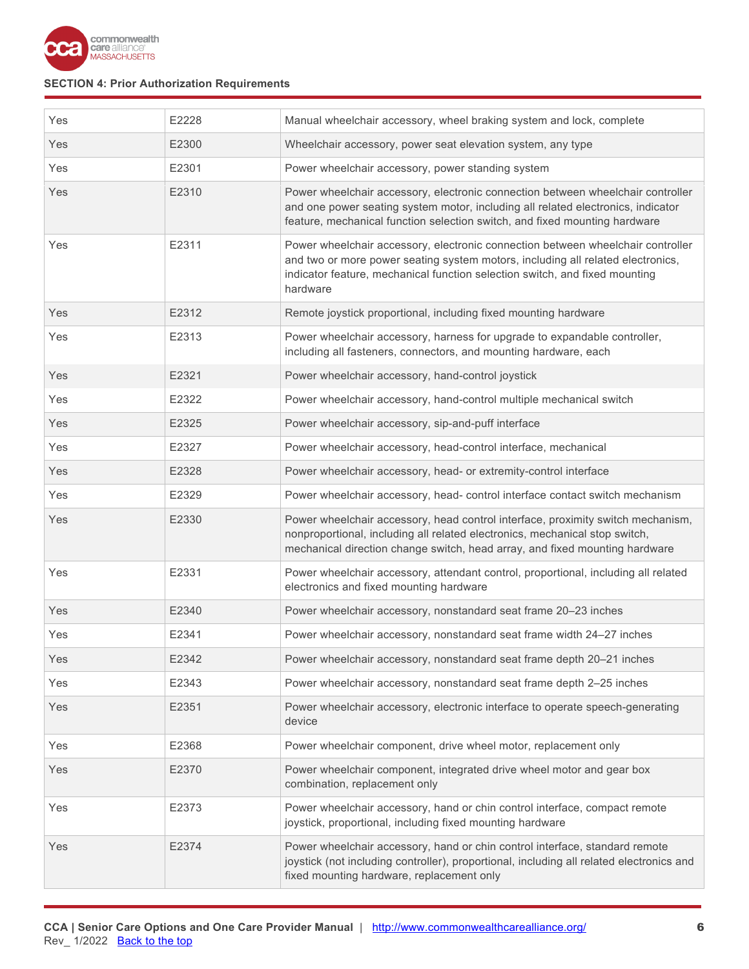

| Yes | E2228 | Manual wheelchair accessory, wheel braking system and lock, complete                                                                                                                                                                                          |
|-----|-------|---------------------------------------------------------------------------------------------------------------------------------------------------------------------------------------------------------------------------------------------------------------|
| Yes | E2300 | Wheelchair accessory, power seat elevation system, any type                                                                                                                                                                                                   |
| Yes | E2301 | Power wheelchair accessory, power standing system                                                                                                                                                                                                             |
| Yes | E2310 | Power wheelchair accessory, electronic connection between wheelchair controller<br>and one power seating system motor, including all related electronics, indicator<br>feature, mechanical function selection switch, and fixed mounting hardware             |
| Yes | E2311 | Power wheelchair accessory, electronic connection between wheelchair controller<br>and two or more power seating system motors, including all related electronics,<br>indicator feature, mechanical function selection switch, and fixed mounting<br>hardware |
| Yes | E2312 | Remote joystick proportional, including fixed mounting hardware                                                                                                                                                                                               |
| Yes | E2313 | Power wheelchair accessory, harness for upgrade to expandable controller,<br>including all fasteners, connectors, and mounting hardware, each                                                                                                                 |
| Yes | E2321 | Power wheelchair accessory, hand-control joystick                                                                                                                                                                                                             |
| Yes | E2322 | Power wheelchair accessory, hand-control multiple mechanical switch                                                                                                                                                                                           |
| Yes | E2325 | Power wheelchair accessory, sip-and-puff interface                                                                                                                                                                                                            |
| Yes | E2327 | Power wheelchair accessory, head-control interface, mechanical                                                                                                                                                                                                |
| Yes | E2328 | Power wheelchair accessory, head- or extremity-control interface                                                                                                                                                                                              |
| Yes | E2329 | Power wheelchair accessory, head- control interface contact switch mechanism                                                                                                                                                                                  |
| Yes | E2330 | Power wheelchair accessory, head control interface, proximity switch mechanism,<br>nonproportional, including all related electronics, mechanical stop switch,<br>mechanical direction change switch, head array, and fixed mounting hardware                 |
| Yes | E2331 | Power wheelchair accessory, attendant control, proportional, including all related<br>electronics and fixed mounting hardware                                                                                                                                 |
| Yes | E2340 | Power wheelchair accessory, nonstandard seat frame 20-23 inches                                                                                                                                                                                               |
| Yes | E2341 | Power wheelchair accessory, nonstandard seat frame width 24-27 inches                                                                                                                                                                                         |
| Yes | E2342 | Power wheelchair accessory, nonstandard seat frame depth 20-21 inches                                                                                                                                                                                         |
| Yes | E2343 | Power wheelchair accessory, nonstandard seat frame depth 2-25 inches                                                                                                                                                                                          |
| Yes | E2351 | Power wheelchair accessory, electronic interface to operate speech-generating<br>device                                                                                                                                                                       |
| Yes | E2368 | Power wheelchair component, drive wheel motor, replacement only                                                                                                                                                                                               |
| Yes | E2370 | Power wheelchair component, integrated drive wheel motor and gear box<br>combination, replacement only                                                                                                                                                        |
| Yes | E2373 | Power wheelchair accessory, hand or chin control interface, compact remote<br>joystick, proportional, including fixed mounting hardware                                                                                                                       |
| Yes | E2374 | Power wheelchair accessory, hand or chin control interface, standard remote<br>joystick (not including controller), proportional, including all related electronics and<br>fixed mounting hardware, replacement only                                          |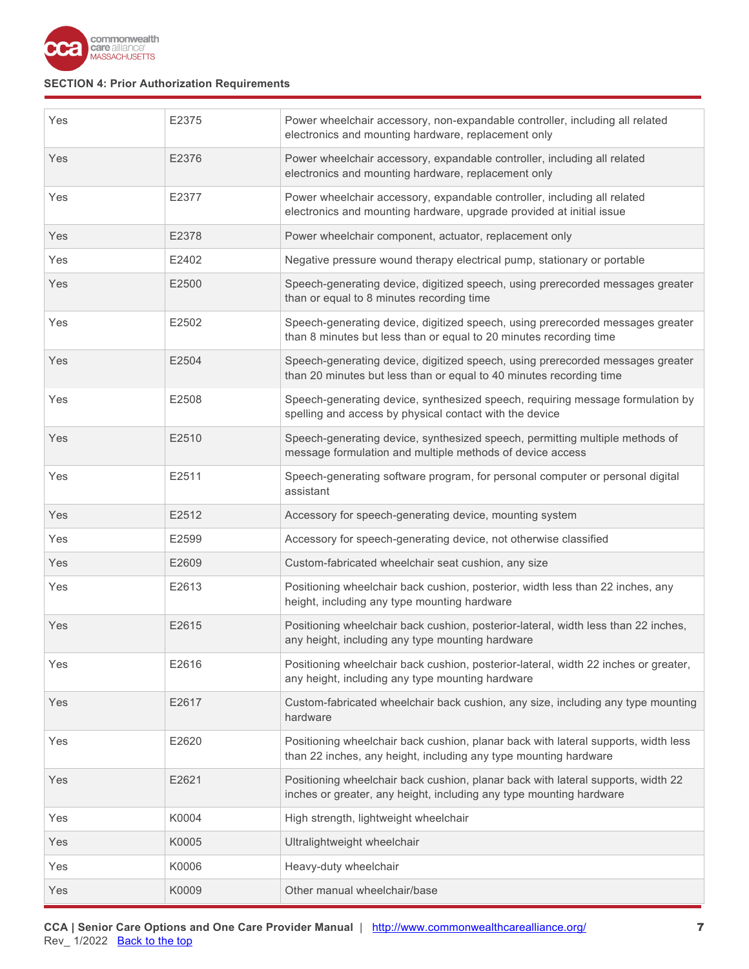

| Yes | E2375 | Power wheelchair accessory, non-expandable controller, including all related<br>electronics and mounting hardware, replacement only                     |
|-----|-------|---------------------------------------------------------------------------------------------------------------------------------------------------------|
| Yes | E2376 | Power wheelchair accessory, expandable controller, including all related<br>electronics and mounting hardware, replacement only                         |
| Yes | E2377 | Power wheelchair accessory, expandable controller, including all related<br>electronics and mounting hardware, upgrade provided at initial issue        |
| Yes | E2378 | Power wheelchair component, actuator, replacement only                                                                                                  |
| Yes | E2402 | Negative pressure wound therapy electrical pump, stationary or portable                                                                                 |
| Yes | E2500 | Speech-generating device, digitized speech, using prerecorded messages greater<br>than or equal to 8 minutes recording time                             |
| Yes | E2502 | Speech-generating device, digitized speech, using prerecorded messages greater<br>than 8 minutes but less than or equal to 20 minutes recording time    |
| Yes | E2504 | Speech-generating device, digitized speech, using prerecorded messages greater<br>than 20 minutes but less than or equal to 40 minutes recording time   |
| Yes | E2508 | Speech-generating device, synthesized speech, requiring message formulation by<br>spelling and access by physical contact with the device               |
| Yes | E2510 | Speech-generating device, synthesized speech, permitting multiple methods of<br>message formulation and multiple methods of device access               |
| Yes | E2511 | Speech-generating software program, for personal computer or personal digital<br>assistant                                                              |
| Yes | E2512 | Accessory for speech-generating device, mounting system                                                                                                 |
| Yes | E2599 | Accessory for speech-generating device, not otherwise classified                                                                                        |
| Yes | E2609 | Custom-fabricated wheelchair seat cushion, any size                                                                                                     |
| Yes | E2613 | Positioning wheelchair back cushion, posterior, width less than 22 inches, any<br>height, including any type mounting hardware                          |
| Yes | E2615 | Positioning wheelchair back cushion, posterior-lateral, width less than 22 inches,<br>any height, including any type mounting hardware                  |
| Yes | E2616 | Positioning wheelchair back cushion, posterior-lateral, width 22 inches or greater,<br>any height, including any type mounting hardware                 |
| Yes | E2617 | Custom-fabricated wheelchair back cushion, any size, including any type mounting<br>hardware                                                            |
| Yes | E2620 | Positioning wheelchair back cushion, planar back with lateral supports, width less<br>than 22 inches, any height, including any type mounting hardware  |
| Yes | E2621 | Positioning wheelchair back cushion, planar back with lateral supports, width 22<br>inches or greater, any height, including any type mounting hardware |
| Yes | K0004 | High strength, lightweight wheelchair                                                                                                                   |
| Yes | K0005 | Ultralightweight wheelchair                                                                                                                             |
| Yes | K0006 | Heavy-duty wheelchair                                                                                                                                   |
| Yes | K0009 | Other manual wheelchair/base                                                                                                                            |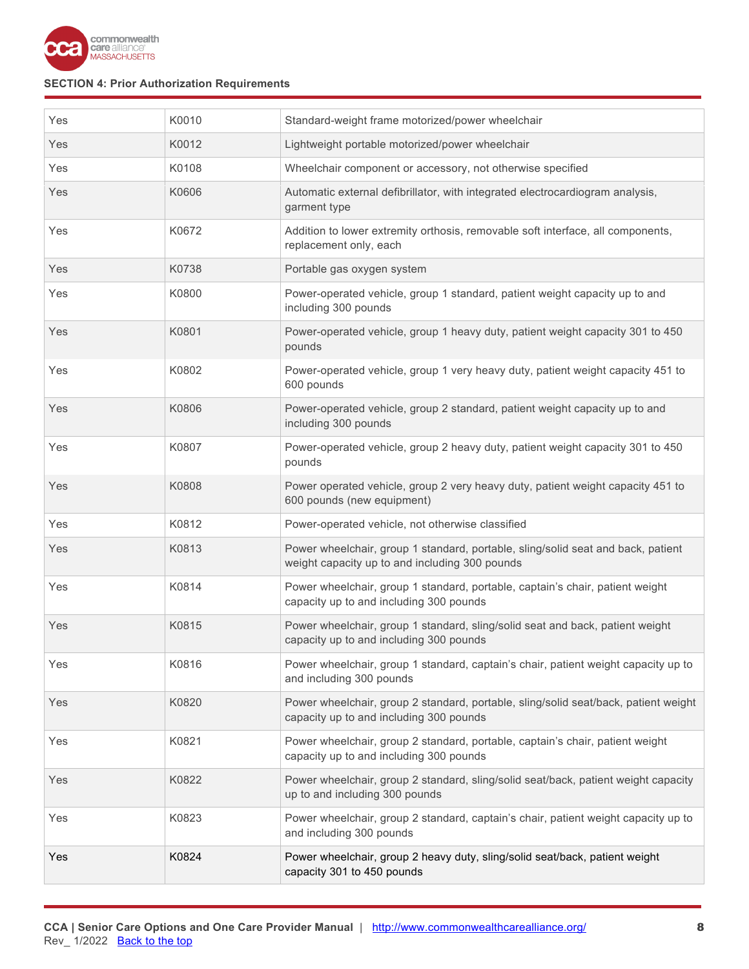

| Yes | K0010 | Standard-weight frame motorized/power wheelchair                                                                                   |
|-----|-------|------------------------------------------------------------------------------------------------------------------------------------|
| Yes | K0012 | Lightweight portable motorized/power wheelchair                                                                                    |
| Yes | K0108 | Wheelchair component or accessory, not otherwise specified                                                                         |
| Yes | K0606 | Automatic external defibrillator, with integrated electrocardiogram analysis,<br>garment type                                      |
| Yes | K0672 | Addition to lower extremity orthosis, removable soft interface, all components,<br>replacement only, each                          |
| Yes | K0738 | Portable gas oxygen system                                                                                                         |
| Yes | K0800 | Power-operated vehicle, group 1 standard, patient weight capacity up to and<br>including 300 pounds                                |
| Yes | K0801 | Power-operated vehicle, group 1 heavy duty, patient weight capacity 301 to 450<br>pounds                                           |
| Yes | K0802 | Power-operated vehicle, group 1 very heavy duty, patient weight capacity 451 to<br>600 pounds                                      |
| Yes | K0806 | Power-operated vehicle, group 2 standard, patient weight capacity up to and<br>including 300 pounds                                |
| Yes | K0807 | Power-operated vehicle, group 2 heavy duty, patient weight capacity 301 to 450<br>pounds                                           |
| Yes | K0808 | Power operated vehicle, group 2 very heavy duty, patient weight capacity 451 to<br>600 pounds (new equipment)                      |
| Yes | K0812 | Power-operated vehicle, not otherwise classified                                                                                   |
| Yes | K0813 | Power wheelchair, group 1 standard, portable, sling/solid seat and back, patient<br>weight capacity up to and including 300 pounds |
| Yes | K0814 | Power wheelchair, group 1 standard, portable, captain's chair, patient weight<br>capacity up to and including 300 pounds           |
| Yes | K0815 | Power wheelchair, group 1 standard, sling/solid seat and back, patient weight<br>capacity up to and including 300 pounds           |
| Yes | K0816 | Power wheelchair, group 1 standard, captain's chair, patient weight capacity up to<br>and including 300 pounds                     |
| Yes | K0820 | Power wheelchair, group 2 standard, portable, sling/solid seat/back, patient weight<br>capacity up to and including 300 pounds     |
| Yes | K0821 | Power wheelchair, group 2 standard, portable, captain's chair, patient weight<br>capacity up to and including 300 pounds           |
| Yes | K0822 | Power wheelchair, group 2 standard, sling/solid seat/back, patient weight capacity<br>up to and including 300 pounds               |
| Yes | K0823 | Power wheelchair, group 2 standard, captain's chair, patient weight capacity up to<br>and including 300 pounds                     |
| Yes | K0824 | Power wheelchair, group 2 heavy duty, sling/solid seat/back, patient weight<br>capacity 301 to 450 pounds                          |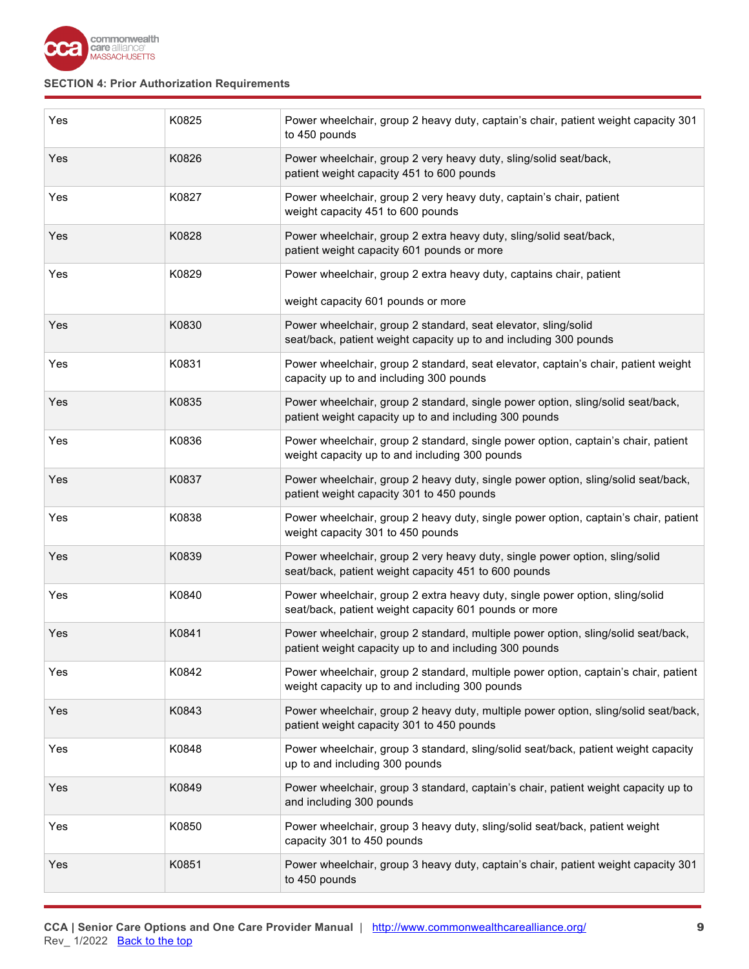

| Yes | K0825 | Power wheelchair, group 2 heavy duty, captain's chair, patient weight capacity 301<br>to 450 pounds                                         |
|-----|-------|---------------------------------------------------------------------------------------------------------------------------------------------|
| Yes | K0826 | Power wheelchair, group 2 very heavy duty, sling/solid seat/back,<br>patient weight capacity 451 to 600 pounds                              |
| Yes | K0827 | Power wheelchair, group 2 very heavy duty, captain's chair, patient<br>weight capacity 451 to 600 pounds                                    |
| Yes | K0828 | Power wheelchair, group 2 extra heavy duty, sling/solid seat/back,<br>patient weight capacity 601 pounds or more                            |
| Yes | K0829 | Power wheelchair, group 2 extra heavy duty, captains chair, patient<br>weight capacity 601 pounds or more                                   |
| Yes | K0830 | Power wheelchair, group 2 standard, seat elevator, sling/solid<br>seat/back, patient weight capacity up to and including 300 pounds         |
| Yes | K0831 | Power wheelchair, group 2 standard, seat elevator, captain's chair, patient weight<br>capacity up to and including 300 pounds               |
| Yes | K0835 | Power wheelchair, group 2 standard, single power option, sling/solid seat/back,<br>patient weight capacity up to and including 300 pounds   |
| Yes | K0836 | Power wheelchair, group 2 standard, single power option, captain's chair, patient<br>weight capacity up to and including 300 pounds         |
| Yes | K0837 | Power wheelchair, group 2 heavy duty, single power option, sling/solid seat/back,<br>patient weight capacity 301 to 450 pounds              |
| Yes | K0838 | Power wheelchair, group 2 heavy duty, single power option, captain's chair, patient<br>weight capacity 301 to 450 pounds                    |
| Yes | K0839 | Power wheelchair, group 2 very heavy duty, single power option, sling/solid<br>seat/back, patient weight capacity 451 to 600 pounds         |
| Yes | K0840 | Power wheelchair, group 2 extra heavy duty, single power option, sling/solid<br>seat/back, patient weight capacity 601 pounds or more       |
| Yes | K0841 | Power wheelchair, group 2 standard, multiple power option, sling/solid seat/back,<br>patient weight capacity up to and including 300 pounds |
| Yes | K0842 | Power wheelchair, group 2 standard, multiple power option, captain's chair, patient<br>weight capacity up to and including 300 pounds       |
| Yes | K0843 | Power wheelchair, group 2 heavy duty, multiple power option, sling/solid seat/back,<br>patient weight capacity 301 to 450 pounds            |
| Yes | K0848 | Power wheelchair, group 3 standard, sling/solid seat/back, patient weight capacity<br>up to and including 300 pounds                        |
| Yes | K0849 | Power wheelchair, group 3 standard, captain's chair, patient weight capacity up to<br>and including 300 pounds                              |
| Yes | K0850 | Power wheelchair, group 3 heavy duty, sling/solid seat/back, patient weight<br>capacity 301 to 450 pounds                                   |
| Yes | K0851 | Power wheelchair, group 3 heavy duty, captain's chair, patient weight capacity 301<br>to 450 pounds                                         |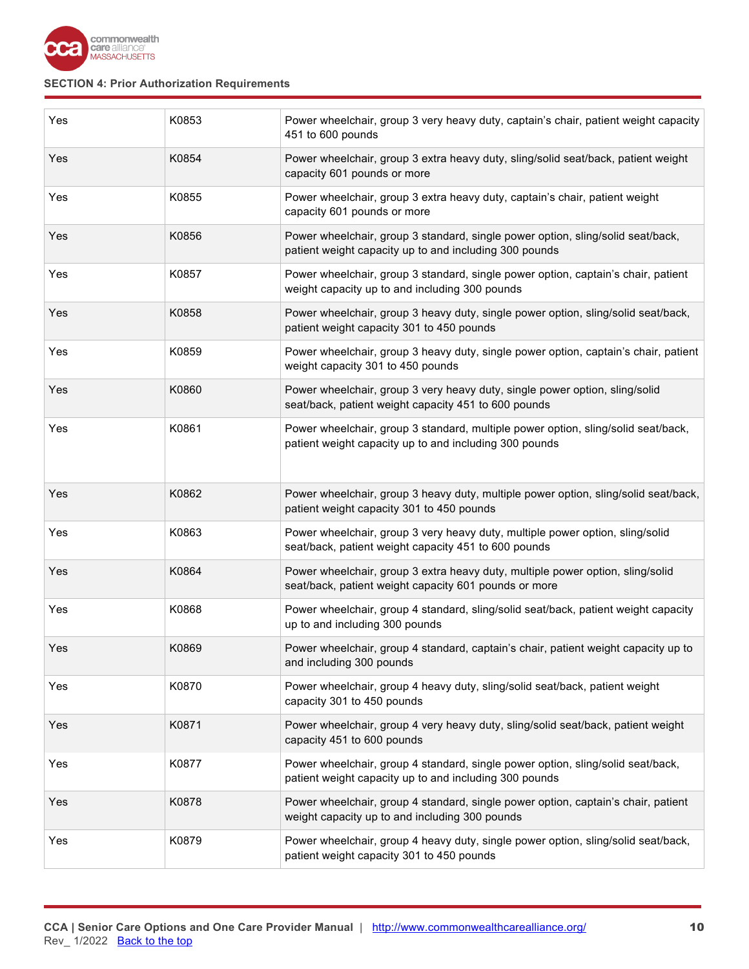

| Yes | K0853 | Power wheelchair, group 3 very heavy duty, captain's chair, patient weight capacity<br>451 to 600 pounds                                    |
|-----|-------|---------------------------------------------------------------------------------------------------------------------------------------------|
| Yes | K0854 | Power wheelchair, group 3 extra heavy duty, sling/solid seat/back, patient weight<br>capacity 601 pounds or more                            |
| Yes | K0855 | Power wheelchair, group 3 extra heavy duty, captain's chair, patient weight<br>capacity 601 pounds or more                                  |
| Yes | K0856 | Power wheelchair, group 3 standard, single power option, sling/solid seat/back,<br>patient weight capacity up to and including 300 pounds   |
| Yes | K0857 | Power wheelchair, group 3 standard, single power option, captain's chair, patient<br>weight capacity up to and including 300 pounds         |
| Yes | K0858 | Power wheelchair, group 3 heavy duty, single power option, sling/solid seat/back,<br>patient weight capacity 301 to 450 pounds              |
| Yes | K0859 | Power wheelchair, group 3 heavy duty, single power option, captain's chair, patient<br>weight capacity 301 to 450 pounds                    |
| Yes | K0860 | Power wheelchair, group 3 very heavy duty, single power option, sling/solid<br>seat/back, patient weight capacity 451 to 600 pounds         |
| Yes | K0861 | Power wheelchair, group 3 standard, multiple power option, sling/solid seat/back,<br>patient weight capacity up to and including 300 pounds |
| Yes | K0862 | Power wheelchair, group 3 heavy duty, multiple power option, sling/solid seat/back,<br>patient weight capacity 301 to 450 pounds            |
| Yes | K0863 | Power wheelchair, group 3 very heavy duty, multiple power option, sling/solid<br>seat/back, patient weight capacity 451 to 600 pounds       |
| Yes | K0864 | Power wheelchair, group 3 extra heavy duty, multiple power option, sling/solid<br>seat/back, patient weight capacity 601 pounds or more     |
| Yes | K0868 | Power wheelchair, group 4 standard, sling/solid seat/back, patient weight capacity<br>up to and including 300 pounds                        |
| Yes | K0869 | Power wheelchair, group 4 standard, captain's chair, patient weight capacity up to<br>and including 300 pounds                              |
| Yes | K0870 | Power wheelchair, group 4 heavy duty, sling/solid seat/back, patient weight<br>capacity 301 to 450 pounds                                   |
| Yes | K0871 | Power wheelchair, group 4 very heavy duty, sling/solid seat/back, patient weight<br>capacity 451 to 600 pounds                              |
| Yes | K0877 | Power wheelchair, group 4 standard, single power option, sling/solid seat/back,<br>patient weight capacity up to and including 300 pounds   |
| Yes | K0878 | Power wheelchair, group 4 standard, single power option, captain's chair, patient<br>weight capacity up to and including 300 pounds         |
| Yes | K0879 | Power wheelchair, group 4 heavy duty, single power option, sling/solid seat/back,<br>patient weight capacity 301 to 450 pounds              |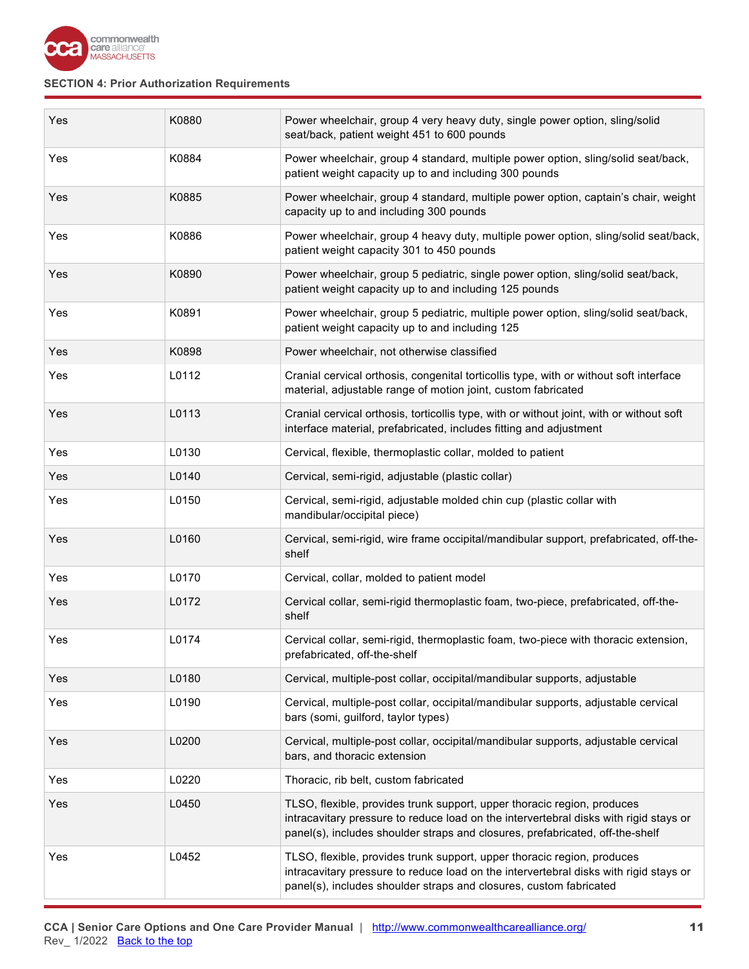

| Yes | K0880 | Power wheelchair, group 4 very heavy duty, single power option, sling/solid<br>seat/back, patient weight 451 to 600 pounds                                                                                                                        |
|-----|-------|---------------------------------------------------------------------------------------------------------------------------------------------------------------------------------------------------------------------------------------------------|
| Yes | K0884 | Power wheelchair, group 4 standard, multiple power option, sling/solid seat/back,<br>patient weight capacity up to and including 300 pounds                                                                                                       |
| Yes | K0885 | Power wheelchair, group 4 standard, multiple power option, captain's chair, weight<br>capacity up to and including 300 pounds                                                                                                                     |
| Yes | K0886 | Power wheelchair, group 4 heavy duty, multiple power option, sling/solid seat/back,<br>patient weight capacity 301 to 450 pounds                                                                                                                  |
| Yes | K0890 | Power wheelchair, group 5 pediatric, single power option, sling/solid seat/back,<br>patient weight capacity up to and including 125 pounds                                                                                                        |
| Yes | K0891 | Power wheelchair, group 5 pediatric, multiple power option, sling/solid seat/back,<br>patient weight capacity up to and including 125                                                                                                             |
| Yes | K0898 | Power wheelchair, not otherwise classified                                                                                                                                                                                                        |
| Yes | L0112 | Cranial cervical orthosis, congenital torticollis type, with or without soft interface<br>material, adjustable range of motion joint, custom fabricated                                                                                           |
| Yes | L0113 | Cranial cervical orthosis, torticollis type, with or without joint, with or without soft<br>interface material, prefabricated, includes fitting and adjustment                                                                                    |
| Yes | L0130 | Cervical, flexible, thermoplastic collar, molded to patient                                                                                                                                                                                       |
| Yes | L0140 | Cervical, semi-rigid, adjustable (plastic collar)                                                                                                                                                                                                 |
| Yes | L0150 | Cervical, semi-rigid, adjustable molded chin cup (plastic collar with<br>mandibular/occipital piece)                                                                                                                                              |
| Yes | L0160 | Cervical, semi-rigid, wire frame occipital/mandibular support, prefabricated, off-the-<br>shelf                                                                                                                                                   |
| Yes | L0170 | Cervical, collar, molded to patient model                                                                                                                                                                                                         |
| Yes | L0172 | Cervical collar, semi-rigid thermoplastic foam, two-piece, prefabricated, off-the-<br>shelf                                                                                                                                                       |
| Yes | L0174 | Cervical collar, semi-rigid, thermoplastic foam, two-piece with thoracic extension,<br>prefabricated, off-the-shelf                                                                                                                               |
| Yes | L0180 | Cervical, multiple-post collar, occipital/mandibular supports, adjustable                                                                                                                                                                         |
| Yes | L0190 | Cervical, multiple-post collar, occipital/mandibular supports, adjustable cervical<br>bars (somi, guilford, taylor types)                                                                                                                         |
| Yes | L0200 | Cervical, multiple-post collar, occipital/mandibular supports, adjustable cervical<br>bars, and thoracic extension                                                                                                                                |
| Yes | L0220 | Thoracic, rib belt, custom fabricated                                                                                                                                                                                                             |
| Yes | L0450 | TLSO, flexible, provides trunk support, upper thoracic region, produces<br>intracavitary pressure to reduce load on the intervertebral disks with rigid stays or<br>panel(s), includes shoulder straps and closures, prefabricated, off-the-shelf |
| Yes | L0452 | TLSO, flexible, provides trunk support, upper thoracic region, produces<br>intracavitary pressure to reduce load on the intervertebral disks with rigid stays or<br>panel(s), includes shoulder straps and closures, custom fabricated            |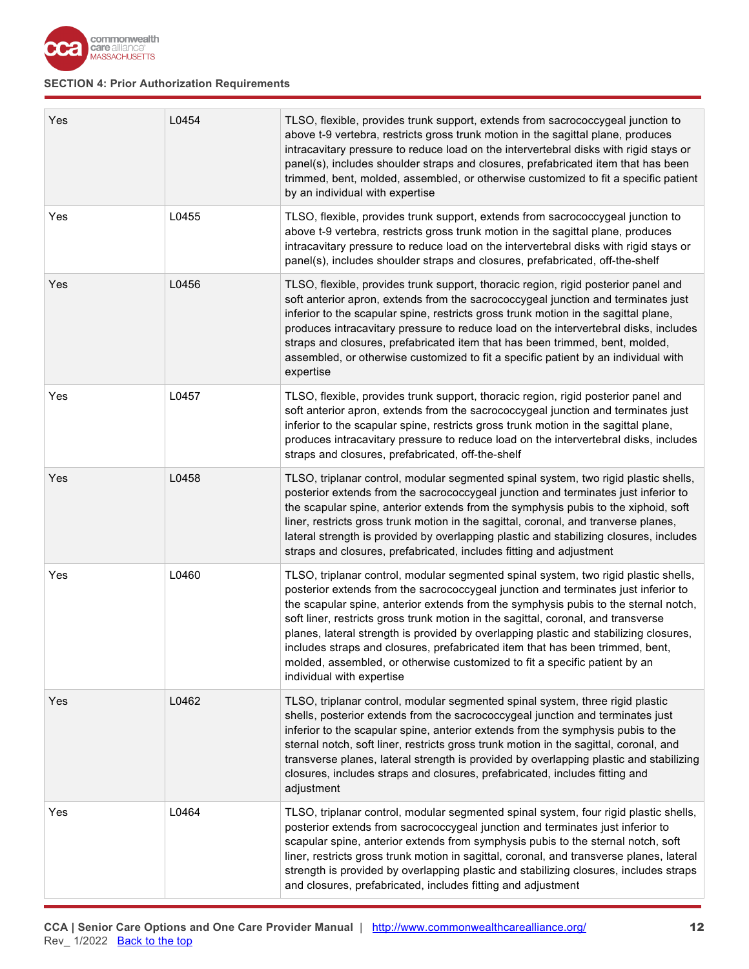

| Yes | L0454 | TLSO, flexible, provides trunk support, extends from sacrococcygeal junction to<br>above t-9 vertebra, restricts gross trunk motion in the sagittal plane, produces<br>intracavitary pressure to reduce load on the intervertebral disks with rigid stays or<br>panel(s), includes shoulder straps and closures, prefabricated item that has been<br>trimmed, bent, molded, assembled, or otherwise customized to fit a specific patient<br>by an individual with expertise                                                                                                                                                                |
|-----|-------|--------------------------------------------------------------------------------------------------------------------------------------------------------------------------------------------------------------------------------------------------------------------------------------------------------------------------------------------------------------------------------------------------------------------------------------------------------------------------------------------------------------------------------------------------------------------------------------------------------------------------------------------|
| Yes | L0455 | TLSO, flexible, provides trunk support, extends from sacrococcygeal junction to<br>above t-9 vertebra, restricts gross trunk motion in the sagittal plane, produces<br>intracavitary pressure to reduce load on the intervertebral disks with rigid stays or<br>panel(s), includes shoulder straps and closures, prefabricated, off-the-shelf                                                                                                                                                                                                                                                                                              |
| Yes | L0456 | TLSO, flexible, provides trunk support, thoracic region, rigid posterior panel and<br>soft anterior apron, extends from the sacrococcygeal junction and terminates just<br>inferior to the scapular spine, restricts gross trunk motion in the sagittal plane,<br>produces intracavitary pressure to reduce load on the intervertebral disks, includes<br>straps and closures, prefabricated item that has been trimmed, bent, molded,<br>assembled, or otherwise customized to fit a specific patient by an individual with<br>expertise                                                                                                  |
| Yes | L0457 | TLSO, flexible, provides trunk support, thoracic region, rigid posterior panel and<br>soft anterior apron, extends from the sacrococcygeal junction and terminates just<br>inferior to the scapular spine, restricts gross trunk motion in the sagittal plane,<br>produces intracavitary pressure to reduce load on the intervertebral disks, includes<br>straps and closures, prefabricated, off-the-shelf                                                                                                                                                                                                                                |
| Yes | L0458 | TLSO, triplanar control, modular segmented spinal system, two rigid plastic shells,<br>posterior extends from the sacrococcygeal junction and terminates just inferior to<br>the scapular spine, anterior extends from the symphysis pubis to the xiphoid, soft<br>liner, restricts gross trunk motion in the sagittal, coronal, and tranverse planes,<br>lateral strength is provided by overlapping plastic and stabilizing closures, includes<br>straps and closures, prefabricated, includes fitting and adjustment                                                                                                                    |
| Yes | L0460 | TLSO, triplanar control, modular segmented spinal system, two rigid plastic shells,<br>posterior extends from the sacrococcygeal junction and terminates just inferior to<br>the scapular spine, anterior extends from the symphysis pubis to the sternal notch,<br>soft liner, restricts gross trunk motion in the sagittal, coronal, and transverse<br>planes, lateral strength is provided by overlapping plastic and stabilizing closures,<br>includes straps and closures, prefabricated item that has been trimmed, bent,<br>molded, assembled, or otherwise customized to fit a specific patient by an<br>individual with expertise |
| Yes | L0462 | TLSO, triplanar control, modular segmented spinal system, three rigid plastic<br>shells, posterior extends from the sacrococcygeal junction and terminates just<br>inferior to the scapular spine, anterior extends from the symphysis pubis to the<br>sternal notch, soft liner, restricts gross trunk motion in the sagittal, coronal, and<br>transverse planes, lateral strength is provided by overlapping plastic and stabilizing<br>closures, includes straps and closures, prefabricated, includes fitting and<br>adjustment                                                                                                        |
| Yes | L0464 | TLSO, triplanar control, modular segmented spinal system, four rigid plastic shells,<br>posterior extends from sacrococcygeal junction and terminates just inferior to<br>scapular spine, anterior extends from symphysis pubis to the sternal notch, soft<br>liner, restricts gross trunk motion in sagittal, coronal, and transverse planes, lateral<br>strength is provided by overlapping plastic and stabilizing closures, includes straps<br>and closures, prefabricated, includes fitting and adjustment                                                                                                                            |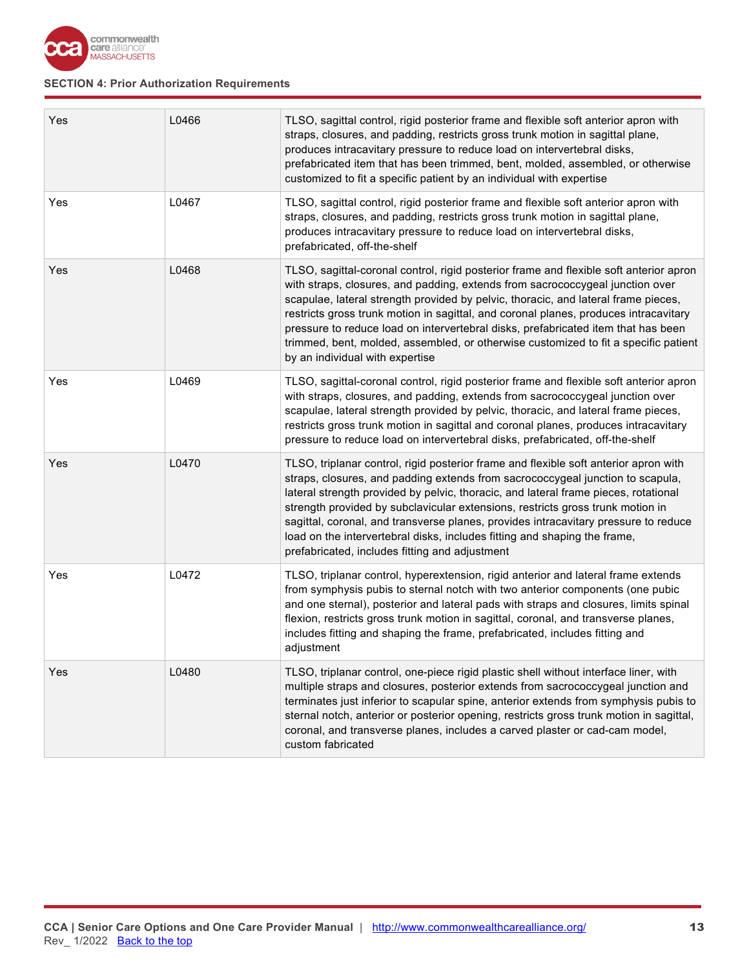

| Yes | L0466 | TLSO, sagittal control, rigid posterior frame and flexible soft anterior apron with<br>straps, closures, and padding, restricts gross trunk motion in sagittal plane,<br>produces intracavitary pressure to reduce load on intervertebral disks,<br>prefabricated item that has been trimmed, bent, molded, assembled, or otherwise<br>customized to fit a specific patient by an individual with expertise                                                                                                                                                           |
|-----|-------|-----------------------------------------------------------------------------------------------------------------------------------------------------------------------------------------------------------------------------------------------------------------------------------------------------------------------------------------------------------------------------------------------------------------------------------------------------------------------------------------------------------------------------------------------------------------------|
| Yes | L0467 | TLSO, sagittal control, rigid posterior frame and flexible soft anterior apron with<br>straps, closures, and padding, restricts gross trunk motion in sagittal plane,<br>produces intracavitary pressure to reduce load on intervertebral disks,<br>prefabricated, off-the-shelf                                                                                                                                                                                                                                                                                      |
| Yes | L0468 | TLSO, sagittal-coronal control, rigid posterior frame and flexible soft anterior apron<br>with straps, closures, and padding, extends from sacrococcygeal junction over<br>scapulae, lateral strength provided by pelvic, thoracic, and lateral frame pieces,<br>restricts gross trunk motion in sagittal, and coronal planes, produces intracavitary<br>pressure to reduce load on intervertebral disks, prefabricated item that has been<br>trimmed, bent, molded, assembled, or otherwise customized to fit a specific patient<br>by an individual with expertise  |
| Yes | L0469 | TLSO, sagittal-coronal control, rigid posterior frame and flexible soft anterior apron<br>with straps, closures, and padding, extends from sacrococcygeal junction over<br>scapulae, lateral strength provided by pelvic, thoracic, and lateral frame pieces,<br>restricts gross trunk motion in sagittal and coronal planes, produces intracavitary<br>pressure to reduce load on intervertebral disks, prefabricated, off-the-shelf                                                                                                                                 |
| Yes | L0470 | TLSO, triplanar control, rigid posterior frame and flexible soft anterior apron with<br>straps, closures, and padding extends from sacrococcygeal junction to scapula,<br>lateral strength provided by pelvic, thoracic, and lateral frame pieces, rotational<br>strength provided by subclavicular extensions, restricts gross trunk motion in<br>sagittal, coronal, and transverse planes, provides intracavitary pressure to reduce<br>load on the intervertebral disks, includes fitting and shaping the frame,<br>prefabricated, includes fitting and adjustment |
| Yes | L0472 | TLSO, triplanar control, hyperextension, rigid anterior and lateral frame extends<br>from symphysis pubis to sternal notch with two anterior components (one pubic<br>and one sternal), posterior and lateral pads with straps and closures, limits spinal<br>flexion, restricts gross trunk motion in sagittal, coronal, and transverse planes,<br>includes fitting and shaping the frame, prefabricated, includes fitting and<br>adjustment                                                                                                                         |
| Yes | L0480 | TLSO, triplanar control, one-piece rigid plastic shell without interface liner, with<br>multiple straps and closures, posterior extends from sacrococcygeal junction and<br>terminates just inferior to scapular spine, anterior extends from symphysis pubis to<br>sternal notch, anterior or posterior opening, restricts gross trunk motion in sagittal,<br>coronal, and transverse planes, includes a carved plaster or cad-cam model,<br>custom fabricated                                                                                                       |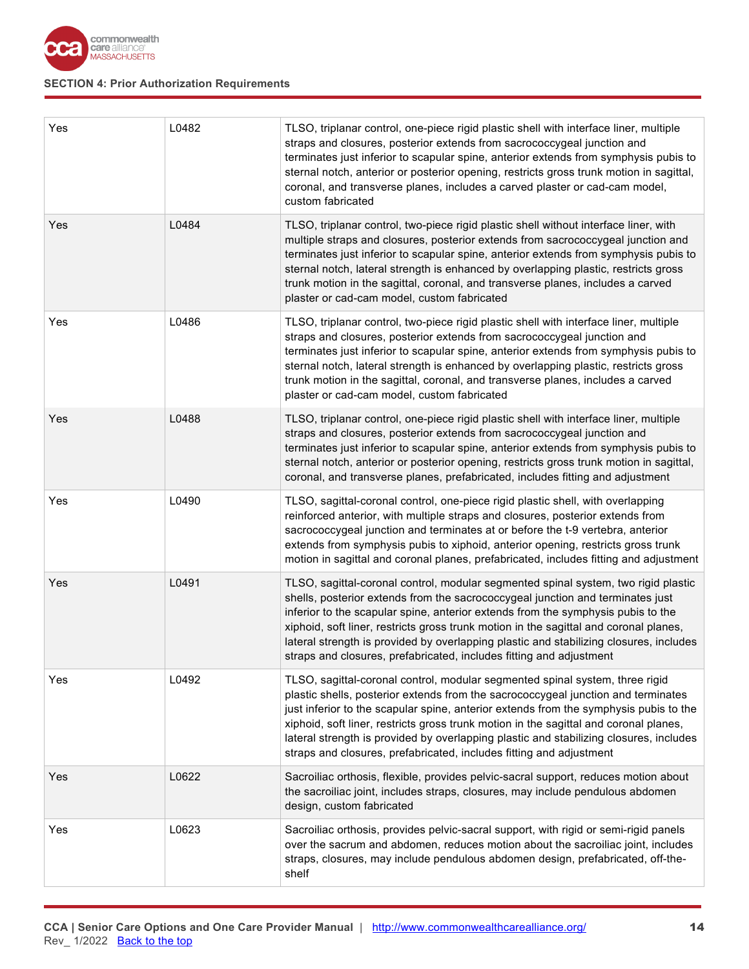

| Yes | L0623 | design, custom fabricated<br>Sacroiliac orthosis, provides pelvic-sacral support, with rigid or semi-rigid panels<br>over the sacrum and abdomen, reduces motion about the sacroiliac joint, includes<br>straps, closures, may include pendulous abdomen design, prefabricated, off-the-<br>shelf                                                                                                                                                                                                                    |
|-----|-------|----------------------------------------------------------------------------------------------------------------------------------------------------------------------------------------------------------------------------------------------------------------------------------------------------------------------------------------------------------------------------------------------------------------------------------------------------------------------------------------------------------------------|
| Yes | L0622 | Sacroiliac orthosis, flexible, provides pelvic-sacral support, reduces motion about<br>the sacroiliac joint, includes straps, closures, may include pendulous abdomen                                                                                                                                                                                                                                                                                                                                                |
| Yes | L0492 | TLSO, sagittal-coronal control, modular segmented spinal system, three rigid<br>plastic shells, posterior extends from the sacrococcygeal junction and terminates<br>just inferior to the scapular spine, anterior extends from the symphysis pubis to the<br>xiphoid, soft liner, restricts gross trunk motion in the sagittal and coronal planes,<br>lateral strength is provided by overlapping plastic and stabilizing closures, includes<br>straps and closures, prefabricated, includes fitting and adjustment |
| Yes | L0491 | TLSO, sagittal-coronal control, modular segmented spinal system, two rigid plastic<br>shells, posterior extends from the sacrococcygeal junction and terminates just<br>inferior to the scapular spine, anterior extends from the symphysis pubis to the<br>xiphoid, soft liner, restricts gross trunk motion in the sagittal and coronal planes,<br>lateral strength is provided by overlapping plastic and stabilizing closures, includes<br>straps and closures, prefabricated, includes fitting and adjustment   |
| Yes | L0490 | TLSO, sagittal-coronal control, one-piece rigid plastic shell, with overlapping<br>reinforced anterior, with multiple straps and closures, posterior extends from<br>sacrococcygeal junction and terminates at or before the t-9 vertebra, anterior<br>extends from symphysis pubis to xiphoid, anterior opening, restricts gross trunk<br>motion in sagittal and coronal planes, prefabricated, includes fitting and adjustment                                                                                     |
| Yes | L0488 | TLSO, triplanar control, one-piece rigid plastic shell with interface liner, multiple<br>straps and closures, posterior extends from sacrococcygeal junction and<br>terminates just inferior to scapular spine, anterior extends from symphysis pubis to<br>sternal notch, anterior or posterior opening, restricts gross trunk motion in sagittal,<br>coronal, and transverse planes, prefabricated, includes fitting and adjustment                                                                                |
| Yes | L0486 | TLSO, triplanar control, two-piece rigid plastic shell with interface liner, multiple<br>straps and closures, posterior extends from sacrococcygeal junction and<br>terminates just inferior to scapular spine, anterior extends from symphysis pubis to<br>sternal notch, lateral strength is enhanced by overlapping plastic, restricts gross<br>trunk motion in the sagittal, coronal, and transverse planes, includes a carved<br>plaster or cad-cam model, custom fabricated                                    |
| Yes | L0484 | TLSO, triplanar control, two-piece rigid plastic shell without interface liner, with<br>multiple straps and closures, posterior extends from sacrococcygeal junction and<br>terminates just inferior to scapular spine, anterior extends from symphysis pubis to<br>sternal notch, lateral strength is enhanced by overlapping plastic, restricts gross<br>trunk motion in the sagittal, coronal, and transverse planes, includes a carved<br>plaster or cad-cam model, custom fabricated                            |
| Yes | L0482 | TLSO, triplanar control, one-piece rigid plastic shell with interface liner, multiple<br>straps and closures, posterior extends from sacrococcygeal junction and<br>terminates just inferior to scapular spine, anterior extends from symphysis pubis to<br>sternal notch, anterior or posterior opening, restricts gross trunk motion in sagittal,<br>coronal, and transverse planes, includes a carved plaster or cad-cam model,<br>custom fabricated                                                              |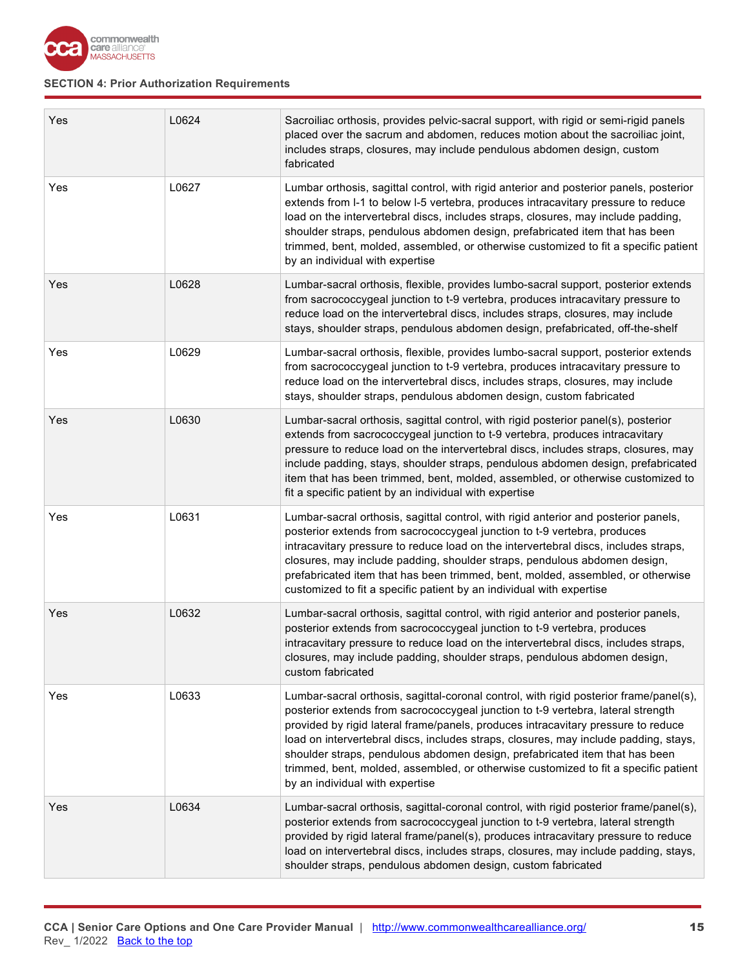

| Yes | L0624 | Sacroiliac orthosis, provides pelvic-sacral support, with rigid or semi-rigid panels<br>placed over the sacrum and abdomen, reduces motion about the sacroiliac joint,<br>includes straps, closures, may include pendulous abdomen design, custom<br>fabricated                                                                                                                                                                                                                                                                                                  |
|-----|-------|------------------------------------------------------------------------------------------------------------------------------------------------------------------------------------------------------------------------------------------------------------------------------------------------------------------------------------------------------------------------------------------------------------------------------------------------------------------------------------------------------------------------------------------------------------------|
| Yes | L0627 | Lumbar orthosis, sagittal control, with rigid anterior and posterior panels, posterior<br>extends from I-1 to below I-5 vertebra, produces intracavitary pressure to reduce<br>load on the intervertebral discs, includes straps, closures, may include padding,<br>shoulder straps, pendulous abdomen design, prefabricated item that has been<br>trimmed, bent, molded, assembled, or otherwise customized to fit a specific patient<br>by an individual with expertise                                                                                        |
| Yes | L0628 | Lumbar-sacral orthosis, flexible, provides lumbo-sacral support, posterior extends<br>from sacrococcygeal junction to t-9 vertebra, produces intracavitary pressure to<br>reduce load on the intervertebral discs, includes straps, closures, may include<br>stays, shoulder straps, pendulous abdomen design, prefabricated, off-the-shelf                                                                                                                                                                                                                      |
| Yes | L0629 | Lumbar-sacral orthosis, flexible, provides lumbo-sacral support, posterior extends<br>from sacrococcygeal junction to t-9 vertebra, produces intracavitary pressure to<br>reduce load on the intervertebral discs, includes straps, closures, may include<br>stays, shoulder straps, pendulous abdomen design, custom fabricated                                                                                                                                                                                                                                 |
| Yes | L0630 | Lumbar-sacral orthosis, sagittal control, with rigid posterior panel(s), posterior<br>extends from sacrococcygeal junction to t-9 vertebra, produces intracavitary<br>pressure to reduce load on the intervertebral discs, includes straps, closures, may<br>include padding, stays, shoulder straps, pendulous abdomen design, prefabricated<br>item that has been trimmed, bent, molded, assembled, or otherwise customized to<br>fit a specific patient by an individual with expertise                                                                       |
| Yes | L0631 | Lumbar-sacral orthosis, sagittal control, with rigid anterior and posterior panels,<br>posterior extends from sacrococcygeal junction to t-9 vertebra, produces<br>intracavitary pressure to reduce load on the intervertebral discs, includes straps,<br>closures, may include padding, shoulder straps, pendulous abdomen design,<br>prefabricated item that has been trimmed, bent, molded, assembled, or otherwise<br>customized to fit a specific patient by an individual with expertise                                                                   |
| Yes | L0632 | Lumbar-sacral orthosis, sagittal control, with rigid anterior and posterior panels,<br>posterior extends from sacrococcygeal junction to t-9 vertebra, produces<br>intracavitary pressure to reduce load on the intervertebral discs, includes straps,<br>closures, may include padding, shoulder straps, pendulous abdomen design,<br>custom fabricated                                                                                                                                                                                                         |
| Yes | L0633 | Lumbar-sacral orthosis, sagittal-coronal control, with rigid posterior frame/panel(s),<br>posterior extends from sacrococcygeal junction to t-9 vertebra, lateral strength<br>provided by rigid lateral frame/panels, produces intracavitary pressure to reduce<br>load on intervertebral discs, includes straps, closures, may include padding, stays,<br>shoulder straps, pendulous abdomen design, prefabricated item that has been<br>trimmed, bent, molded, assembled, or otherwise customized to fit a specific patient<br>by an individual with expertise |
| Yes | L0634 | Lumbar-sacral orthosis, sagittal-coronal control, with rigid posterior frame/panel(s),<br>posterior extends from sacrococcygeal junction to t-9 vertebra, lateral strength<br>provided by rigid lateral frame/panel(s), produces intracavitary pressure to reduce<br>load on intervertebral discs, includes straps, closures, may include padding, stays,<br>shoulder straps, pendulous abdomen design, custom fabricated                                                                                                                                        |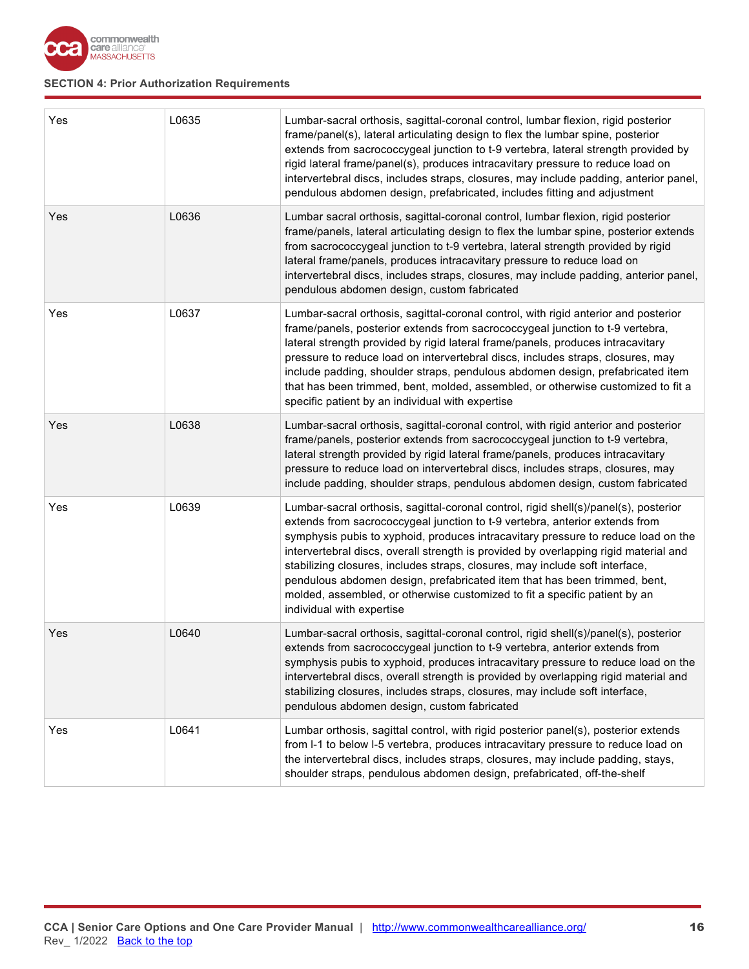

| Yes | L0635 | Lumbar-sacral orthosis, sagittal-coronal control, lumbar flexion, rigid posterior<br>frame/panel(s), lateral articulating design to flex the lumbar spine, posterior<br>extends from sacrococcygeal junction to t-9 vertebra, lateral strength provided by<br>rigid lateral frame/panel(s), produces intracavitary pressure to reduce load on<br>intervertebral discs, includes straps, closures, may include padding, anterior panel,<br>pendulous abdomen design, prefabricated, includes fitting and adjustment                                                                                                       |
|-----|-------|--------------------------------------------------------------------------------------------------------------------------------------------------------------------------------------------------------------------------------------------------------------------------------------------------------------------------------------------------------------------------------------------------------------------------------------------------------------------------------------------------------------------------------------------------------------------------------------------------------------------------|
| Yes | L0636 | Lumbar sacral orthosis, sagittal-coronal control, lumbar flexion, rigid posterior<br>frame/panels, lateral articulating design to flex the lumbar spine, posterior extends<br>from sacrococcygeal junction to t-9 vertebra, lateral strength provided by rigid<br>lateral frame/panels, produces intracavitary pressure to reduce load on<br>intervertebral discs, includes straps, closures, may include padding, anterior panel,<br>pendulous abdomen design, custom fabricated                                                                                                                                        |
| Yes | L0637 | Lumbar-sacral orthosis, sagittal-coronal control, with rigid anterior and posterior<br>frame/panels, posterior extends from sacrococcygeal junction to t-9 vertebra,<br>lateral strength provided by rigid lateral frame/panels, produces intracavitary<br>pressure to reduce load on intervertebral discs, includes straps, closures, may<br>include padding, shoulder straps, pendulous abdomen design, prefabricated item<br>that has been trimmed, bent, molded, assembled, or otherwise customized to fit a<br>specific patient by an individual with expertise                                                     |
| Yes | L0638 | Lumbar-sacral orthosis, sagittal-coronal control, with rigid anterior and posterior<br>frame/panels, posterior extends from sacrococcygeal junction to t-9 vertebra,<br>lateral strength provided by rigid lateral frame/panels, produces intracavitary<br>pressure to reduce load on intervertebral discs, includes straps, closures, may<br>include padding, shoulder straps, pendulous abdomen design, custom fabricated                                                                                                                                                                                              |
| Yes | L0639 | Lumbar-sacral orthosis, sagittal-coronal control, rigid shell(s)/panel(s), posterior<br>extends from sacrococcygeal junction to t-9 vertebra, anterior extends from<br>symphysis pubis to xyphoid, produces intracavitary pressure to reduce load on the<br>intervertebral discs, overall strength is provided by overlapping rigid material and<br>stabilizing closures, includes straps, closures, may include soft interface,<br>pendulous abdomen design, prefabricated item that has been trimmed, bent,<br>molded, assembled, or otherwise customized to fit a specific patient by an<br>individual with expertise |
| Yes | L0640 | Lumbar-sacral orthosis, sagittal-coronal control, rigid shell(s)/panel(s), posterior<br>extends from sacrococcygeal junction to t-9 vertebra, anterior extends from<br>symphysis pubis to xyphoid, produces intracavitary pressure to reduce load on the<br>intervertebral discs, overall strength is provided by overlapping rigid material and<br>stabilizing closures, includes straps, closures, may include soft interface,<br>pendulous abdomen design, custom fabricated                                                                                                                                          |
| Yes | L0641 | Lumbar orthosis, sagittal control, with rigid posterior panel(s), posterior extends<br>from I-1 to below I-5 vertebra, produces intracavitary pressure to reduce load on<br>the intervertebral discs, includes straps, closures, may include padding, stays,<br>shoulder straps, pendulous abdomen design, prefabricated, off-the-shelf                                                                                                                                                                                                                                                                                  |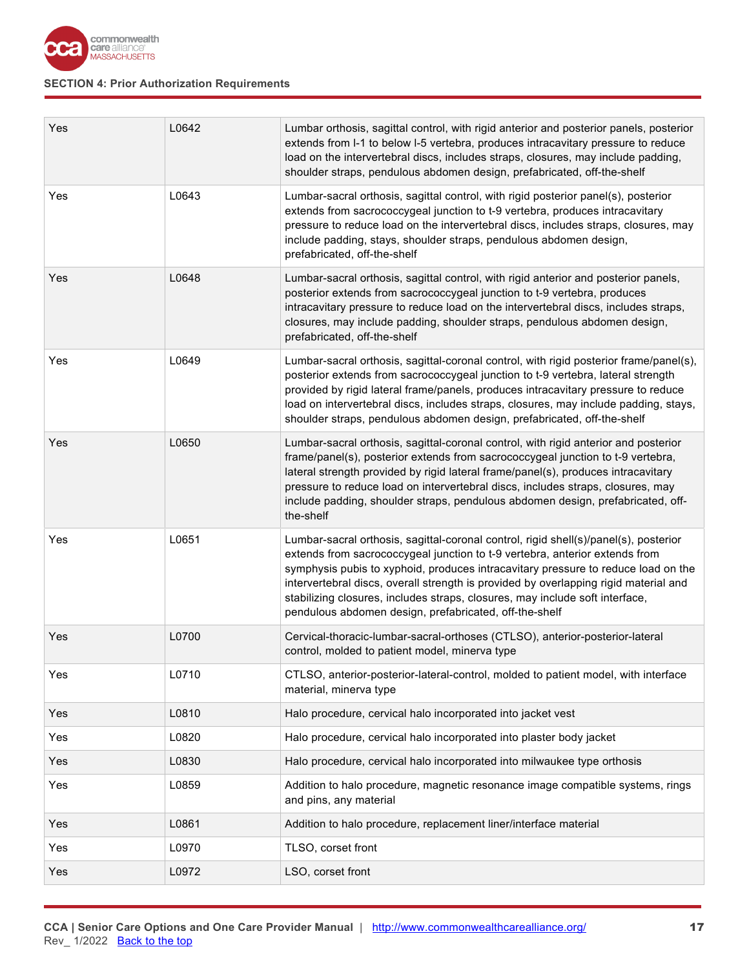

| Yes | L0642 | Lumbar orthosis, sagittal control, with rigid anterior and posterior panels, posterior<br>extends from I-1 to below I-5 vertebra, produces intracavitary pressure to reduce<br>load on the intervertebral discs, includes straps, closures, may include padding,<br>shoulder straps, pendulous abdomen design, prefabricated, off-the-shelf                                                                                                                                                |
|-----|-------|--------------------------------------------------------------------------------------------------------------------------------------------------------------------------------------------------------------------------------------------------------------------------------------------------------------------------------------------------------------------------------------------------------------------------------------------------------------------------------------------|
| Yes | L0643 | Lumbar-sacral orthosis, sagittal control, with rigid posterior panel(s), posterior<br>extends from sacrococcygeal junction to t-9 vertebra, produces intracavitary<br>pressure to reduce load on the intervertebral discs, includes straps, closures, may<br>include padding, stays, shoulder straps, pendulous abdomen design,<br>prefabricated, off-the-shelf                                                                                                                            |
| Yes | L0648 | Lumbar-sacral orthosis, sagittal control, with rigid anterior and posterior panels,<br>posterior extends from sacrococcygeal junction to t-9 vertebra, produces<br>intracavitary pressure to reduce load on the intervertebral discs, includes straps,<br>closures, may include padding, shoulder straps, pendulous abdomen design,<br>prefabricated, off-the-shelf                                                                                                                        |
| Yes | L0649 | Lumbar-sacral orthosis, sagittal-coronal control, with rigid posterior frame/panel(s),<br>posterior extends from sacrococcygeal junction to t-9 vertebra, lateral strength<br>provided by rigid lateral frame/panels, produces intracavitary pressure to reduce<br>load on intervertebral discs, includes straps, closures, may include padding, stays,<br>shoulder straps, pendulous abdomen design, prefabricated, off-the-shelf                                                         |
| Yes | L0650 | Lumbar-sacral orthosis, sagittal-coronal control, with rigid anterior and posterior<br>frame/panel(s), posterior extends from sacrococcygeal junction to t-9 vertebra,<br>lateral strength provided by rigid lateral frame/panel(s), produces intracavitary<br>pressure to reduce load on intervertebral discs, includes straps, closures, may<br>include padding, shoulder straps, pendulous abdomen design, prefabricated, off-<br>the-shelf                                             |
| Yes | L0651 | Lumbar-sacral orthosis, sagittal-coronal control, rigid shell(s)/panel(s), posterior<br>extends from sacrococcygeal junction to t-9 vertebra, anterior extends from<br>symphysis pubis to xyphoid, produces intracavitary pressure to reduce load on the<br>intervertebral discs, overall strength is provided by overlapping rigid material and<br>stabilizing closures, includes straps, closures, may include soft interface,<br>pendulous abdomen design, prefabricated, off-the-shelf |
| Yes | L0700 | Cervical-thoracic-lumbar-sacral-orthoses (CTLSO), anterior-posterior-lateral<br>control, molded to patient model, minerva type                                                                                                                                                                                                                                                                                                                                                             |
| Yes | L0710 | CTLSO, anterior-posterior-lateral-control, molded to patient model, with interface<br>material, minerva type                                                                                                                                                                                                                                                                                                                                                                               |
| Yes | L0810 | Halo procedure, cervical halo incorporated into jacket vest                                                                                                                                                                                                                                                                                                                                                                                                                                |
| Yes | L0820 | Halo procedure, cervical halo incorporated into plaster body jacket                                                                                                                                                                                                                                                                                                                                                                                                                        |
| Yes | L0830 | Halo procedure, cervical halo incorporated into milwaukee type orthosis                                                                                                                                                                                                                                                                                                                                                                                                                    |
| Yes | L0859 | Addition to halo procedure, magnetic resonance image compatible systems, rings<br>and pins, any material                                                                                                                                                                                                                                                                                                                                                                                   |
| Yes | L0861 | Addition to halo procedure, replacement liner/interface material                                                                                                                                                                                                                                                                                                                                                                                                                           |
| Yes | L0970 | TLSO, corset front                                                                                                                                                                                                                                                                                                                                                                                                                                                                         |
| Yes | L0972 | LSO, corset front                                                                                                                                                                                                                                                                                                                                                                                                                                                                          |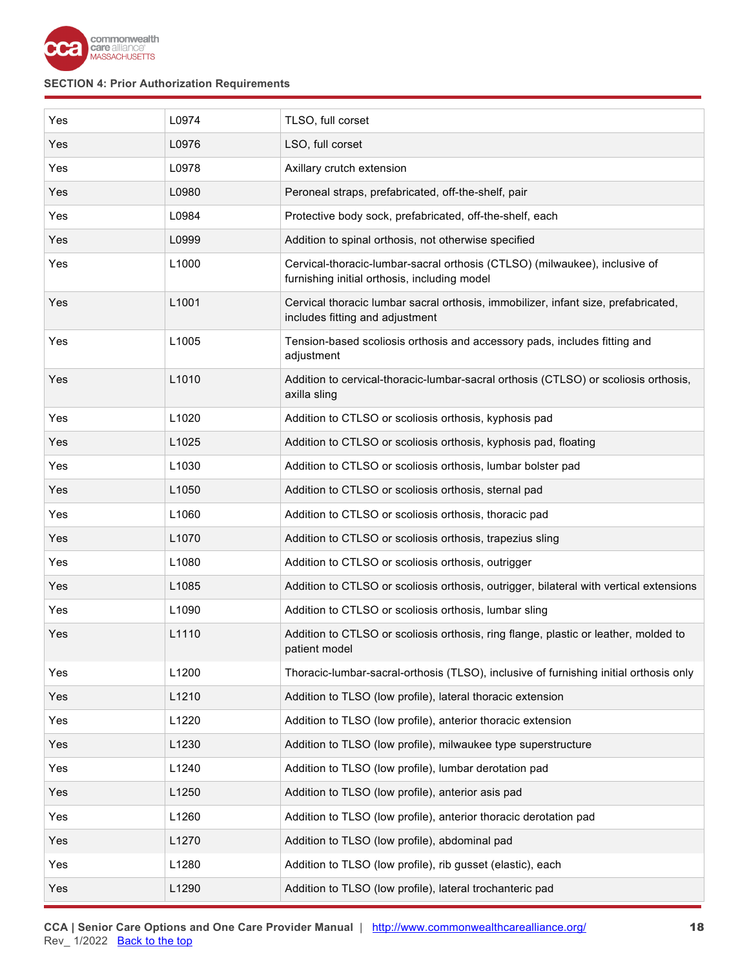

| Yes | L0974 | TLSO, full corset                                                                                                          |
|-----|-------|----------------------------------------------------------------------------------------------------------------------------|
| Yes | L0976 | LSO, full corset                                                                                                           |
| Yes | L0978 | Axillary crutch extension                                                                                                  |
| Yes | L0980 | Peroneal straps, prefabricated, off-the-shelf, pair                                                                        |
| Yes | L0984 | Protective body sock, prefabricated, off-the-shelf, each                                                                   |
| Yes | L0999 | Addition to spinal orthosis, not otherwise specified                                                                       |
| Yes | L1000 | Cervical-thoracic-lumbar-sacral orthosis (CTLSO) (milwaukee), inclusive of<br>furnishing initial orthosis, including model |
| Yes | L1001 | Cervical thoracic lumbar sacral orthosis, immobilizer, infant size, prefabricated,<br>includes fitting and adjustment      |
| Yes | L1005 | Tension-based scoliosis orthosis and accessory pads, includes fitting and<br>adjustment                                    |
| Yes | L1010 | Addition to cervical-thoracic-lumbar-sacral orthosis (CTLSO) or scoliosis orthosis,<br>axilla sling                        |
| Yes | L1020 | Addition to CTLSO or scoliosis orthosis, kyphosis pad                                                                      |
| Yes | L1025 | Addition to CTLSO or scoliosis orthosis, kyphosis pad, floating                                                            |
| Yes | L1030 | Addition to CTLSO or scoliosis orthosis, lumbar bolster pad                                                                |
| Yes | L1050 | Addition to CTLSO or scoliosis orthosis, sternal pad                                                                       |
| Yes | L1060 | Addition to CTLSO or scoliosis orthosis, thoracic pad                                                                      |
| Yes | L1070 | Addition to CTLSO or scoliosis orthosis, trapezius sling                                                                   |
| Yes | L1080 | Addition to CTLSO or scoliosis orthosis, outrigger                                                                         |
| Yes | L1085 | Addition to CTLSO or scoliosis orthosis, outrigger, bilateral with vertical extensions                                     |
| Yes | L1090 | Addition to CTLSO or scoliosis orthosis, lumbar sling                                                                      |
| Yes | L1110 | Addition to CTLSO or scoliosis orthosis, ring flange, plastic or leather, molded to<br>patient model                       |
| Yes | L1200 | Thoracic-lumbar-sacral-orthosis (TLSO), inclusive of furnishing initial orthosis only                                      |
| Yes | L1210 | Addition to TLSO (low profile), lateral thoracic extension                                                                 |
| Yes | L1220 | Addition to TLSO (low profile), anterior thoracic extension                                                                |
| Yes | L1230 | Addition to TLSO (low profile), milwaukee type superstructure                                                              |
| Yes | L1240 | Addition to TLSO (low profile), lumbar derotation pad                                                                      |
| Yes | L1250 | Addition to TLSO (low profile), anterior asis pad                                                                          |
| Yes | L1260 | Addition to TLSO (low profile), anterior thoracic derotation pad                                                           |
| Yes | L1270 | Addition to TLSO (low profile), abdominal pad                                                                              |
| Yes | L1280 | Addition to TLSO (low profile), rib gusset (elastic), each                                                                 |
| Yes | L1290 | Addition to TLSO (low profile), lateral trochanteric pad                                                                   |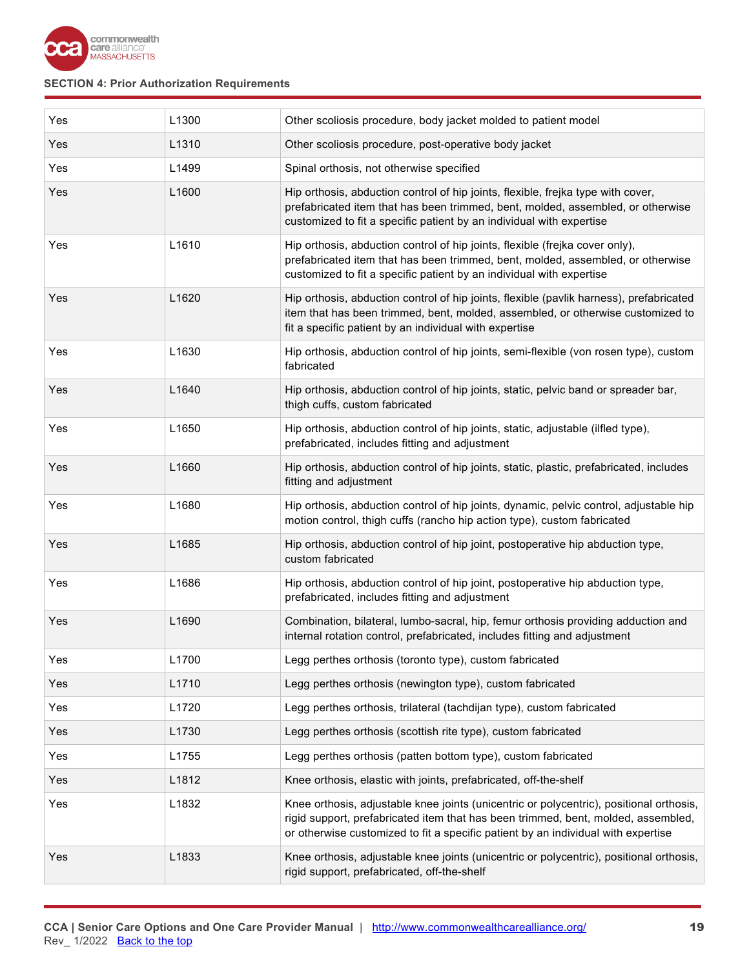

| Yes | L1300             | Other scoliosis procedure, body jacket molded to patient model                                                                                                                                                                                                    |
|-----|-------------------|-------------------------------------------------------------------------------------------------------------------------------------------------------------------------------------------------------------------------------------------------------------------|
| Yes | L1310             | Other scoliosis procedure, post-operative body jacket                                                                                                                                                                                                             |
| Yes | L1499             | Spinal orthosis, not otherwise specified                                                                                                                                                                                                                          |
| Yes | L1600             | Hip orthosis, abduction control of hip joints, flexible, frejka type with cover,<br>prefabricated item that has been trimmed, bent, molded, assembled, or otherwise<br>customized to fit a specific patient by an individual with expertise                       |
| Yes | L1610             | Hip orthosis, abduction control of hip joints, flexible (frejka cover only),<br>prefabricated item that has been trimmed, bent, molded, assembled, or otherwise<br>customized to fit a specific patient by an individual with expertise                           |
| Yes | L1620             | Hip orthosis, abduction control of hip joints, flexible (pavlik harness), prefabricated<br>item that has been trimmed, bent, molded, assembled, or otherwise customized to<br>fit a specific patient by an individual with expertise                              |
| Yes | L1630             | Hip orthosis, abduction control of hip joints, semi-flexible (von rosen type), custom<br>fabricated                                                                                                                                                               |
| Yes | L1640             | Hip orthosis, abduction control of hip joints, static, pelvic band or spreader bar,<br>thigh cuffs, custom fabricated                                                                                                                                             |
| Yes | L1650             | Hip orthosis, abduction control of hip joints, static, adjustable (ilfled type),<br>prefabricated, includes fitting and adjustment                                                                                                                                |
| Yes | L1660             | Hip orthosis, abduction control of hip joints, static, plastic, prefabricated, includes<br>fitting and adjustment                                                                                                                                                 |
| Yes | L1680             | Hip orthosis, abduction control of hip joints, dynamic, pelvic control, adjustable hip<br>motion control, thigh cuffs (rancho hip action type), custom fabricated                                                                                                 |
| Yes | L1685             | Hip orthosis, abduction control of hip joint, postoperative hip abduction type,<br>custom fabricated                                                                                                                                                              |
| Yes | L1686             | Hip orthosis, abduction control of hip joint, postoperative hip abduction type,<br>prefabricated, includes fitting and adjustment                                                                                                                                 |
| Yes | L1690             | Combination, bilateral, lumbo-sacral, hip, femur orthosis providing adduction and<br>internal rotation control, prefabricated, includes fitting and adjustment                                                                                                    |
| Yes | L <sub>1700</sub> | Legg perthes orthosis (toronto type), custom fabricated                                                                                                                                                                                                           |
| Yes | L1710             | Legg perthes orthosis (newington type), custom fabricated                                                                                                                                                                                                         |
| Yes | L1720             | Legg perthes orthosis, trilateral (tachdijan type), custom fabricated                                                                                                                                                                                             |
| Yes | L1730             | Legg perthes orthosis (scottish rite type), custom fabricated                                                                                                                                                                                                     |
| Yes | L1755             | Legg perthes orthosis (patten bottom type), custom fabricated                                                                                                                                                                                                     |
| Yes | L1812             | Knee orthosis, elastic with joints, prefabricated, off-the-shelf                                                                                                                                                                                                  |
| Yes | L1832             | Knee orthosis, adjustable knee joints (unicentric or polycentric), positional orthosis,<br>rigid support, prefabricated item that has been trimmed, bent, molded, assembled,<br>or otherwise customized to fit a specific patient by an individual with expertise |
| Yes | L1833             | Knee orthosis, adjustable knee joints (unicentric or polycentric), positional orthosis,<br>rigid support, prefabricated, off-the-shelf                                                                                                                            |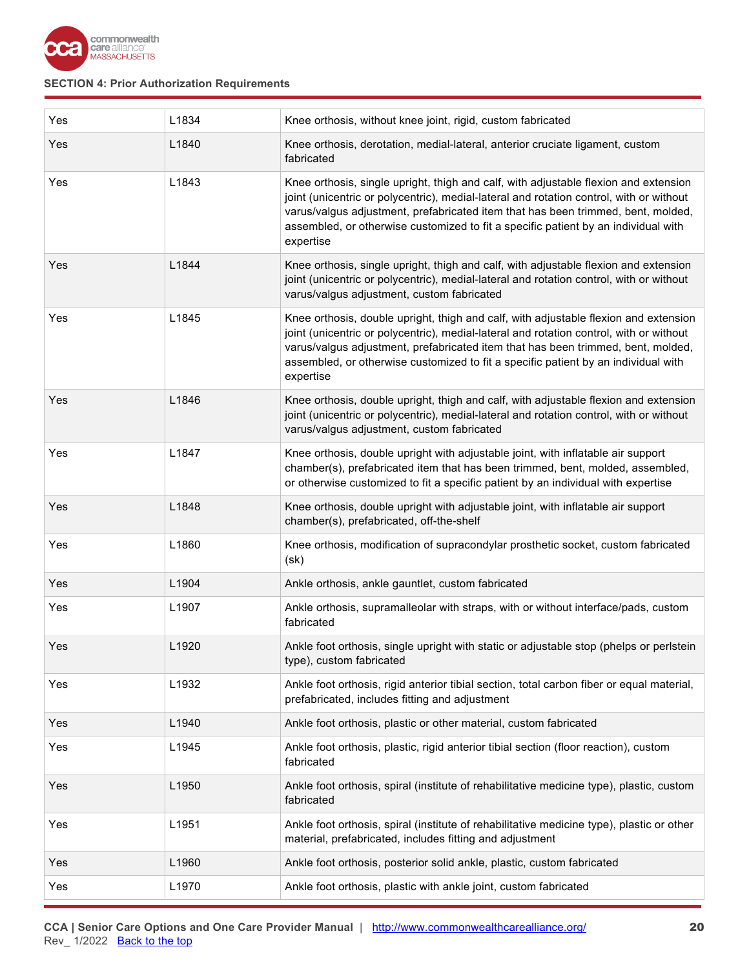

| Yes | L1834 | Knee orthosis, without knee joint, rigid, custom fabricated                                                                                                                                                                                                                                                                                                            |
|-----|-------|------------------------------------------------------------------------------------------------------------------------------------------------------------------------------------------------------------------------------------------------------------------------------------------------------------------------------------------------------------------------|
| Yes | L1840 | Knee orthosis, derotation, medial-lateral, anterior cruciate ligament, custom<br>fabricated                                                                                                                                                                                                                                                                            |
| Yes | L1843 | Knee orthosis, single upright, thigh and calf, with adjustable flexion and extension<br>joint (unicentric or polycentric), medial-lateral and rotation control, with or without<br>varus/valgus adjustment, prefabricated item that has been trimmed, bent, molded,<br>assembled, or otherwise customized to fit a specific patient by an individual with<br>expertise |
| Yes | L1844 | Knee orthosis, single upright, thigh and calf, with adjustable flexion and extension<br>joint (unicentric or polycentric), medial-lateral and rotation control, with or without<br>varus/valgus adjustment, custom fabricated                                                                                                                                          |
| Yes | L1845 | Knee orthosis, double upright, thigh and calf, with adjustable flexion and extension<br>joint (unicentric or polycentric), medial-lateral and rotation control, with or without<br>varus/valgus adjustment, prefabricated item that has been trimmed, bent, molded,<br>assembled, or otherwise customized to fit a specific patient by an individual with<br>expertise |
| Yes | L1846 | Knee orthosis, double upright, thigh and calf, with adjustable flexion and extension<br>joint (unicentric or polycentric), medial-lateral and rotation control, with or without<br>varus/valgus adjustment, custom fabricated                                                                                                                                          |
| Yes | L1847 | Knee orthosis, double upright with adjustable joint, with inflatable air support<br>chamber(s), prefabricated item that has been trimmed, bent, molded, assembled,<br>or otherwise customized to fit a specific patient by an individual with expertise                                                                                                                |
| Yes | L1848 | Knee orthosis, double upright with adjustable joint, with inflatable air support<br>chamber(s), prefabricated, off-the-shelf                                                                                                                                                                                                                                           |
| Yes | L1860 | Knee orthosis, modification of supracondylar prosthetic socket, custom fabricated<br>(sk)                                                                                                                                                                                                                                                                              |
| Yes | L1904 | Ankle orthosis, ankle gauntlet, custom fabricated                                                                                                                                                                                                                                                                                                                      |
| Yes | L1907 | Ankle orthosis, supramalleolar with straps, with or without interface/pads, custom<br>fabricated                                                                                                                                                                                                                                                                       |
| Yes | L1920 | Ankle foot orthosis, single upright with static or adjustable stop (phelps or perlstein<br>type), custom fabricated                                                                                                                                                                                                                                                    |
| Yes | L1932 | Ankle foot orthosis, rigid anterior tibial section, total carbon fiber or equal material,<br>prefabricated, includes fitting and adjustment                                                                                                                                                                                                                            |
| Yes | L1940 | Ankle foot orthosis, plastic or other material, custom fabricated                                                                                                                                                                                                                                                                                                      |
| Yes | L1945 | Ankle foot orthosis, plastic, rigid anterior tibial section (floor reaction), custom<br>fabricated                                                                                                                                                                                                                                                                     |
| Yes | L1950 | Ankle foot orthosis, spiral (institute of rehabilitative medicine type), plastic, custom<br>fabricated                                                                                                                                                                                                                                                                 |
| Yes | L1951 | Ankle foot orthosis, spiral (institute of rehabilitative medicine type), plastic or other<br>material, prefabricated, includes fitting and adjustment                                                                                                                                                                                                                  |
| Yes | L1960 | Ankle foot orthosis, posterior solid ankle, plastic, custom fabricated                                                                                                                                                                                                                                                                                                 |
| Yes | L1970 | Ankle foot orthosis, plastic with ankle joint, custom fabricated                                                                                                                                                                                                                                                                                                       |
|     |       |                                                                                                                                                                                                                                                                                                                                                                        |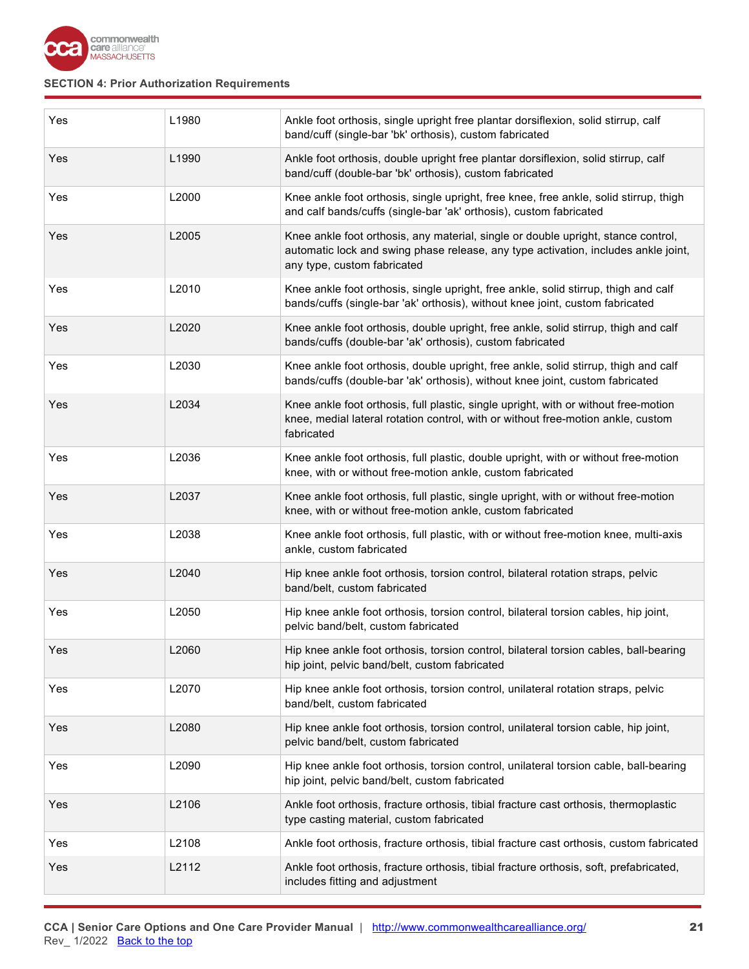

| Yes | L1980 | Ankle foot orthosis, single upright free plantar dorsiflexion, solid stirrup, calf<br>band/cuff (single-bar 'bk' orthosis), custom fabricated                                                          |
|-----|-------|--------------------------------------------------------------------------------------------------------------------------------------------------------------------------------------------------------|
| Yes | L1990 | Ankle foot orthosis, double upright free plantar dorsiflexion, solid stirrup, calf<br>band/cuff (double-bar 'bk' orthosis), custom fabricated                                                          |
| Yes | L2000 | Knee ankle foot orthosis, single upright, free knee, free ankle, solid stirrup, thigh<br>and calf bands/cuffs (single-bar 'ak' orthosis), custom fabricated                                            |
| Yes | L2005 | Knee ankle foot orthosis, any material, single or double upright, stance control,<br>automatic lock and swing phase release, any type activation, includes ankle joint,<br>any type, custom fabricated |
| Yes | L2010 | Knee ankle foot orthosis, single upright, free ankle, solid stirrup, thigh and calf<br>bands/cuffs (single-bar 'ak' orthosis), without knee joint, custom fabricated                                   |
| Yes | L2020 | Knee ankle foot orthosis, double upright, free ankle, solid stirrup, thigh and calf<br>bands/cuffs (double-bar 'ak' orthosis), custom fabricated                                                       |
| Yes | L2030 | Knee ankle foot orthosis, double upright, free ankle, solid stirrup, thigh and calf<br>bands/cuffs (double-bar 'ak' orthosis), without knee joint, custom fabricated                                   |
| Yes | L2034 | Knee ankle foot orthosis, full plastic, single upright, with or without free-motion<br>knee, medial lateral rotation control, with or without free-motion ankle, custom<br>fabricated                  |
| Yes | L2036 | Knee ankle foot orthosis, full plastic, double upright, with or without free-motion<br>knee, with or without free-motion ankle, custom fabricated                                                      |
| Yes | L2037 | Knee ankle foot orthosis, full plastic, single upright, with or without free-motion<br>knee, with or without free-motion ankle, custom fabricated                                                      |
| Yes | L2038 | Knee ankle foot orthosis, full plastic, with or without free-motion knee, multi-axis<br>ankle, custom fabricated                                                                                       |
| Yes | L2040 | Hip knee ankle foot orthosis, torsion control, bilateral rotation straps, pelvic<br>band/belt, custom fabricated                                                                                       |
| Yes | L2050 | Hip knee ankle foot orthosis, torsion control, bilateral torsion cables, hip joint,<br>pelvic band/belt, custom fabricated                                                                             |
| Yes | L2060 | Hip knee ankle foot orthosis, torsion control, bilateral torsion cables, ball-bearing<br>hip joint, pelvic band/belt, custom fabricated                                                                |
| Yes | L2070 | Hip knee ankle foot orthosis, torsion control, unilateral rotation straps, pelvic<br>band/belt, custom fabricated                                                                                      |
| Yes | L2080 | Hip knee ankle foot orthosis, torsion control, unilateral torsion cable, hip joint,<br>pelvic band/belt, custom fabricated                                                                             |
| Yes | L2090 | Hip knee ankle foot orthosis, torsion control, unilateral torsion cable, ball-bearing<br>hip joint, pelvic band/belt, custom fabricated                                                                |
| Yes | L2106 | Ankle foot orthosis, fracture orthosis, tibial fracture cast orthosis, thermoplastic<br>type casting material, custom fabricated                                                                       |
| Yes | L2108 | Ankle foot orthosis, fracture orthosis, tibial fracture cast orthosis, custom fabricated                                                                                                               |
| Yes | L2112 | Ankle foot orthosis, fracture orthosis, tibial fracture orthosis, soft, prefabricated,<br>includes fitting and adjustment                                                                              |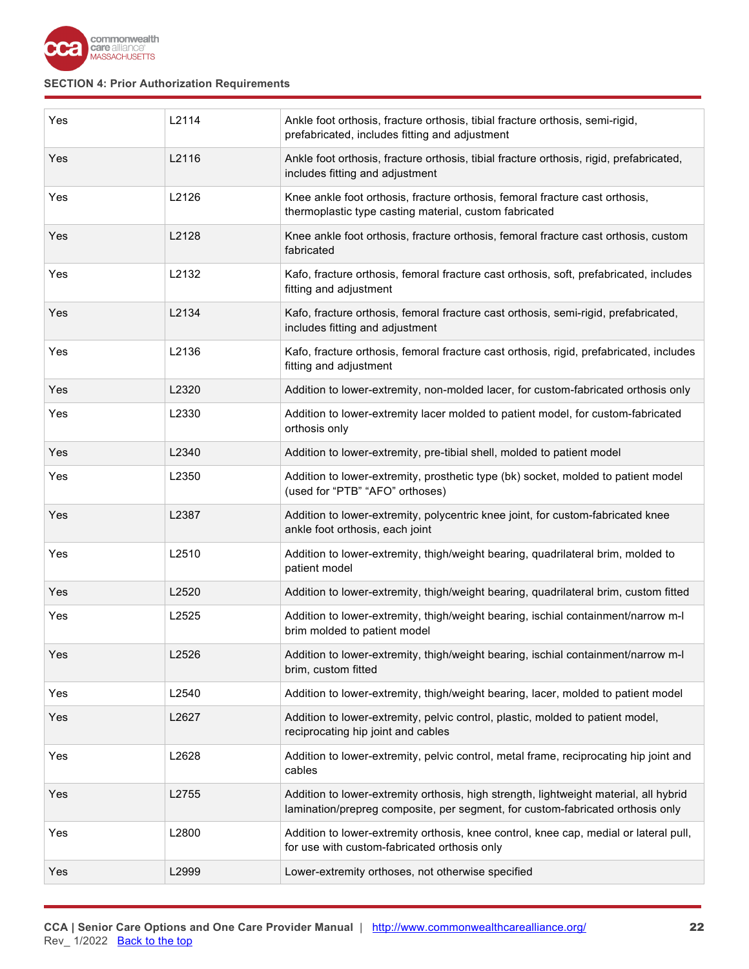

| Yes | L2114 | Ankle foot orthosis, fracture orthosis, tibial fracture orthosis, semi-rigid,<br>prefabricated, includes fitting and adjustment                                         |
|-----|-------|-------------------------------------------------------------------------------------------------------------------------------------------------------------------------|
| Yes | L2116 | Ankle foot orthosis, fracture orthosis, tibial fracture orthosis, rigid, prefabricated,<br>includes fitting and adjustment                                              |
| Yes | L2126 | Knee ankle foot orthosis, fracture orthosis, femoral fracture cast orthosis,<br>thermoplastic type casting material, custom fabricated                                  |
| Yes | L2128 | Knee ankle foot orthosis, fracture orthosis, femoral fracture cast orthosis, custom<br>fabricated                                                                       |
| Yes | L2132 | Kafo, fracture orthosis, femoral fracture cast orthosis, soft, prefabricated, includes<br>fitting and adjustment                                                        |
| Yes | L2134 | Kafo, fracture orthosis, femoral fracture cast orthosis, semi-rigid, prefabricated,<br>includes fitting and adjustment                                                  |
| Yes | L2136 | Kafo, fracture orthosis, femoral fracture cast orthosis, rigid, prefabricated, includes<br>fitting and adjustment                                                       |
| Yes | L2320 | Addition to lower-extremity, non-molded lacer, for custom-fabricated orthosis only                                                                                      |
| Yes | L2330 | Addition to lower-extremity lacer molded to patient model, for custom-fabricated<br>orthosis only                                                                       |
| Yes | L2340 | Addition to lower-extremity, pre-tibial shell, molded to patient model                                                                                                  |
| Yes | L2350 | Addition to lower-extremity, prosthetic type (bk) socket, molded to patient model<br>(used for "PTB" "AFO" orthoses)                                                    |
| Yes | L2387 | Addition to lower-extremity, polycentric knee joint, for custom-fabricated knee<br>ankle foot orthosis, each joint                                                      |
| Yes | L2510 | Addition to lower-extremity, thigh/weight bearing, quadrilateral brim, molded to<br>patient model                                                                       |
| Yes | L2520 | Addition to lower-extremity, thigh/weight bearing, quadrilateral brim, custom fitted                                                                                    |
| Yes | L2525 | Addition to lower-extremity, thigh/weight bearing, ischial containment/narrow m-I<br>brim molded to patient model                                                       |
| Yes | L2526 | Addition to lower-extremity, thigh/weight bearing, ischial containment/narrow m-I<br>brim, custom fitted                                                                |
| Yes | L2540 | Addition to lower-extremity, thigh/weight bearing, lacer, molded to patient model                                                                                       |
| Yes | L2627 | Addition to lower-extremity, pelvic control, plastic, molded to patient model,<br>reciprocating hip joint and cables                                                    |
| Yes | L2628 | Addition to lower-extremity, pelvic control, metal frame, reciprocating hip joint and<br>cables                                                                         |
| Yes | L2755 | Addition to lower-extremity orthosis, high strength, lightweight material, all hybrid<br>lamination/prepreg composite, per segment, for custom-fabricated orthosis only |
| Yes | L2800 | Addition to lower-extremity orthosis, knee control, knee cap, medial or lateral pull,<br>for use with custom-fabricated orthosis only                                   |
| Yes | L2999 | Lower-extremity orthoses, not otherwise specified                                                                                                                       |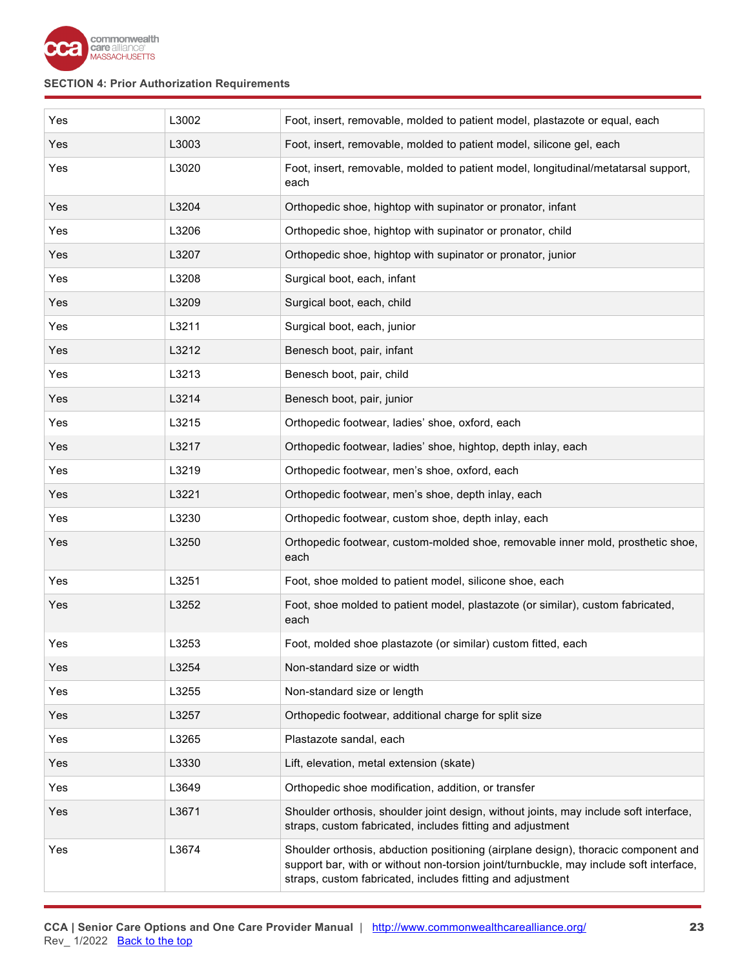

| Yes | L3002 | Foot, insert, removable, molded to patient model, plastazote or equal, each                                                                                                                                                                |
|-----|-------|--------------------------------------------------------------------------------------------------------------------------------------------------------------------------------------------------------------------------------------------|
| Yes | L3003 | Foot, insert, removable, molded to patient model, silicone gel, each                                                                                                                                                                       |
| Yes | L3020 | Foot, insert, removable, molded to patient model, longitudinal/metatarsal support,<br>each                                                                                                                                                 |
| Yes | L3204 | Orthopedic shoe, hightop with supinator or pronator, infant                                                                                                                                                                                |
| Yes | L3206 | Orthopedic shoe, hightop with supinator or pronator, child                                                                                                                                                                                 |
| Yes | L3207 | Orthopedic shoe, hightop with supinator or pronator, junior                                                                                                                                                                                |
| Yes | L3208 | Surgical boot, each, infant                                                                                                                                                                                                                |
| Yes | L3209 | Surgical boot, each, child                                                                                                                                                                                                                 |
| Yes | L3211 | Surgical boot, each, junior                                                                                                                                                                                                                |
| Yes | L3212 | Benesch boot, pair, infant                                                                                                                                                                                                                 |
| Yes | L3213 | Benesch boot, pair, child                                                                                                                                                                                                                  |
| Yes | L3214 | Benesch boot, pair, junior                                                                                                                                                                                                                 |
| Yes | L3215 | Orthopedic footwear, ladies' shoe, oxford, each                                                                                                                                                                                            |
| Yes | L3217 | Orthopedic footwear, ladies' shoe, hightop, depth inlay, each                                                                                                                                                                              |
| Yes | L3219 | Orthopedic footwear, men's shoe, oxford, each                                                                                                                                                                                              |
| Yes | L3221 | Orthopedic footwear, men's shoe, depth inlay, each                                                                                                                                                                                         |
| Yes | L3230 | Orthopedic footwear, custom shoe, depth inlay, each                                                                                                                                                                                        |
| Yes | L3250 | Orthopedic footwear, custom-molded shoe, removable inner mold, prosthetic shoe,<br>each                                                                                                                                                    |
| Yes | L3251 | Foot, shoe molded to patient model, silicone shoe, each                                                                                                                                                                                    |
| Yes | L3252 | Foot, shoe molded to patient model, plastazote (or similar), custom fabricated,<br>each                                                                                                                                                    |
| Yes | L3253 | Foot, molded shoe plastazote (or similar) custom fitted, each                                                                                                                                                                              |
| Yes | L3254 | Non-standard size or width                                                                                                                                                                                                                 |
| Yes | L3255 | Non-standard size or length                                                                                                                                                                                                                |
| Yes | L3257 | Orthopedic footwear, additional charge for split size                                                                                                                                                                                      |
| Yes | L3265 | Plastazote sandal, each                                                                                                                                                                                                                    |
| Yes | L3330 | Lift, elevation, metal extension (skate)                                                                                                                                                                                                   |
| Yes | L3649 | Orthopedic shoe modification, addition, or transfer                                                                                                                                                                                        |
| Yes | L3671 | Shoulder orthosis, shoulder joint design, without joints, may include soft interface,<br>straps, custom fabricated, includes fitting and adjustment                                                                                        |
| Yes | L3674 | Shoulder orthosis, abduction positioning (airplane design), thoracic component and<br>support bar, with or without non-torsion joint/turnbuckle, may include soft interface,<br>straps, custom fabricated, includes fitting and adjustment |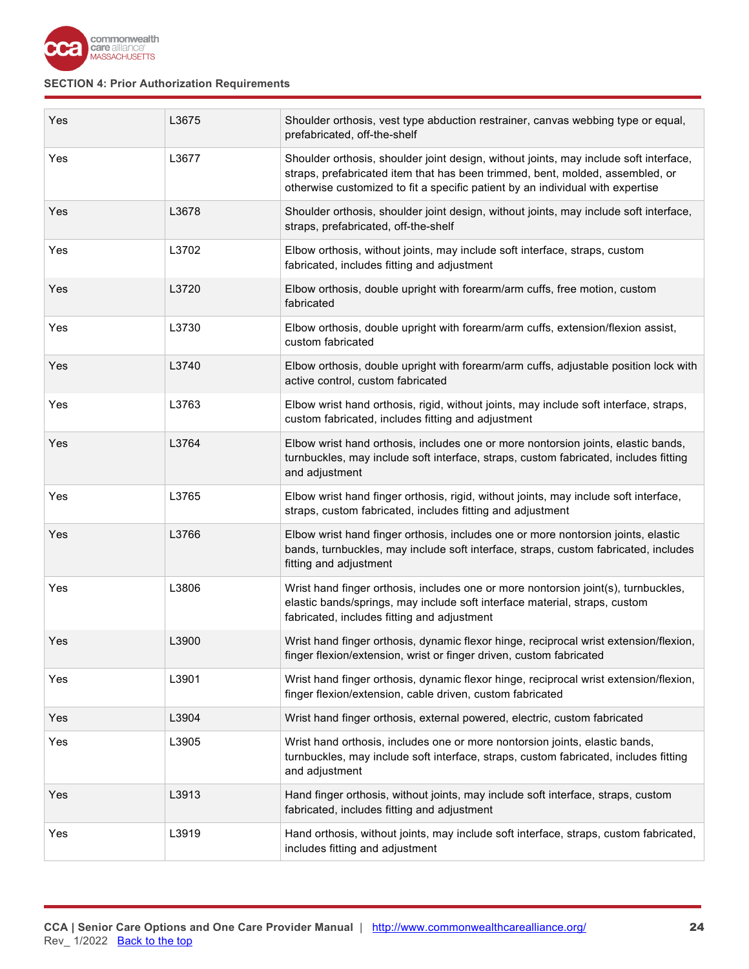

| Yes | L3675 | Shoulder orthosis, vest type abduction restrainer, canvas webbing type or equal,<br>prefabricated, off-the-shelf                                                                                                                                         |
|-----|-------|----------------------------------------------------------------------------------------------------------------------------------------------------------------------------------------------------------------------------------------------------------|
| Yes | L3677 | Shoulder orthosis, shoulder joint design, without joints, may include soft interface,<br>straps, prefabricated item that has been trimmed, bent, molded, assembled, or<br>otherwise customized to fit a specific patient by an individual with expertise |
| Yes | L3678 | Shoulder orthosis, shoulder joint design, without joints, may include soft interface,<br>straps, prefabricated, off-the-shelf                                                                                                                            |
| Yes | L3702 | Elbow orthosis, without joints, may include soft interface, straps, custom<br>fabricated, includes fitting and adjustment                                                                                                                                |
| Yes | L3720 | Elbow orthosis, double upright with forearm/arm cuffs, free motion, custom<br>fabricated                                                                                                                                                                 |
| Yes | L3730 | Elbow orthosis, double upright with forearm/arm cuffs, extension/flexion assist,<br>custom fabricated                                                                                                                                                    |
| Yes | L3740 | Elbow orthosis, double upright with forearm/arm cuffs, adjustable position lock with<br>active control, custom fabricated                                                                                                                                |
| Yes | L3763 | Elbow wrist hand orthosis, rigid, without joints, may include soft interface, straps,<br>custom fabricated, includes fitting and adjustment                                                                                                              |
| Yes | L3764 | Elbow wrist hand orthosis, includes one or more nontorsion joints, elastic bands,<br>turnbuckles, may include soft interface, straps, custom fabricated, includes fitting<br>and adjustment                                                              |
| Yes | L3765 | Elbow wrist hand finger orthosis, rigid, without joints, may include soft interface,<br>straps, custom fabricated, includes fitting and adjustment                                                                                                       |
| Yes | L3766 | Elbow wrist hand finger orthosis, includes one or more nontorsion joints, elastic<br>bands, turnbuckles, may include soft interface, straps, custom fabricated, includes<br>fitting and adjustment                                                       |
| Yes | L3806 | Wrist hand finger orthosis, includes one or more nontorsion joint(s), turnbuckles,<br>elastic bands/springs, may include soft interface material, straps, custom<br>fabricated, includes fitting and adjustment                                          |
| Yes | L3900 | Wrist hand finger orthosis, dynamic flexor hinge, reciprocal wrist extension/flexion,<br>finger flexion/extension, wrist or finger driven, custom fabricated                                                                                             |
| Yes | L3901 | Wrist hand finger orthosis, dynamic flexor hinge, reciprocal wrist extension/flexion,<br>finger flexion/extension, cable driven, custom fabricated                                                                                                       |
| Yes | L3904 | Wrist hand finger orthosis, external powered, electric, custom fabricated                                                                                                                                                                                |
| Yes | L3905 | Wrist hand orthosis, includes one or more nontorsion joints, elastic bands,<br>turnbuckles, may include soft interface, straps, custom fabricated, includes fitting<br>and adjustment                                                                    |
| Yes | L3913 | Hand finger orthosis, without joints, may include soft interface, straps, custom<br>fabricated, includes fitting and adjustment                                                                                                                          |
| Yes | L3919 | Hand orthosis, without joints, may include soft interface, straps, custom fabricated,<br>includes fitting and adjustment                                                                                                                                 |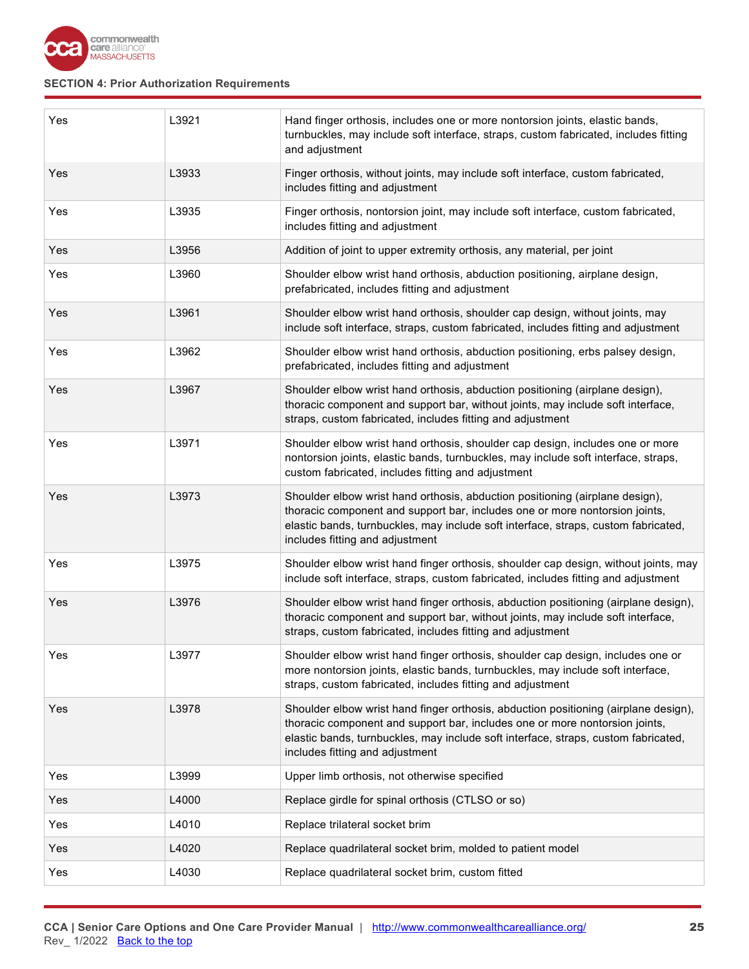

| Yes | L3921 | Hand finger orthosis, includes one or more nontorsion joints, elastic bands,<br>turnbuckles, may include soft interface, straps, custom fabricated, includes fitting<br>and adjustment                                                                                                      |
|-----|-------|---------------------------------------------------------------------------------------------------------------------------------------------------------------------------------------------------------------------------------------------------------------------------------------------|
| Yes | L3933 | Finger orthosis, without joints, may include soft interface, custom fabricated,<br>includes fitting and adjustment                                                                                                                                                                          |
| Yes | L3935 | Finger orthosis, nontorsion joint, may include soft interface, custom fabricated,<br>includes fitting and adjustment                                                                                                                                                                        |
| Yes | L3956 | Addition of joint to upper extremity orthosis, any material, per joint                                                                                                                                                                                                                      |
| Yes | L3960 | Shoulder elbow wrist hand orthosis, abduction positioning, airplane design,<br>prefabricated, includes fitting and adjustment                                                                                                                                                               |
| Yes | L3961 | Shoulder elbow wrist hand orthosis, shoulder cap design, without joints, may<br>include soft interface, straps, custom fabricated, includes fitting and adjustment                                                                                                                          |
| Yes | L3962 | Shoulder elbow wrist hand orthosis, abduction positioning, erbs palsey design,<br>prefabricated, includes fitting and adjustment                                                                                                                                                            |
| Yes | L3967 | Shoulder elbow wrist hand orthosis, abduction positioning (airplane design),<br>thoracic component and support bar, without joints, may include soft interface,<br>straps, custom fabricated, includes fitting and adjustment                                                               |
| Yes | L3971 | Shoulder elbow wrist hand orthosis, shoulder cap design, includes one or more<br>nontorsion joints, elastic bands, turnbuckles, may include soft interface, straps,<br>custom fabricated, includes fitting and adjustment                                                                   |
| Yes | L3973 | Shoulder elbow wrist hand orthosis, abduction positioning (airplane design),<br>thoracic component and support bar, includes one or more nontorsion joints,<br>elastic bands, turnbuckles, may include soft interface, straps, custom fabricated,<br>includes fitting and adjustment        |
| Yes | L3975 | Shoulder elbow wrist hand finger orthosis, shoulder cap design, without joints, may<br>include soft interface, straps, custom fabricated, includes fitting and adjustment                                                                                                                   |
| Yes | L3976 | Shoulder elbow wrist hand finger orthosis, abduction positioning (airplane design),<br>thoracic component and support bar, without joints, may include soft interface,<br>straps, custom fabricated, includes fitting and adjustment                                                        |
| Yes | L3977 | Shoulder elbow wrist hand finger orthosis, shoulder cap design, includes one or<br>more nontorsion joints, elastic bands, turnbuckles, may include soft interface,<br>straps, custom fabricated, includes fitting and adjustment                                                            |
| Yes | L3978 | Shoulder elbow wrist hand finger orthosis, abduction positioning (airplane design),<br>thoracic component and support bar, includes one or more nontorsion joints,<br>elastic bands, turnbuckles, may include soft interface, straps, custom fabricated,<br>includes fitting and adjustment |
| Yes | L3999 | Upper limb orthosis, not otherwise specified                                                                                                                                                                                                                                                |
| Yes | L4000 | Replace girdle for spinal orthosis (CTLSO or so)                                                                                                                                                                                                                                            |
| Yes | L4010 | Replace trilateral socket brim                                                                                                                                                                                                                                                              |
| Yes | L4020 | Replace quadrilateral socket brim, molded to patient model                                                                                                                                                                                                                                  |
| Yes | L4030 | Replace quadrilateral socket brim, custom fitted                                                                                                                                                                                                                                            |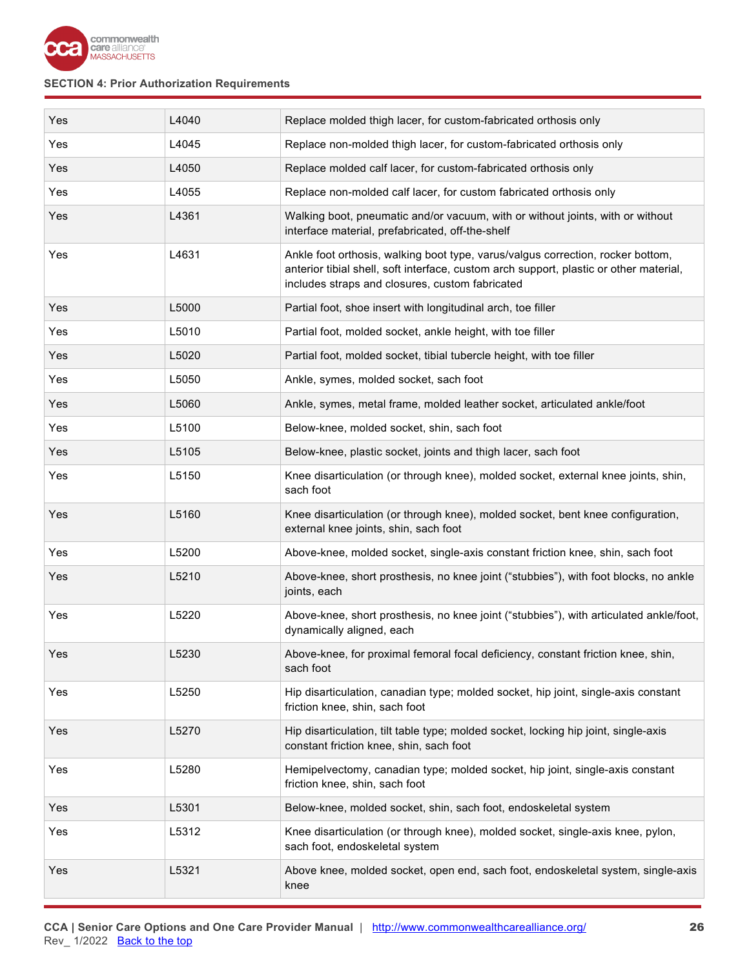

| L4040 | Replace molded thigh lacer, for custom-fabricated orthosis only                                                                                                                                                              |
|-------|------------------------------------------------------------------------------------------------------------------------------------------------------------------------------------------------------------------------------|
| L4045 | Replace non-molded thigh lacer, for custom-fabricated orthosis only                                                                                                                                                          |
| L4050 | Replace molded calf lacer, for custom-fabricated orthosis only                                                                                                                                                               |
| L4055 | Replace non-molded calf lacer, for custom fabricated orthosis only                                                                                                                                                           |
| L4361 | Walking boot, pneumatic and/or vacuum, with or without joints, with or without<br>interface material, prefabricated, off-the-shelf                                                                                           |
| L4631 | Ankle foot orthosis, walking boot type, varus/valgus correction, rocker bottom,<br>anterior tibial shell, soft interface, custom arch support, plastic or other material,<br>includes straps and closures, custom fabricated |
| L5000 | Partial foot, shoe insert with longitudinal arch, toe filler                                                                                                                                                                 |
| L5010 | Partial foot, molded socket, ankle height, with toe filler                                                                                                                                                                   |
| L5020 | Partial foot, molded socket, tibial tubercle height, with toe filler                                                                                                                                                         |
| L5050 | Ankle, symes, molded socket, sach foot                                                                                                                                                                                       |
| L5060 | Ankle, symes, metal frame, molded leather socket, articulated ankle/foot                                                                                                                                                     |
| L5100 | Below-knee, molded socket, shin, sach foot                                                                                                                                                                                   |
| L5105 | Below-knee, plastic socket, joints and thigh lacer, sach foot                                                                                                                                                                |
| L5150 | Knee disarticulation (or through knee), molded socket, external knee joints, shin,<br>sach foot                                                                                                                              |
| L5160 | Knee disarticulation (or through knee), molded socket, bent knee configuration,<br>external knee joints, shin, sach foot                                                                                                     |
| L5200 | Above-knee, molded socket, single-axis constant friction knee, shin, sach foot                                                                                                                                               |
| L5210 | Above-knee, short prosthesis, no knee joint ("stubbies"), with foot blocks, no ankle<br>joints, each                                                                                                                         |
| L5220 | Above-knee, short prosthesis, no knee joint ("stubbies"), with articulated ankle/foot,<br>dynamically aligned, each                                                                                                          |
| 5230  | Above-knee, for proximal femoral focal deficiency, constant friction knee, shin,<br>sach foot                                                                                                                                |
| L5250 | Hip disarticulation, canadian type; molded socket, hip joint, single-axis constant<br>friction knee, shin, sach foot                                                                                                         |
| L5270 | Hip disarticulation, tilt table type; molded socket, locking hip joint, single-axis<br>constant friction knee, shin, sach foot                                                                                               |
| L5280 | Hemipelvectomy, canadian type; molded socket, hip joint, single-axis constant<br>friction knee, shin, sach foot                                                                                                              |
| L5301 | Below-knee, molded socket, shin, sach foot, endoskeletal system                                                                                                                                                              |
| L5312 | Knee disarticulation (or through knee), molded socket, single-axis knee, pylon,<br>sach foot, endoskeletal system                                                                                                            |
| L5321 | Above knee, molded socket, open end, sach foot, endoskeletal system, single-axis<br>knee                                                                                                                                     |
|       |                                                                                                                                                                                                                              |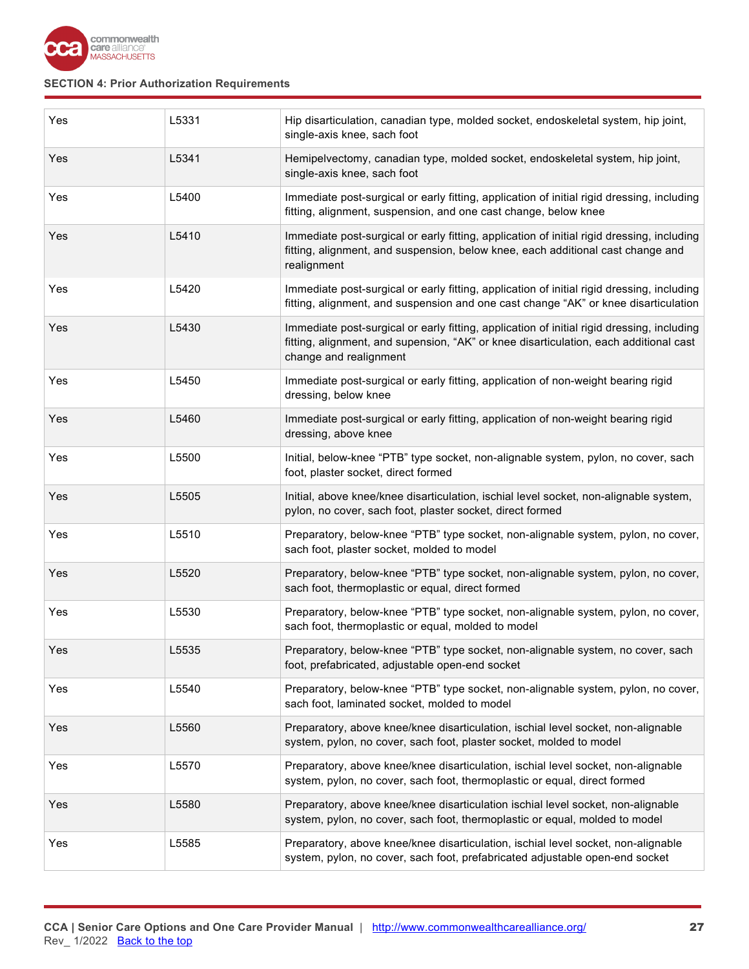

| Yes | L5331 | Hip disarticulation, canadian type, molded socket, endoskeletal system, hip joint,<br>single-axis knee, sach foot                                                                                             |
|-----|-------|---------------------------------------------------------------------------------------------------------------------------------------------------------------------------------------------------------------|
| Yes | L5341 | Hemipelvectomy, canadian type, molded socket, endoskeletal system, hip joint,<br>single-axis knee, sach foot                                                                                                  |
| Yes | L5400 | Immediate post-surgical or early fitting, application of initial rigid dressing, including<br>fitting, alignment, suspension, and one cast change, below knee                                                 |
| Yes | L5410 | Immediate post-surgical or early fitting, application of initial rigid dressing, including<br>fitting, alignment, and suspension, below knee, each additional cast change and<br>realignment                  |
| Yes | L5420 | Immediate post-surgical or early fitting, application of initial rigid dressing, including<br>fitting, alignment, and suspension and one cast change "AK" or knee disarticulation                             |
| Yes | L5430 | Immediate post-surgical or early fitting, application of initial rigid dressing, including<br>fitting, alignment, and supension, "AK" or knee disarticulation, each additional cast<br>change and realignment |
| Yes | L5450 | Immediate post-surgical or early fitting, application of non-weight bearing rigid<br>dressing, below knee                                                                                                     |
| Yes | L5460 | Immediate post-surgical or early fitting, application of non-weight bearing rigid<br>dressing, above knee                                                                                                     |
| Yes | L5500 | Initial, below-knee "PTB" type socket, non-alignable system, pylon, no cover, sach<br>foot, plaster socket, direct formed                                                                                     |
| Yes | L5505 | Initial, above knee/knee disarticulation, ischial level socket, non-alignable system,<br>pylon, no cover, sach foot, plaster socket, direct formed                                                            |
| Yes | L5510 | Preparatory, below-knee "PTB" type socket, non-alignable system, pylon, no cover,<br>sach foot, plaster socket, molded to model                                                                               |
| Yes | L5520 | Preparatory, below-knee "PTB" type socket, non-alignable system, pylon, no cover,<br>sach foot, thermoplastic or equal, direct formed                                                                         |
| Yes | L5530 | Preparatory, below-knee "PTB" type socket, non-alignable system, pylon, no cover,<br>sach foot, thermoplastic or equal, molded to model                                                                       |
| Yes | L5535 | Preparatory, below-knee "PTB" type socket, non-alignable system, no cover, sach<br>foot, prefabricated, adjustable open-end socket                                                                            |
| Yes | L5540 | Preparatory, below-knee "PTB" type socket, non-alignable system, pylon, no cover,<br>sach foot, laminated socket, molded to model                                                                             |
| Yes | L5560 | Preparatory, above knee/knee disarticulation, ischial level socket, non-alignable<br>system, pylon, no cover, sach foot, plaster socket, molded to model                                                      |
| Yes | L5570 | Preparatory, above knee/knee disarticulation, ischial level socket, non-alignable<br>system, pylon, no cover, sach foot, thermoplastic or equal, direct formed                                                |
| Yes | L5580 | Preparatory, above knee/knee disarticulation ischial level socket, non-alignable<br>system, pylon, no cover, sach foot, thermoplastic or equal, molded to model                                               |
| Yes | L5585 | Preparatory, above knee/knee disarticulation, ischial level socket, non-alignable<br>system, pylon, no cover, sach foot, prefabricated adjustable open-end socket                                             |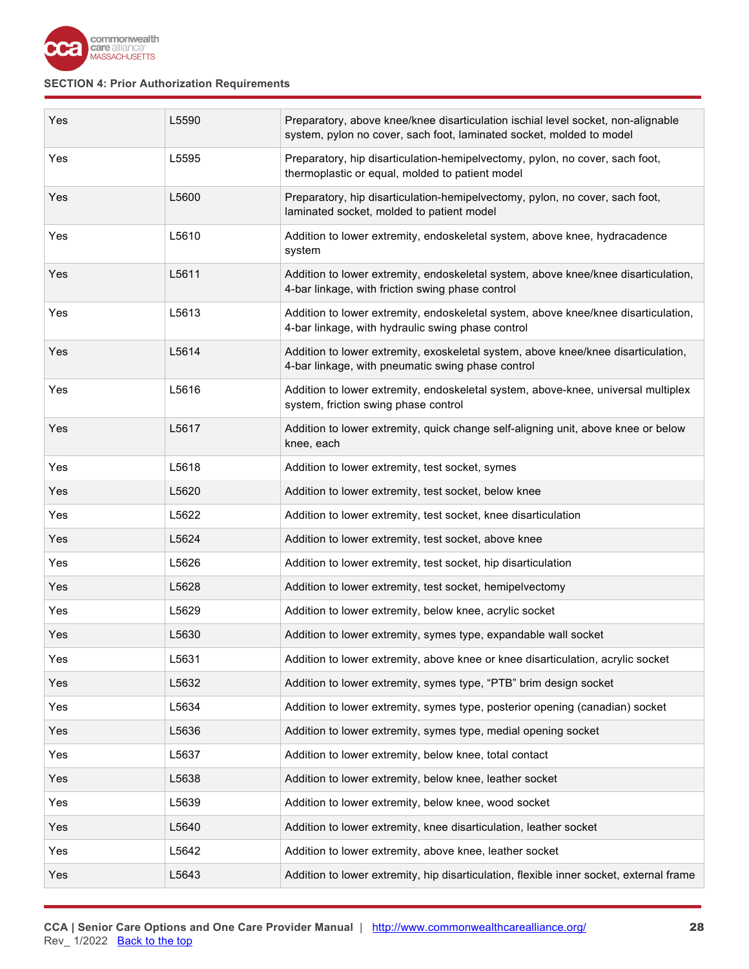

| Yes | L5590 | Preparatory, above knee/knee disarticulation ischial level socket, non-alignable<br>system, pylon no cover, sach foot, laminated socket, molded to model |
|-----|-------|----------------------------------------------------------------------------------------------------------------------------------------------------------|
| Yes | L5595 | Preparatory, hip disarticulation-hemipelvectomy, pylon, no cover, sach foot,<br>thermoplastic or equal, molded to patient model                          |
| Yes | L5600 | Preparatory, hip disarticulation-hemipelvectomy, pylon, no cover, sach foot,<br>laminated socket, molded to patient model                                |
| Yes | L5610 | Addition to lower extremity, endoskeletal system, above knee, hydracadence<br>system                                                                     |
| Yes | L5611 | Addition to lower extremity, endoskeletal system, above knee/knee disarticulation,<br>4-bar linkage, with friction swing phase control                   |
| Yes | L5613 | Addition to lower extremity, endoskeletal system, above knee/knee disarticulation,<br>4-bar linkage, with hydraulic swing phase control                  |
| Yes | L5614 | Addition to lower extremity, exoskeletal system, above knee/knee disarticulation,<br>4-bar linkage, with pneumatic swing phase control                   |
| Yes | L5616 | Addition to lower extremity, endoskeletal system, above-knee, universal multiplex<br>system, friction swing phase control                                |
| Yes | L5617 | Addition to lower extremity, quick change self-aligning unit, above knee or below<br>knee, each                                                          |
| Yes | L5618 | Addition to lower extremity, test socket, symes                                                                                                          |
| Yes | L5620 | Addition to lower extremity, test socket, below knee                                                                                                     |
| Yes | L5622 | Addition to lower extremity, test socket, knee disarticulation                                                                                           |
| Yes | L5624 | Addition to lower extremity, test socket, above knee                                                                                                     |
| Yes | L5626 | Addition to lower extremity, test socket, hip disarticulation                                                                                            |
| Yes | L5628 | Addition to lower extremity, test socket, hemipelvectomy                                                                                                 |
| Yes | L5629 | Addition to lower extremity, below knee, acrylic socket                                                                                                  |
| Yes | L5630 | Addition to lower extremity, symes type, expandable wall socket                                                                                          |
| Yes | L5631 | Addition to lower extremity, above knee or knee disarticulation, acrylic socket                                                                          |
| Yes | L5632 | Addition to lower extremity, symes type, "PTB" brim design socket                                                                                        |
| Yes | L5634 | Addition to lower extremity, symes type, posterior opening (canadian) socket                                                                             |
| Yes | L5636 | Addition to lower extremity, symes type, medial opening socket                                                                                           |
| Yes | L5637 | Addition to lower extremity, below knee, total contact                                                                                                   |
| Yes | L5638 | Addition to lower extremity, below knee, leather socket                                                                                                  |
| Yes | L5639 | Addition to lower extremity, below knee, wood socket                                                                                                     |
| Yes | L5640 | Addition to lower extremity, knee disarticulation, leather socket                                                                                        |
| Yes | L5642 | Addition to lower extremity, above knee, leather socket                                                                                                  |
| Yes | L5643 | Addition to lower extremity, hip disarticulation, flexible inner socket, external frame                                                                  |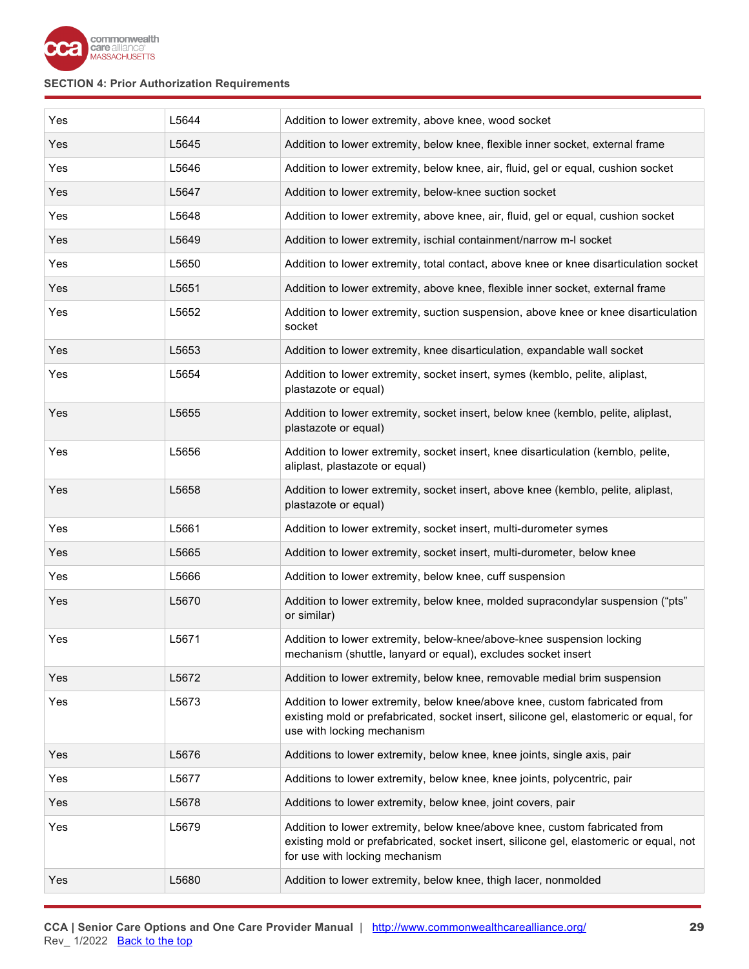

| Yes | L5644 | Addition to lower extremity, above knee, wood socket                                                                                                                                                   |
|-----|-------|--------------------------------------------------------------------------------------------------------------------------------------------------------------------------------------------------------|
| Yes | L5645 | Addition to lower extremity, below knee, flexible inner socket, external frame                                                                                                                         |
| Yes | L5646 | Addition to lower extremity, below knee, air, fluid, gel or equal, cushion socket                                                                                                                      |
| Yes | L5647 | Addition to lower extremity, below-knee suction socket                                                                                                                                                 |
| Yes | L5648 | Addition to lower extremity, above knee, air, fluid, gel or equal, cushion socket                                                                                                                      |
| Yes | L5649 | Addition to lower extremity, ischial containment/narrow m-I socket                                                                                                                                     |
| Yes | L5650 | Addition to lower extremity, total contact, above knee or knee disarticulation socket                                                                                                                  |
| Yes | L5651 | Addition to lower extremity, above knee, flexible inner socket, external frame                                                                                                                         |
| Yes | L5652 | Addition to lower extremity, suction suspension, above knee or knee disarticulation<br>socket                                                                                                          |
| Yes | L5653 | Addition to lower extremity, knee disarticulation, expandable wall socket                                                                                                                              |
| Yes | L5654 | Addition to lower extremity, socket insert, symes (kemblo, pelite, aliplast,<br>plastazote or equal)                                                                                                   |
| Yes | L5655 | Addition to lower extremity, socket insert, below knee (kemblo, pelite, aliplast,<br>plastazote or equal)                                                                                              |
| Yes | L5656 | Addition to lower extremity, socket insert, knee disarticulation (kemblo, pelite,<br>aliplast, plastazote or equal)                                                                                    |
| Yes | L5658 | Addition to lower extremity, socket insert, above knee (kemblo, pelite, aliplast,<br>plastazote or equal)                                                                                              |
| Yes | L5661 | Addition to lower extremity, socket insert, multi-durometer symes                                                                                                                                      |
| Yes | L5665 | Addition to lower extremity, socket insert, multi-durometer, below knee                                                                                                                                |
| Yes | L5666 | Addition to lower extremity, below knee, cuff suspension                                                                                                                                               |
| Yes | L5670 | Addition to lower extremity, below knee, molded supracondylar suspension ("pts"<br>or similar)                                                                                                         |
| Yes | L5671 | Addition to lower extremity, below-knee/above-knee suspension locking<br>mechanism (shuttle, lanyard or equal), excludes socket insert                                                                 |
| Yes | L5672 | Addition to lower extremity, below knee, removable medial brim suspension                                                                                                                              |
| Yes | L5673 | Addition to lower extremity, below knee/above knee, custom fabricated from<br>existing mold or prefabricated, socket insert, silicone gel, elastomeric or equal, for<br>use with locking mechanism     |
| Yes | L5676 | Additions to lower extremity, below knee, knee joints, single axis, pair                                                                                                                               |
| Yes | L5677 | Additions to lower extremity, below knee, knee joints, polycentric, pair                                                                                                                               |
| Yes | L5678 | Additions to lower extremity, below knee, joint covers, pair                                                                                                                                           |
| Yes | L5679 | Addition to lower extremity, below knee/above knee, custom fabricated from<br>existing mold or prefabricated, socket insert, silicone gel, elastomeric or equal, not<br>for use with locking mechanism |
| Yes | L5680 | Addition to lower extremity, below knee, thigh lacer, nonmolded                                                                                                                                        |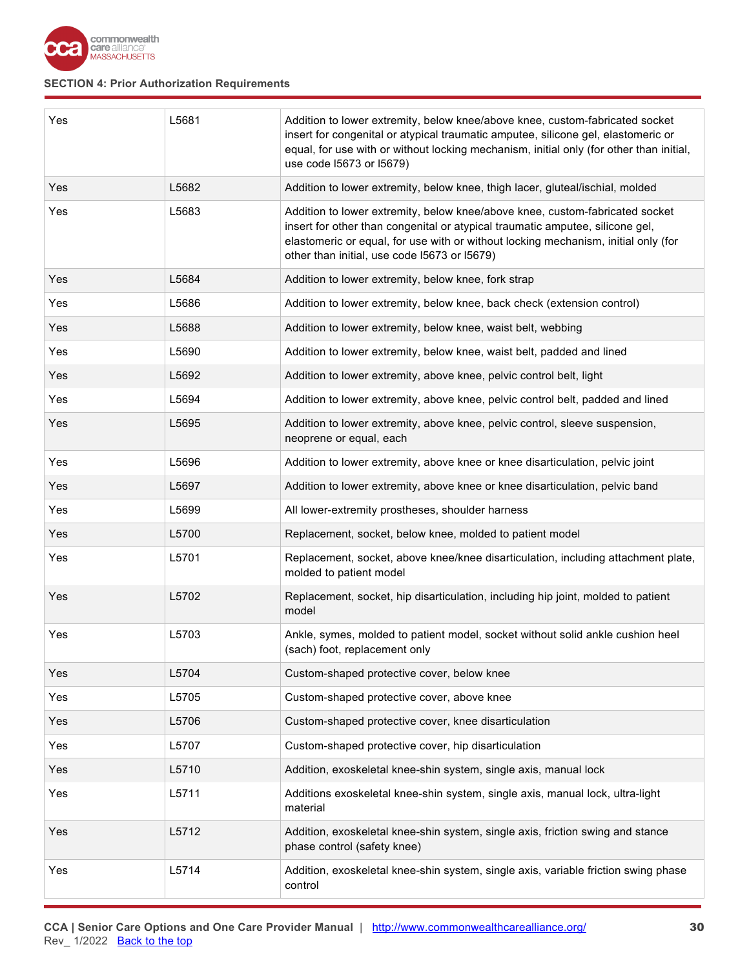

| Yes | L5681 | Addition to lower extremity, below knee/above knee, custom-fabricated socket<br>insert for congenital or atypical traumatic amputee, silicone gel, elastomeric or<br>equal, for use with or without locking mechanism, initial only (for other than initial,<br>use code I5673 or I5679)            |
|-----|-------|-----------------------------------------------------------------------------------------------------------------------------------------------------------------------------------------------------------------------------------------------------------------------------------------------------|
| Yes | L5682 | Addition to lower extremity, below knee, thigh lacer, gluteal/ischial, molded                                                                                                                                                                                                                       |
| Yes | L5683 | Addition to lower extremity, below knee/above knee, custom-fabricated socket<br>insert for other than congenital or atypical traumatic amputee, silicone gel,<br>elastomeric or equal, for use with or without locking mechanism, initial only (for<br>other than initial, use code I5673 or I5679) |
| Yes | L5684 | Addition to lower extremity, below knee, fork strap                                                                                                                                                                                                                                                 |
| Yes | L5686 | Addition to lower extremity, below knee, back check (extension control)                                                                                                                                                                                                                             |
| Yes | L5688 | Addition to lower extremity, below knee, waist belt, webbing                                                                                                                                                                                                                                        |
| Yes | L5690 | Addition to lower extremity, below knee, waist belt, padded and lined                                                                                                                                                                                                                               |
| Yes | L5692 | Addition to lower extremity, above knee, pelvic control belt, light                                                                                                                                                                                                                                 |
| Yes | L5694 | Addition to lower extremity, above knee, pelvic control belt, padded and lined                                                                                                                                                                                                                      |
| Yes | L5695 | Addition to lower extremity, above knee, pelvic control, sleeve suspension,<br>neoprene or equal, each                                                                                                                                                                                              |
| Yes | L5696 | Addition to lower extremity, above knee or knee disarticulation, pelvic joint                                                                                                                                                                                                                       |
| Yes | L5697 | Addition to lower extremity, above knee or knee disarticulation, pelvic band                                                                                                                                                                                                                        |
| Yes | L5699 | All lower-extremity prostheses, shoulder harness                                                                                                                                                                                                                                                    |
| Yes | L5700 | Replacement, socket, below knee, molded to patient model                                                                                                                                                                                                                                            |
| Yes | L5701 | Replacement, socket, above knee/knee disarticulation, including attachment plate,<br>molded to patient model                                                                                                                                                                                        |
| Yes | L5702 | Replacement, socket, hip disarticulation, including hip joint, molded to patient<br>model                                                                                                                                                                                                           |
| Yes | L5703 | Ankle, symes, molded to patient model, socket without solid ankle cushion heel<br>(sach) foot, replacement only                                                                                                                                                                                     |
| Yes | L5704 | Custom-shaped protective cover, below knee                                                                                                                                                                                                                                                          |
| Yes | L5705 | Custom-shaped protective cover, above knee                                                                                                                                                                                                                                                          |
| Yes | L5706 | Custom-shaped protective cover, knee disarticulation                                                                                                                                                                                                                                                |
| Yes | L5707 | Custom-shaped protective cover, hip disarticulation                                                                                                                                                                                                                                                 |
| Yes | L5710 | Addition, exoskeletal knee-shin system, single axis, manual lock                                                                                                                                                                                                                                    |
| Yes | L5711 | Additions exoskeletal knee-shin system, single axis, manual lock, ultra-light<br>material                                                                                                                                                                                                           |
| Yes | L5712 | Addition, exoskeletal knee-shin system, single axis, friction swing and stance<br>phase control (safety knee)                                                                                                                                                                                       |
| Yes | L5714 | Addition, exoskeletal knee-shin system, single axis, variable friction swing phase<br>control                                                                                                                                                                                                       |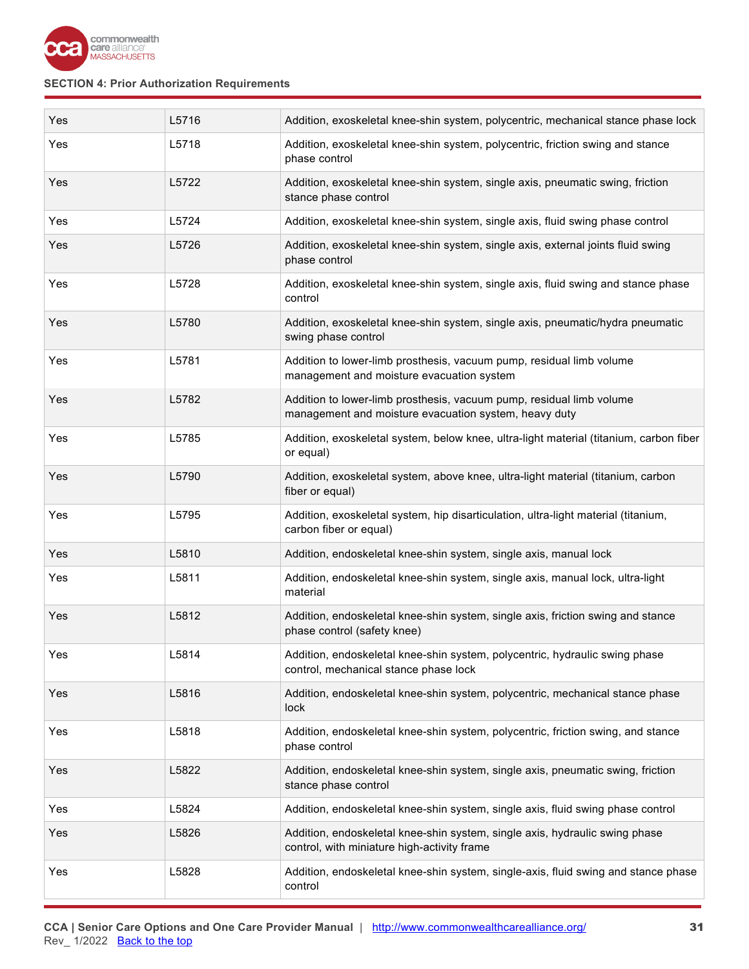

| Yes | L5716 | Addition, exoskeletal knee-shin system, polycentric, mechanical stance phase lock                                             |
|-----|-------|-------------------------------------------------------------------------------------------------------------------------------|
| Yes | L5718 | Addition, exoskeletal knee-shin system, polycentric, friction swing and stance<br>phase control                               |
| Yes | L5722 | Addition, exoskeletal knee-shin system, single axis, pneumatic swing, friction<br>stance phase control                        |
| Yes | L5724 | Addition, exoskeletal knee-shin system, single axis, fluid swing phase control                                                |
| Yes | L5726 | Addition, exoskeletal knee-shin system, single axis, external joints fluid swing<br>phase control                             |
| Yes | L5728 | Addition, exoskeletal knee-shin system, single axis, fluid swing and stance phase<br>control                                  |
| Yes | L5780 | Addition, exoskeletal knee-shin system, single axis, pneumatic/hydra pneumatic<br>swing phase control                         |
| Yes | L5781 | Addition to lower-limb prosthesis, vacuum pump, residual limb volume<br>management and moisture evacuation system             |
| Yes | L5782 | Addition to lower-limb prosthesis, vacuum pump, residual limb volume<br>management and moisture evacuation system, heavy duty |
| Yes | L5785 | Addition, exoskeletal system, below knee, ultra-light material (titanium, carbon fiber<br>or equal)                           |
| Yes | L5790 | Addition, exoskeletal system, above knee, ultra-light material (titanium, carbon<br>fiber or equal)                           |
| Yes | L5795 | Addition, exoskeletal system, hip disarticulation, ultra-light material (titanium,<br>carbon fiber or equal)                  |
| Yes | L5810 | Addition, endoskeletal knee-shin system, single axis, manual lock                                                             |
| Yes | L5811 | Addition, endoskeletal knee-shin system, single axis, manual lock, ultra-light<br>material                                    |
| Yes | L5812 | Addition, endoskeletal knee-shin system, single axis, friction swing and stance<br>phase control (safety knee)                |
| Yes | L5814 | Addition, endoskeletal knee-shin system, polycentric, hydraulic swing phase<br>control, mechanical stance phase lock          |
| Yes | L5816 | Addition, endoskeletal knee-shin system, polycentric, mechanical stance phase<br>lock                                         |
| Yes | L5818 | Addition, endoskeletal knee-shin system, polycentric, friction swing, and stance<br>phase control                             |
| Yes | L5822 | Addition, endoskeletal knee-shin system, single axis, pneumatic swing, friction<br>stance phase control                       |
| Yes | L5824 | Addition, endoskeletal knee-shin system, single axis, fluid swing phase control                                               |
| Yes | L5826 | Addition, endoskeletal knee-shin system, single axis, hydraulic swing phase<br>control, with miniature high-activity frame    |
| Yes | L5828 | Addition, endoskeletal knee-shin system, single-axis, fluid swing and stance phase<br>control                                 |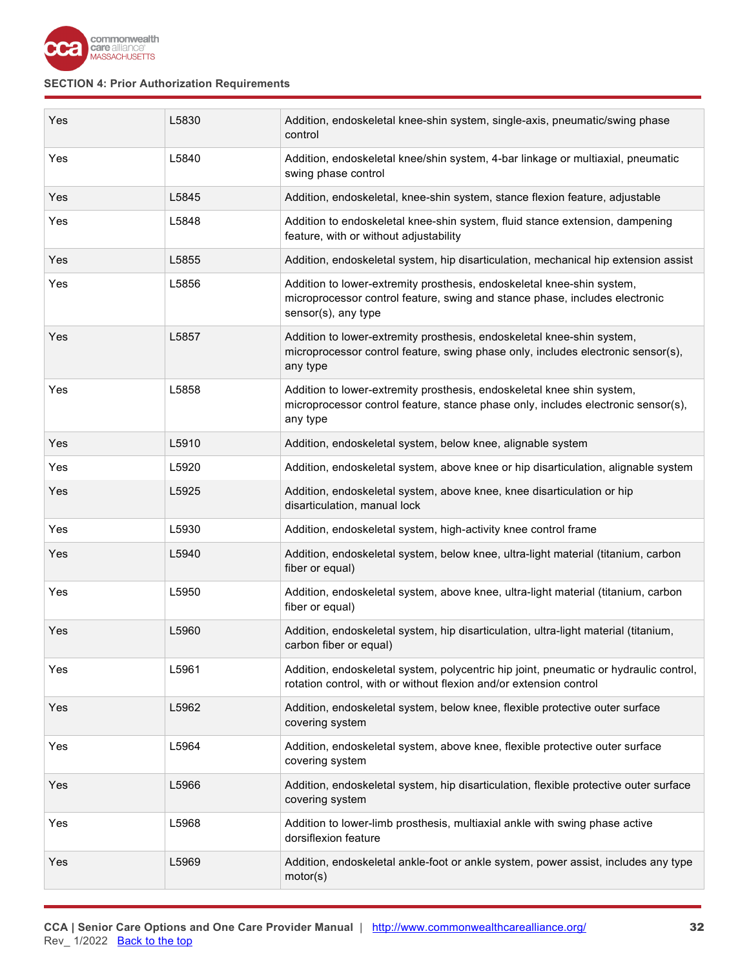

| Yes | L5830 | Addition, endoskeletal knee-shin system, single-axis, pneumatic/swing phase<br>control                                                                                       |
|-----|-------|------------------------------------------------------------------------------------------------------------------------------------------------------------------------------|
| Yes | L5840 | Addition, endoskeletal knee/shin system, 4-bar linkage or multiaxial, pneumatic<br>swing phase control                                                                       |
| Yes | L5845 | Addition, endoskeletal, knee-shin system, stance flexion feature, adjustable                                                                                                 |
| Yes | L5848 | Addition to endoskeletal knee-shin system, fluid stance extension, dampening<br>feature, with or without adjustability                                                       |
| Yes | L5855 | Addition, endoskeletal system, hip disarticulation, mechanical hip extension assist                                                                                          |
| Yes | L5856 | Addition to lower-extremity prosthesis, endoskeletal knee-shin system,<br>microprocessor control feature, swing and stance phase, includes electronic<br>sensor(s), any type |
| Yes | L5857 | Addition to lower-extremity prosthesis, endoskeletal knee-shin system,<br>microprocessor control feature, swing phase only, includes electronic sensor(s),<br>any type       |
| Yes | L5858 | Addition to lower-extremity prosthesis, endoskeletal knee shin system,<br>microprocessor control feature, stance phase only, includes electronic sensor(s),<br>any type      |
| Yes | L5910 | Addition, endoskeletal system, below knee, alignable system                                                                                                                  |
| Yes | L5920 | Addition, endoskeletal system, above knee or hip disarticulation, alignable system                                                                                           |
| Yes | L5925 | Addition, endoskeletal system, above knee, knee disarticulation or hip<br>disarticulation, manual lock                                                                       |
| Yes | L5930 | Addition, endoskeletal system, high-activity knee control frame                                                                                                              |
| Yes | L5940 | Addition, endoskeletal system, below knee, ultra-light material (titanium, carbon<br>fiber or equal)                                                                         |
| Yes | L5950 | Addition, endoskeletal system, above knee, ultra-light material (titanium, carbon<br>fiber or equal)                                                                         |
| Yes | L5960 | Addition, endoskeletal system, hip disarticulation, ultra-light material (titanium,<br>carbon fiber or equal)                                                                |
| Yes | L5961 | Addition, endoskeletal system, polycentric hip joint, pneumatic or hydraulic control,<br>rotation control, with or without flexion and/or extension control                  |
| Yes | L5962 | Addition, endoskeletal system, below knee, flexible protective outer surface<br>covering system                                                                              |
| Yes | L5964 | Addition, endoskeletal system, above knee, flexible protective outer surface<br>covering system                                                                              |
| Yes | L5966 | Addition, endoskeletal system, hip disarticulation, flexible protective outer surface<br>covering system                                                                     |
| Yes | L5968 | Addition to lower-limb prosthesis, multiaxial ankle with swing phase active<br>dorsiflexion feature                                                                          |
| Yes | L5969 | Addition, endoskeletal ankle-foot or ankle system, power assist, includes any type<br>motor(s)                                                                               |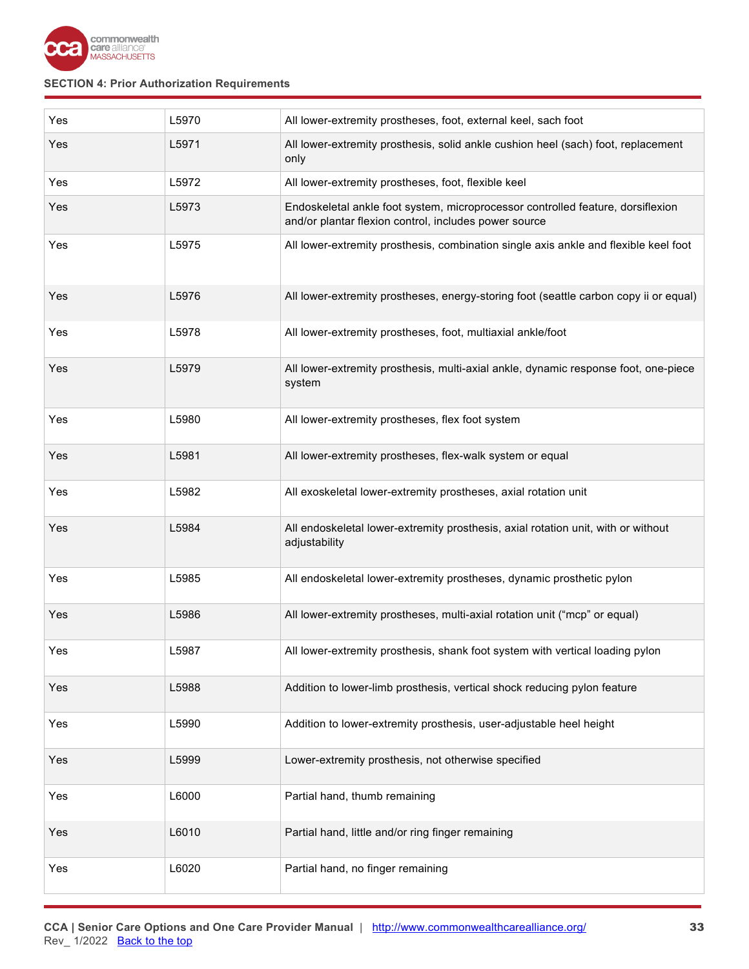

| Yes | L5970 | All lower-extremity prostheses, foot, external keel, sach foot                                                                           |
|-----|-------|------------------------------------------------------------------------------------------------------------------------------------------|
| Yes | L5971 | All lower-extremity prosthesis, solid ankle cushion heel (sach) foot, replacement<br>only                                                |
| Yes | L5972 | All lower-extremity prostheses, foot, flexible keel                                                                                      |
| Yes | L5973 | Endoskeletal ankle foot system, microprocessor controlled feature, dorsiflexion<br>and/or plantar flexion control, includes power source |
| Yes | L5975 | All lower-extremity prosthesis, combination single axis ankle and flexible keel foot                                                     |
| Yes | L5976 | All lower-extremity prostheses, energy-storing foot (seattle carbon copy ii or equal)                                                    |
| Yes | L5978 | All lower-extremity prostheses, foot, multiaxial ankle/foot                                                                              |
| Yes | L5979 | All lower-extremity prosthesis, multi-axial ankle, dynamic response foot, one-piece<br>system                                            |
| Yes | L5980 | All lower-extremity prostheses, flex foot system                                                                                         |
| Yes | L5981 | All lower-extremity prostheses, flex-walk system or equal                                                                                |
| Yes | L5982 | All exoskeletal lower-extremity prostheses, axial rotation unit                                                                          |
| Yes | L5984 | All endoskeletal lower-extremity prosthesis, axial rotation unit, with or without<br>adjustability                                       |
| Yes | L5985 | All endoskeletal lower-extremity prostheses, dynamic prosthetic pylon                                                                    |
| Yes | L5986 | All lower-extremity prostheses, multi-axial rotation unit ("mcp" or equal)                                                               |
| Yes | L5987 | All lower-extremity prosthesis, shank foot system with vertical loading pylon                                                            |
| Yes | L5988 | Addition to lower-limb prosthesis, vertical shock reducing pylon feature                                                                 |
| Yes | L5990 | Addition to lower-extremity prosthesis, user-adjustable heel height                                                                      |
| Yes | L5999 | Lower-extremity prosthesis, not otherwise specified                                                                                      |
| Yes | L6000 | Partial hand, thumb remaining                                                                                                            |
| Yes | L6010 | Partial hand, little and/or ring finger remaining                                                                                        |
| Yes | L6020 | Partial hand, no finger remaining                                                                                                        |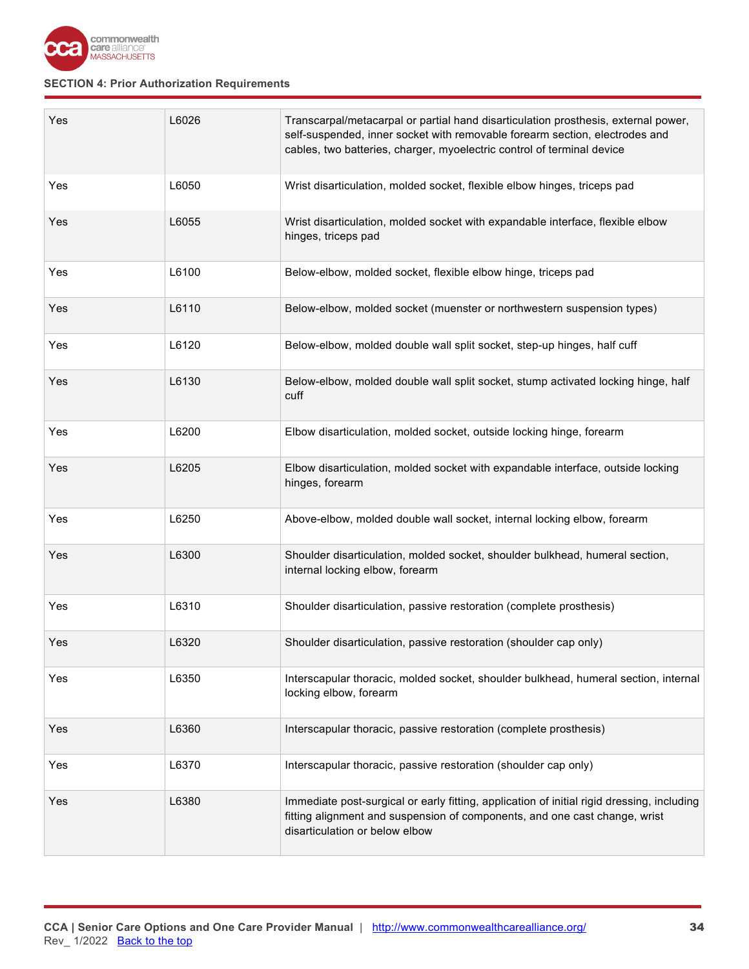

| Yes | L6026 | Transcarpal/metacarpal or partial hand disarticulation prosthesis, external power,<br>self-suspended, inner socket with removable forearm section, electrodes and<br>cables, two batteries, charger, myoelectric control of terminal device |
|-----|-------|---------------------------------------------------------------------------------------------------------------------------------------------------------------------------------------------------------------------------------------------|
| Yes | L6050 | Wrist disarticulation, molded socket, flexible elbow hinges, triceps pad                                                                                                                                                                    |
| Yes | L6055 | Wrist disarticulation, molded socket with expandable interface, flexible elbow<br>hinges, triceps pad                                                                                                                                       |
| Yes | L6100 | Below-elbow, molded socket, flexible elbow hinge, triceps pad                                                                                                                                                                               |
| Yes | L6110 | Below-elbow, molded socket (muenster or northwestern suspension types)                                                                                                                                                                      |
| Yes | L6120 | Below-elbow, molded double wall split socket, step-up hinges, half cuff                                                                                                                                                                     |
| Yes | L6130 | Below-elbow, molded double wall split socket, stump activated locking hinge, half<br>cuff                                                                                                                                                   |
| Yes | L6200 | Elbow disarticulation, molded socket, outside locking hinge, forearm                                                                                                                                                                        |
| Yes | L6205 | Elbow disarticulation, molded socket with expandable interface, outside locking<br>hinges, forearm                                                                                                                                          |
| Yes | L6250 | Above-elbow, molded double wall socket, internal locking elbow, forearm                                                                                                                                                                     |
| Yes | L6300 | Shoulder disarticulation, molded socket, shoulder bulkhead, humeral section,<br>internal locking elbow, forearm                                                                                                                             |
| Yes | L6310 | Shoulder disarticulation, passive restoration (complete prosthesis)                                                                                                                                                                         |
| Yes | L6320 | Shoulder disarticulation, passive restoration (shoulder cap only)                                                                                                                                                                           |
| Yes | L6350 | Interscapular thoracic, molded socket, shoulder bulkhead, humeral section, internal<br>locking elbow, forearm                                                                                                                               |
| Yes | L6360 | Interscapular thoracic, passive restoration (complete prosthesis)                                                                                                                                                                           |
| Yes | L6370 | Interscapular thoracic, passive restoration (shoulder cap only)                                                                                                                                                                             |
| Yes | L6380 | Immediate post-surgical or early fitting, application of initial rigid dressing, including<br>fitting alignment and suspension of components, and one cast change, wrist<br>disarticulation or below elbow                                  |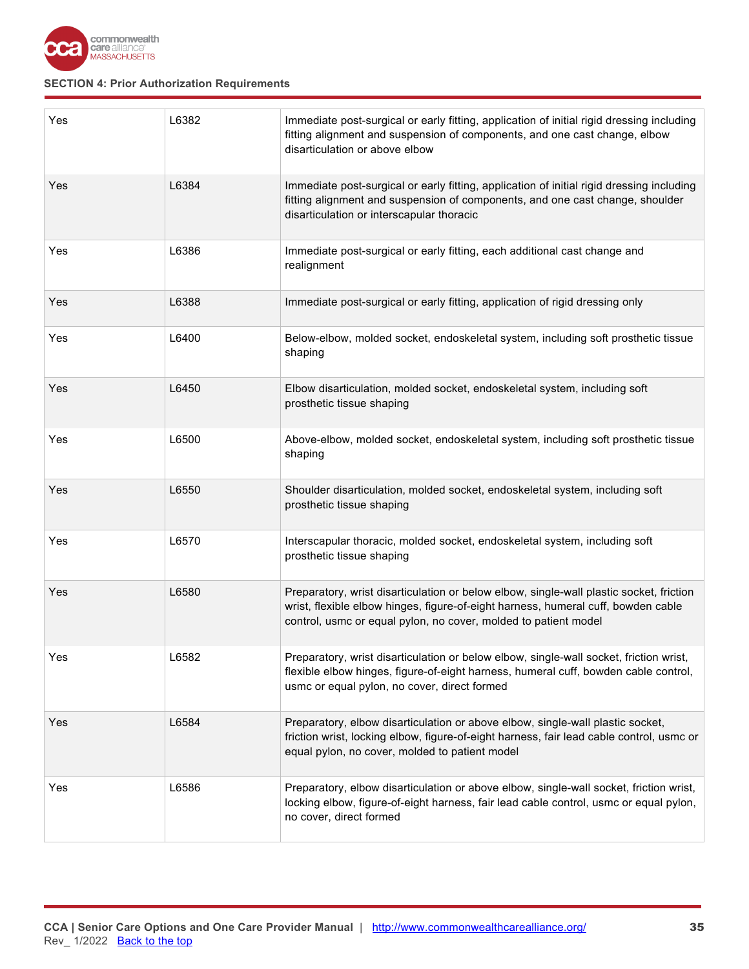

| Yes | L6382 | Immediate post-surgical or early fitting, application of initial rigid dressing including<br>fitting alignment and suspension of components, and one cast change, elbow<br>disarticulation or above elbow                                       |
|-----|-------|-------------------------------------------------------------------------------------------------------------------------------------------------------------------------------------------------------------------------------------------------|
| Yes | L6384 | Immediate post-surgical or early fitting, application of initial rigid dressing including<br>fitting alignment and suspension of components, and one cast change, shoulder<br>disarticulation or interscapular thoracic                         |
| Yes | L6386 | Immediate post-surgical or early fitting, each additional cast change and<br>realignment                                                                                                                                                        |
| Yes | L6388 | Immediate post-surgical or early fitting, application of rigid dressing only                                                                                                                                                                    |
| Yes | L6400 | Below-elbow, molded socket, endoskeletal system, including soft prosthetic tissue<br>shaping                                                                                                                                                    |
| Yes | L6450 | Elbow disarticulation, molded socket, endoskeletal system, including soft<br>prosthetic tissue shaping                                                                                                                                          |
| Yes | L6500 | Above-elbow, molded socket, endoskeletal system, including soft prosthetic tissue<br>shaping                                                                                                                                                    |
| Yes | L6550 | Shoulder disarticulation, molded socket, endoskeletal system, including soft<br>prosthetic tissue shaping                                                                                                                                       |
| Yes | L6570 | Interscapular thoracic, molded socket, endoskeletal system, including soft<br>prosthetic tissue shaping                                                                                                                                         |
| Yes | L6580 | Preparatory, wrist disarticulation or below elbow, single-wall plastic socket, friction<br>wrist, flexible elbow hinges, figure-of-eight harness, humeral cuff, bowden cable<br>control, usmc or equal pylon, no cover, molded to patient model |
| Yes | L6582 | Preparatory, wrist disarticulation or below elbow, single-wall socket, friction wrist,<br>flexible elbow hinges, figure-of-eight harness, humeral cuff, bowden cable control,<br>usmc or equal pylon, no cover, direct formed                   |
| Yes | L6584 | Preparatory, elbow disarticulation or above elbow, single-wall plastic socket,<br>friction wrist, locking elbow, figure-of-eight harness, fair lead cable control, usmc or<br>equal pylon, no cover, molded to patient model                    |
| Yes | L6586 | Preparatory, elbow disarticulation or above elbow, single-wall socket, friction wrist,<br>locking elbow, figure-of-eight harness, fair lead cable control, usmc or equal pylon,<br>no cover, direct formed                                      |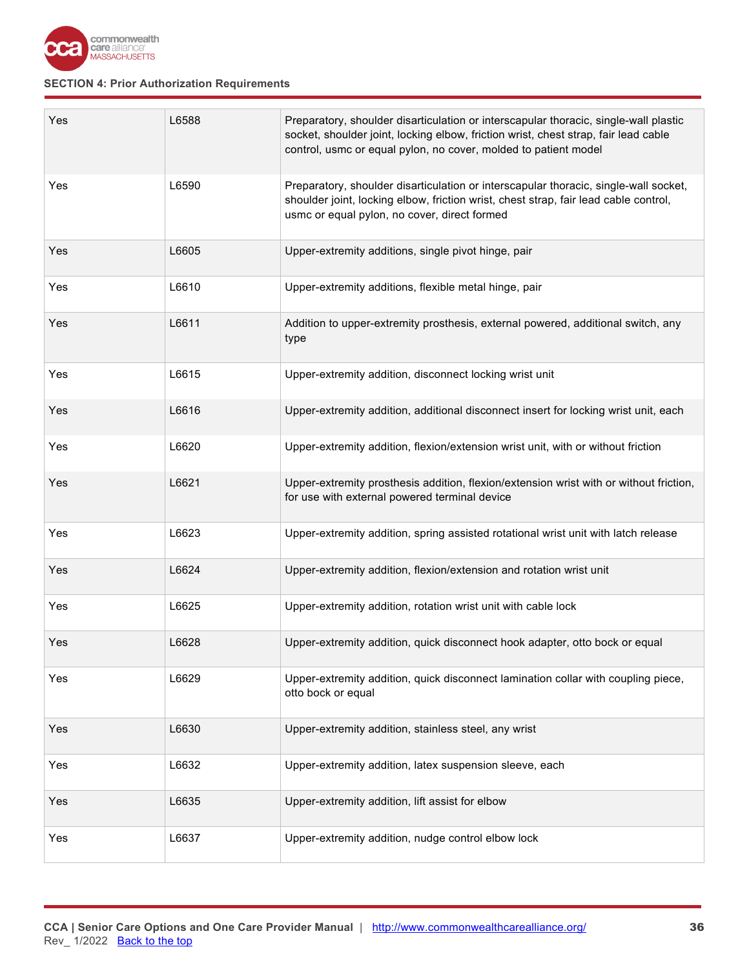

| Yes | L6588 | Preparatory, shoulder disarticulation or interscapular thoracic, single-wall plastic<br>socket, shoulder joint, locking elbow, friction wrist, chest strap, fair lead cable<br>control, usmc or equal pylon, no cover, molded to patient model |
|-----|-------|------------------------------------------------------------------------------------------------------------------------------------------------------------------------------------------------------------------------------------------------|
| Yes | L6590 | Preparatory, shoulder disarticulation or interscapular thoracic, single-wall socket,<br>shoulder joint, locking elbow, friction wrist, chest strap, fair lead cable control,<br>usmc or equal pylon, no cover, direct formed                   |
| Yes | L6605 | Upper-extremity additions, single pivot hinge, pair                                                                                                                                                                                            |
| Yes | L6610 | Upper-extremity additions, flexible metal hinge, pair                                                                                                                                                                                          |
| Yes | L6611 | Addition to upper-extremity prosthesis, external powered, additional switch, any<br>type                                                                                                                                                       |
| Yes | L6615 | Upper-extremity addition, disconnect locking wrist unit                                                                                                                                                                                        |
| Yes | L6616 | Upper-extremity addition, additional disconnect insert for locking wrist unit, each                                                                                                                                                            |
| Yes | L6620 | Upper-extremity addition, flexion/extension wrist unit, with or without friction                                                                                                                                                               |
| Yes | L6621 | Upper-extremity prosthesis addition, flexion/extension wrist with or without friction,<br>for use with external powered terminal device                                                                                                        |
| Yes | L6623 | Upper-extremity addition, spring assisted rotational wrist unit with latch release                                                                                                                                                             |
| Yes | L6624 | Upper-extremity addition, flexion/extension and rotation wrist unit                                                                                                                                                                            |
| Yes | L6625 | Upper-extremity addition, rotation wrist unit with cable lock                                                                                                                                                                                  |
| Yes | L6628 | Upper-extremity addition, quick disconnect hook adapter, otto bock or equal                                                                                                                                                                    |
| Yes | L6629 | Upper-extremity addition, quick disconnect lamination collar with coupling piece,<br>otto bock or equal                                                                                                                                        |
| Yes | L6630 | Upper-extremity addition, stainless steel, any wrist                                                                                                                                                                                           |
| Yes | L6632 | Upper-extremity addition, latex suspension sleeve, each                                                                                                                                                                                        |
| Yes | L6635 | Upper-extremity addition, lift assist for elbow                                                                                                                                                                                                |
| Yes | L6637 | Upper-extremity addition, nudge control elbow lock                                                                                                                                                                                             |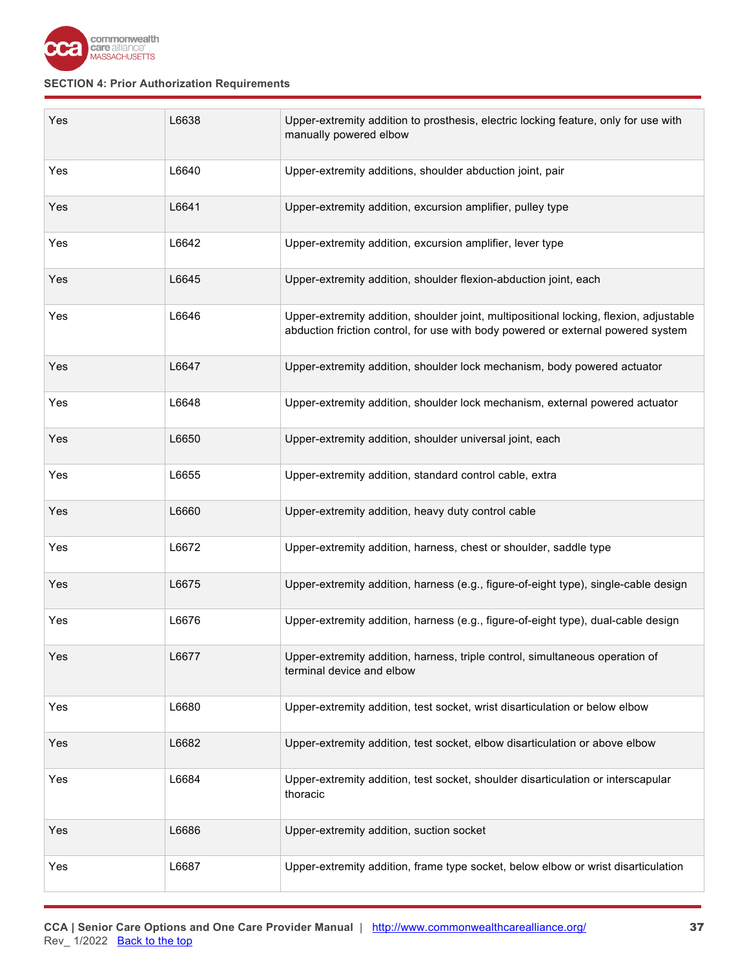

| Yes | L6638 | Upper-extremity addition to prosthesis, electric locking feature, only for use with<br>manually powered elbow                                                              |
|-----|-------|----------------------------------------------------------------------------------------------------------------------------------------------------------------------------|
| Yes | L6640 | Upper-extremity additions, shoulder abduction joint, pair                                                                                                                  |
| Yes | L6641 | Upper-extremity addition, excursion amplifier, pulley type                                                                                                                 |
| Yes | L6642 | Upper-extremity addition, excursion amplifier, lever type                                                                                                                  |
| Yes | L6645 | Upper-extremity addition, shoulder flexion-abduction joint, each                                                                                                           |
| Yes | L6646 | Upper-extremity addition, shoulder joint, multipositional locking, flexion, adjustable<br>abduction friction control, for use with body powered or external powered system |
| Yes | L6647 | Upper-extremity addition, shoulder lock mechanism, body powered actuator                                                                                                   |
| Yes | L6648 | Upper-extremity addition, shoulder lock mechanism, external powered actuator                                                                                               |
| Yes | L6650 | Upper-extremity addition, shoulder universal joint, each                                                                                                                   |
| Yes | L6655 | Upper-extremity addition, standard control cable, extra                                                                                                                    |
| Yes | L6660 | Upper-extremity addition, heavy duty control cable                                                                                                                         |
| Yes | L6672 | Upper-extremity addition, harness, chest or shoulder, saddle type                                                                                                          |
| Yes | L6675 | Upper-extremity addition, harness (e.g., figure-of-eight type), single-cable design                                                                                        |
| Yes | L6676 | Upper-extremity addition, harness (e.g., figure-of-eight type), dual-cable design                                                                                          |
| Yes | L6677 | Upper-extremity addition, harness, triple control, simultaneous operation of<br>terminal device and elbow                                                                  |
| Yes | L6680 | Upper-extremity addition, test socket, wrist disarticulation or below elbow                                                                                                |
| Yes | L6682 | Upper-extremity addition, test socket, elbow disarticulation or above elbow                                                                                                |
| Yes | L6684 | Upper-extremity addition, test socket, shoulder disarticulation or interscapular<br>thoracic                                                                               |
| Yes | L6686 | Upper-extremity addition, suction socket                                                                                                                                   |
| Yes | L6687 | Upper-extremity addition, frame type socket, below elbow or wrist disarticulation                                                                                          |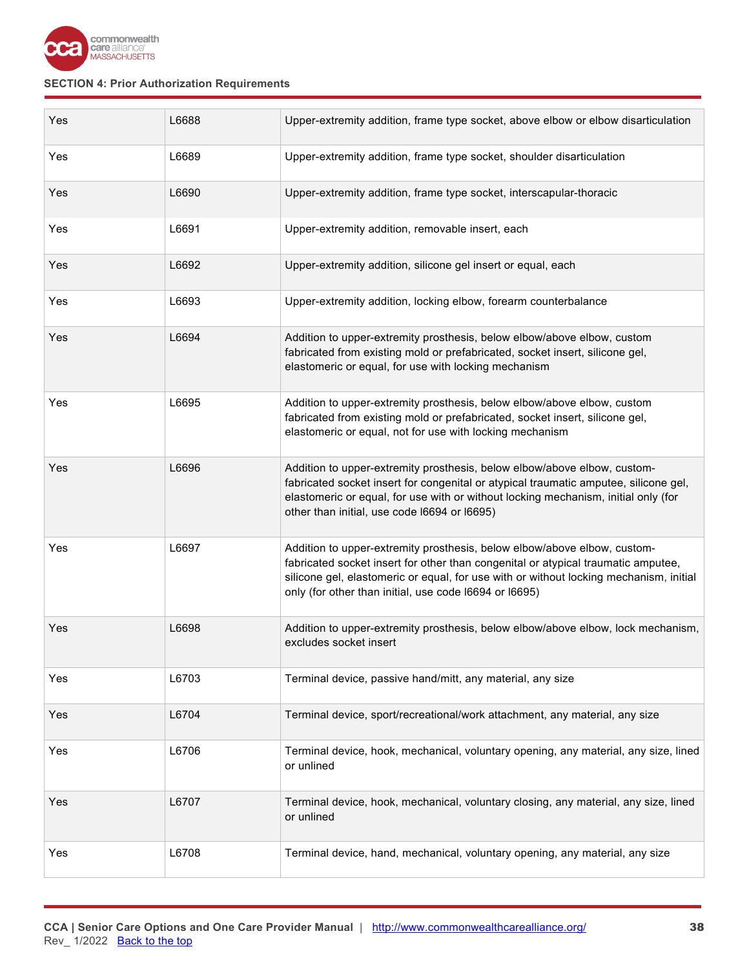

| Yes | L6688 | Upper-extremity addition, frame type socket, above elbow or elbow disarticulation                                                                                                                                                                                                                                 |
|-----|-------|-------------------------------------------------------------------------------------------------------------------------------------------------------------------------------------------------------------------------------------------------------------------------------------------------------------------|
| Yes | L6689 | Upper-extremity addition, frame type socket, shoulder disarticulation                                                                                                                                                                                                                                             |
| Yes | L6690 | Upper-extremity addition, frame type socket, interscapular-thoracic                                                                                                                                                                                                                                               |
| Yes | L6691 | Upper-extremity addition, removable insert, each                                                                                                                                                                                                                                                                  |
| Yes | L6692 | Upper-extremity addition, silicone gel insert or equal, each                                                                                                                                                                                                                                                      |
| Yes | L6693 | Upper-extremity addition, locking elbow, forearm counterbalance                                                                                                                                                                                                                                                   |
| Yes | L6694 | Addition to upper-extremity prosthesis, below elbow/above elbow, custom<br>fabricated from existing mold or prefabricated, socket insert, silicone gel,<br>elastomeric or equal, for use with locking mechanism                                                                                                   |
| Yes | L6695 | Addition to upper-extremity prosthesis, below elbow/above elbow, custom<br>fabricated from existing mold or prefabricated, socket insert, silicone gel,<br>elastomeric or equal, not for use with locking mechanism                                                                                               |
| Yes | L6696 | Addition to upper-extremity prosthesis, below elbow/above elbow, custom-<br>fabricated socket insert for congenital or atypical traumatic amputee, silicone gel,<br>elastomeric or equal, for use with or without locking mechanism, initial only (for<br>other than initial, use code I6694 or I6695)            |
| Yes | L6697 | Addition to upper-extremity prosthesis, below elbow/above elbow, custom-<br>fabricated socket insert for other than congenital or atypical traumatic amputee,<br>silicone gel, elastomeric or equal, for use with or without locking mechanism, initial<br>only (for other than initial, use code I6694 or I6695) |
| Yes | L6698 | Addition to upper-extremity prosthesis, below elbow/above elbow, lock mechanism,<br>excludes socket insert                                                                                                                                                                                                        |
| Yes | L6703 | Terminal device, passive hand/mitt, any material, any size                                                                                                                                                                                                                                                        |
| Yes | L6704 | Terminal device, sport/recreational/work attachment, any material, any size                                                                                                                                                                                                                                       |
| Yes | L6706 | Terminal device, hook, mechanical, voluntary opening, any material, any size, lined<br>or unlined                                                                                                                                                                                                                 |
| Yes | L6707 | Terminal device, hook, mechanical, voluntary closing, any material, any size, lined<br>or unlined                                                                                                                                                                                                                 |
| Yes | L6708 | Terminal device, hand, mechanical, voluntary opening, any material, any size                                                                                                                                                                                                                                      |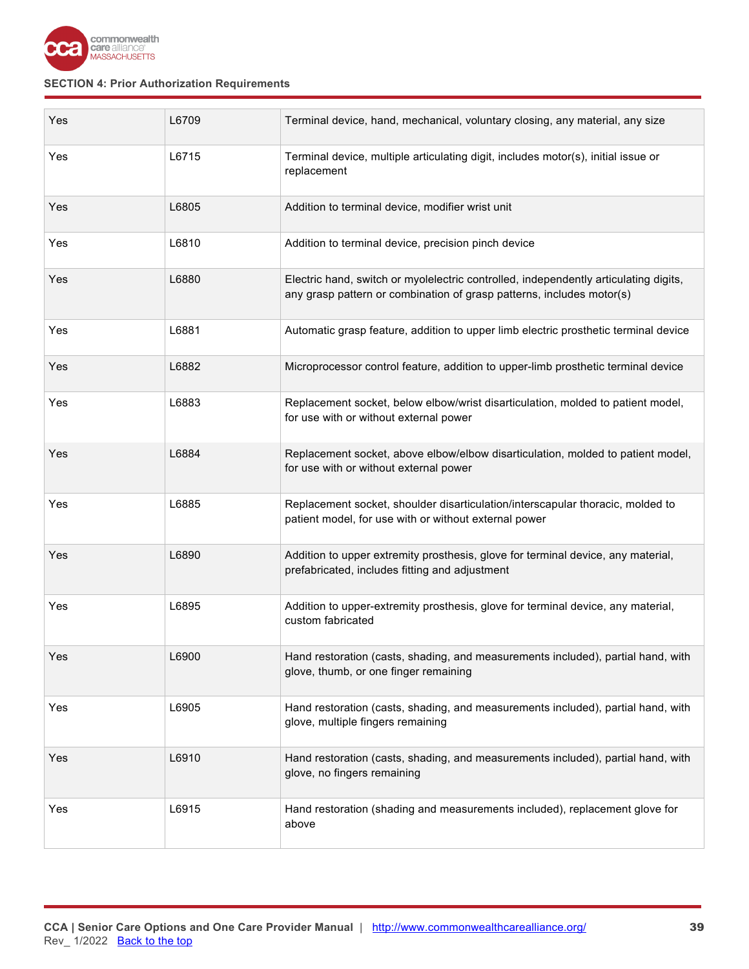

| Yes | L6709 | Terminal device, hand, mechanical, voluntary closing, any material, any size                                                                                  |
|-----|-------|---------------------------------------------------------------------------------------------------------------------------------------------------------------|
| Yes | L6715 | Terminal device, multiple articulating digit, includes motor(s), initial issue or<br>replacement                                                              |
| Yes | L6805 | Addition to terminal device, modifier wrist unit                                                                                                              |
| Yes | L6810 | Addition to terminal device, precision pinch device                                                                                                           |
| Yes | L6880 | Electric hand, switch or myolelectric controlled, independently articulating digits,<br>any grasp pattern or combination of grasp patterns, includes motor(s) |
| Yes | L6881 | Automatic grasp feature, addition to upper limb electric prosthetic terminal device                                                                           |
| Yes | L6882 | Microprocessor control feature, addition to upper-limb prosthetic terminal device                                                                             |
| Yes | L6883 | Replacement socket, below elbow/wrist disarticulation, molded to patient model,<br>for use with or without external power                                     |
| Yes | L6884 | Replacement socket, above elbow/elbow disarticulation, molded to patient model,<br>for use with or without external power                                     |
| Yes | L6885 | Replacement socket, shoulder disarticulation/interscapular thoracic, molded to<br>patient model, for use with or without external power                       |
| Yes | L6890 | Addition to upper extremity prosthesis, glove for terminal device, any material,<br>prefabricated, includes fitting and adjustment                            |
| Yes | L6895 | Addition to upper-extremity prosthesis, glove for terminal device, any material,<br>custom fabricated                                                         |
| Yes | L6900 | Hand restoration (casts, shading, and measurements included), partial hand, with<br>glove, thumb, or one finger remaining                                     |
| Yes | L6905 | Hand restoration (casts, shading, and measurements included), partial hand, with<br>glove, multiple fingers remaining                                         |
| Yes | L6910 | Hand restoration (casts, shading, and measurements included), partial hand, with<br>glove, no fingers remaining                                               |
| Yes | L6915 | Hand restoration (shading and measurements included), replacement glove for<br>above                                                                          |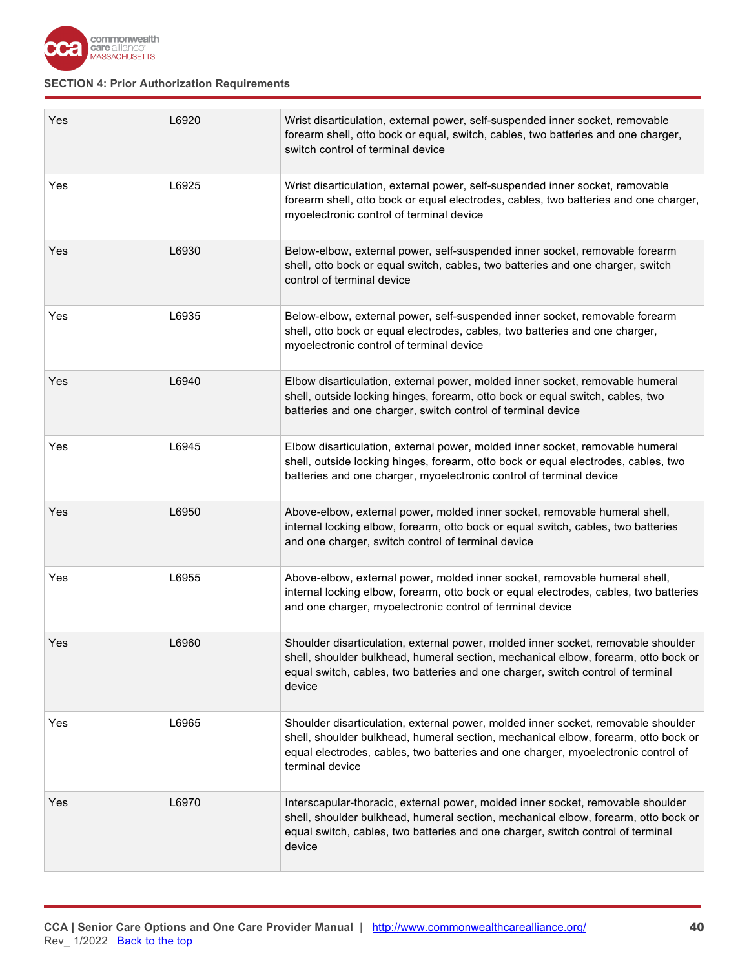

| Yes | L6920 | Wrist disarticulation, external power, self-suspended inner socket, removable<br>forearm shell, otto bock or equal, switch, cables, two batteries and one charger,<br>switch control of terminal device                                                                         |
|-----|-------|---------------------------------------------------------------------------------------------------------------------------------------------------------------------------------------------------------------------------------------------------------------------------------|
| Yes | L6925 | Wrist disarticulation, external power, self-suspended inner socket, removable<br>forearm shell, otto bock or equal electrodes, cables, two batteries and one charger,<br>myoelectronic control of terminal device                                                               |
| Yes | L6930 | Below-elbow, external power, self-suspended inner socket, removable forearm<br>shell, otto bock or equal switch, cables, two batteries and one charger, switch<br>control of terminal device                                                                                    |
| Yes | L6935 | Below-elbow, external power, self-suspended inner socket, removable forearm<br>shell, otto bock or equal electrodes, cables, two batteries and one charger,<br>myoelectronic control of terminal device                                                                         |
| Yes | L6940 | Elbow disarticulation, external power, molded inner socket, removable humeral<br>shell, outside locking hinges, forearm, otto bock or equal switch, cables, two<br>batteries and one charger, switch control of terminal device                                                 |
| Yes | L6945 | Elbow disarticulation, external power, molded inner socket, removable humeral<br>shell, outside locking hinges, forearm, otto bock or equal electrodes, cables, two<br>batteries and one charger, myoelectronic control of terminal device                                      |
| Yes | L6950 | Above-elbow, external power, molded inner socket, removable humeral shell,<br>internal locking elbow, forearm, otto bock or equal switch, cables, two batteries<br>and one charger, switch control of terminal device                                                           |
| Yes | L6955 | Above-elbow, external power, molded inner socket, removable humeral shell,<br>internal locking elbow, forearm, otto bock or equal electrodes, cables, two batteries<br>and one charger, myoelectronic control of terminal device                                                |
| Yes | L6960 | Shoulder disarticulation, external power, molded inner socket, removable shoulder<br>shell, shoulder bulkhead, humeral section, mechanical elbow, forearm, otto bock or<br>equal switch, cables, two batteries and one charger, switch control of terminal<br>device            |
| Yes | L6965 | Shoulder disarticulation, external power, molded inner socket, removable shoulder<br>shell, shoulder bulkhead, humeral section, mechanical elbow, forearm, otto bock or<br>equal electrodes, cables, two batteries and one charger, myoelectronic control of<br>terminal device |
| Yes | L6970 | Interscapular-thoracic, external power, molded inner socket, removable shoulder<br>shell, shoulder bulkhead, humeral section, mechanical elbow, forearm, otto bock or<br>equal switch, cables, two batteries and one charger, switch control of terminal<br>device              |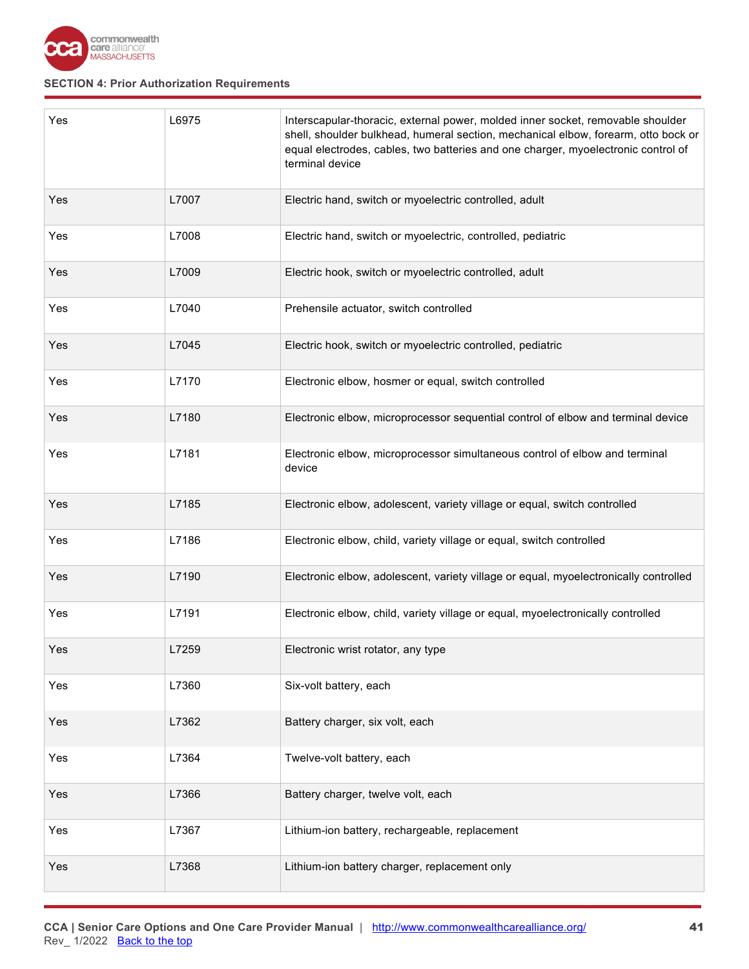

| Yes | L6975 | Interscapular-thoracic, external power, molded inner socket, removable shoulder<br>shell, shoulder bulkhead, humeral section, mechanical elbow, forearm, otto bock or<br>equal electrodes, cables, two batteries and one charger, myoelectronic control of<br>terminal device |
|-----|-------|-------------------------------------------------------------------------------------------------------------------------------------------------------------------------------------------------------------------------------------------------------------------------------|
| Yes | L7007 | Electric hand, switch or myoelectric controlled, adult                                                                                                                                                                                                                        |
| Yes | L7008 | Electric hand, switch or myoelectric, controlled, pediatric                                                                                                                                                                                                                   |
| Yes | L7009 | Electric hook, switch or myoelectric controlled, adult                                                                                                                                                                                                                        |
| Yes | L7040 | Prehensile actuator, switch controlled                                                                                                                                                                                                                                        |
| Yes | L7045 | Electric hook, switch or myoelectric controlled, pediatric                                                                                                                                                                                                                    |
| Yes | L7170 | Electronic elbow, hosmer or equal, switch controlled                                                                                                                                                                                                                          |
| Yes | L7180 | Electronic elbow, microprocessor sequential control of elbow and terminal device                                                                                                                                                                                              |
| Yes | L7181 | Electronic elbow, microprocessor simultaneous control of elbow and terminal<br>device                                                                                                                                                                                         |
| Yes | L7185 | Electronic elbow, adolescent, variety village or equal, switch controlled                                                                                                                                                                                                     |
| Yes | L7186 | Electronic elbow, child, variety village or equal, switch controlled                                                                                                                                                                                                          |
| Yes | L7190 | Electronic elbow, adolescent, variety village or equal, myoelectronically controlled                                                                                                                                                                                          |
| Yes | L7191 | Electronic elbow, child, variety village or equal, myoelectronically controlled                                                                                                                                                                                               |
| Yes | L7259 | Electronic wrist rotator, any type                                                                                                                                                                                                                                            |
| Yes | L7360 | Six-volt battery, each                                                                                                                                                                                                                                                        |
| Yes | L7362 | Battery charger, six volt, each                                                                                                                                                                                                                                               |
| Yes | L7364 | Twelve-volt battery, each                                                                                                                                                                                                                                                     |
| Yes | L7366 | Battery charger, twelve volt, each                                                                                                                                                                                                                                            |
| Yes | L7367 | Lithium-ion battery, rechargeable, replacement                                                                                                                                                                                                                                |
| Yes | L7368 | Lithium-ion battery charger, replacement only                                                                                                                                                                                                                                 |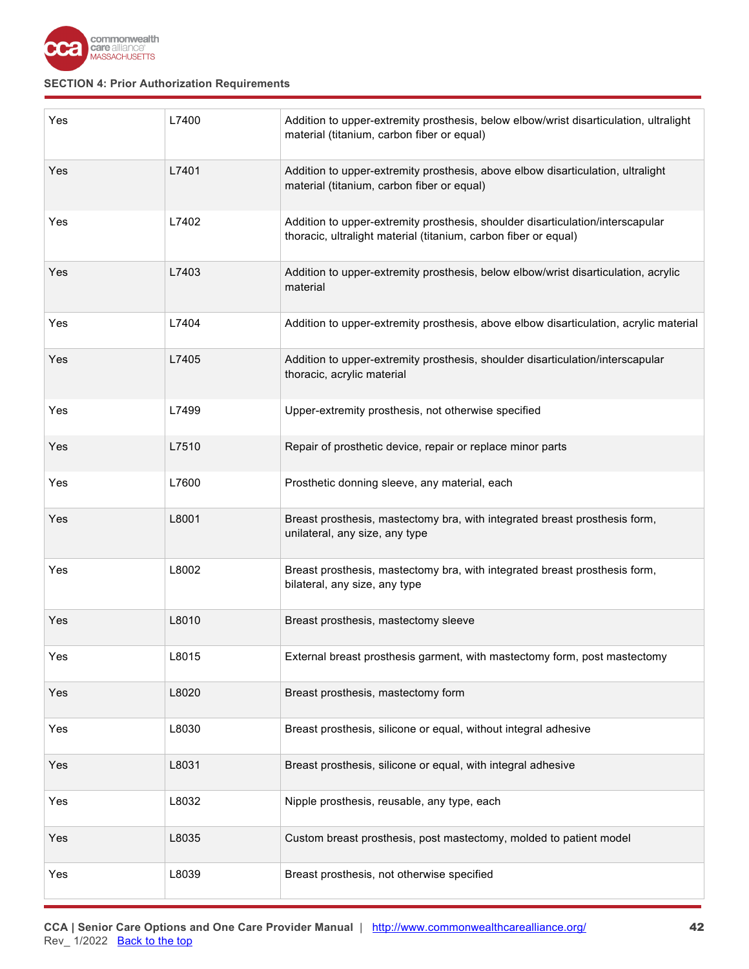

| Yes | L7400 | Addition to upper-extremity prosthesis, below elbow/wrist disarticulation, ultralight<br>material (titanium, carbon fiber or equal)               |
|-----|-------|---------------------------------------------------------------------------------------------------------------------------------------------------|
| Yes | L7401 | Addition to upper-extremity prosthesis, above elbow disarticulation, ultralight<br>material (titanium, carbon fiber or equal)                     |
| Yes | L7402 | Addition to upper-extremity prosthesis, shoulder disarticulation/interscapular<br>thoracic, ultralight material (titanium, carbon fiber or equal) |
| Yes | L7403 | Addition to upper-extremity prosthesis, below elbow/wrist disarticulation, acrylic<br>material                                                    |
| Yes | L7404 | Addition to upper-extremity prosthesis, above elbow disarticulation, acrylic material                                                             |
| Yes | L7405 | Addition to upper-extremity prosthesis, shoulder disarticulation/interscapular<br>thoracic, acrylic material                                      |
| Yes | L7499 | Upper-extremity prosthesis, not otherwise specified                                                                                               |
| Yes | L7510 | Repair of prosthetic device, repair or replace minor parts                                                                                        |
| Yes | L7600 | Prosthetic donning sleeve, any material, each                                                                                                     |
| Yes | L8001 | Breast prosthesis, mastectomy bra, with integrated breast prosthesis form,<br>unilateral, any size, any type                                      |
| Yes | L8002 | Breast prosthesis, mastectomy bra, with integrated breast prosthesis form,<br>bilateral, any size, any type                                       |
| Yes | L8010 | Breast prosthesis, mastectomy sleeve                                                                                                              |
| Yes | L8015 | External breast prosthesis garment, with mastectomy form, post mastectomy                                                                         |
| Yes | L8020 | Breast prosthesis, mastectomy form                                                                                                                |
| Yes | L8030 | Breast prosthesis, silicone or equal, without integral adhesive                                                                                   |
| Yes | L8031 | Breast prosthesis, silicone or equal, with integral adhesive                                                                                      |
| Yes | L8032 | Nipple prosthesis, reusable, any type, each                                                                                                       |
| Yes | L8035 | Custom breast prosthesis, post mastectomy, molded to patient model                                                                                |
| Yes | L8039 | Breast prosthesis, not otherwise specified                                                                                                        |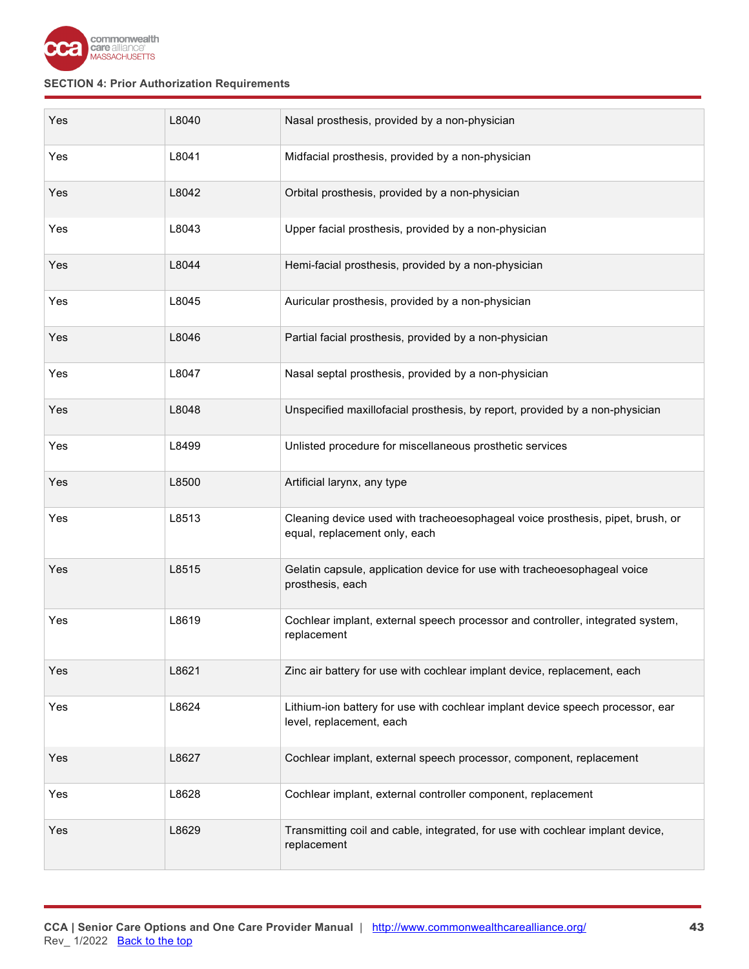

| Yes | L8040 | Nasal prosthesis, provided by a non-physician                                                                   |
|-----|-------|-----------------------------------------------------------------------------------------------------------------|
| Yes | L8041 | Midfacial prosthesis, provided by a non-physician                                                               |
| Yes | L8042 | Orbital prosthesis, provided by a non-physician                                                                 |
| Yes | L8043 | Upper facial prosthesis, provided by a non-physician                                                            |
| Yes | L8044 | Hemi-facial prosthesis, provided by a non-physician                                                             |
| Yes | L8045 | Auricular prosthesis, provided by a non-physician                                                               |
| Yes | L8046 | Partial facial prosthesis, provided by a non-physician                                                          |
| Yes | L8047 | Nasal septal prosthesis, provided by a non-physician                                                            |
| Yes | L8048 | Unspecified maxillofacial prosthesis, by report, provided by a non-physician                                    |
| Yes | L8499 | Unlisted procedure for miscellaneous prosthetic services                                                        |
| Yes | L8500 | Artificial larynx, any type                                                                                     |
| Yes | L8513 | Cleaning device used with tracheoesophageal voice prosthesis, pipet, brush, or<br>equal, replacement only, each |
| Yes | L8515 | Gelatin capsule, application device for use with tracheoesophageal voice<br>prosthesis, each                    |
| Yes | L8619 | Cochlear implant, external speech processor and controller, integrated system,<br>replacement                   |
| Yes | L8621 | Zinc air battery for use with cochlear implant device, replacement, each                                        |
| Yes | L8624 | Lithium-ion battery for use with cochlear implant device speech processor, ear<br>level, replacement, each      |
| Yes | L8627 | Cochlear implant, external speech processor, component, replacement                                             |
| Yes | L8628 | Cochlear implant, external controller component, replacement                                                    |
| Yes | L8629 | Transmitting coil and cable, integrated, for use with cochlear implant device,<br>replacement                   |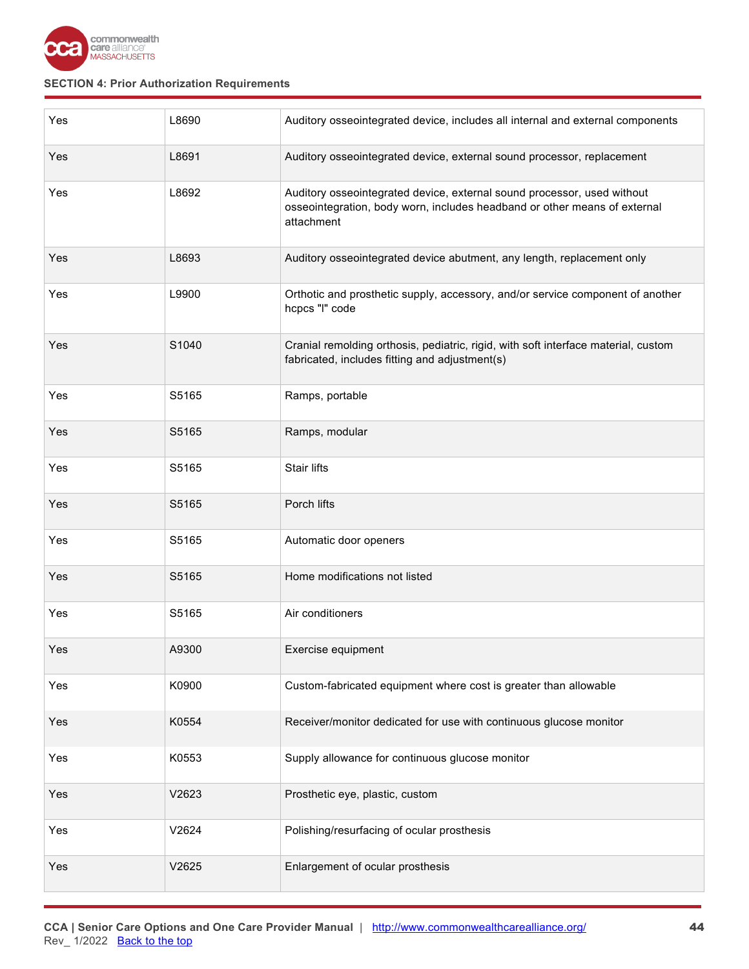

| Yes | L8690 | Auditory osseointegrated device, includes all internal and external components                                                                                     |
|-----|-------|--------------------------------------------------------------------------------------------------------------------------------------------------------------------|
| Yes | L8691 | Auditory osseointegrated device, external sound processor, replacement                                                                                             |
| Yes | L8692 | Auditory osseointegrated device, external sound processor, used without<br>osseointegration, body worn, includes headband or other means of external<br>attachment |
| Yes | L8693 | Auditory osseointegrated device abutment, any length, replacement only                                                                                             |
| Yes | L9900 | Orthotic and prosthetic supply, accessory, and/or service component of another<br>hcpcs "I" code                                                                   |
| Yes | S1040 | Cranial remolding orthosis, pediatric, rigid, with soft interface material, custom<br>fabricated, includes fitting and adjustment(s)                               |
| Yes | S5165 | Ramps, portable                                                                                                                                                    |
| Yes | S5165 | Ramps, modular                                                                                                                                                     |
| Yes | S5165 | Stair lifts                                                                                                                                                        |
| Yes | S5165 | Porch lifts                                                                                                                                                        |
| Yes | S5165 | Automatic door openers                                                                                                                                             |
| Yes | S5165 | Home modifications not listed                                                                                                                                      |
| Yes | S5165 | Air conditioners                                                                                                                                                   |
| Yes | A9300 | Exercise equipment                                                                                                                                                 |
| Yes | K0900 | Custom-fabricated equipment where cost is greater than allowable                                                                                                   |
| Yes | K0554 | Receiver/monitor dedicated for use with continuous glucose monitor                                                                                                 |
| Yes | K0553 | Supply allowance for continuous glucose monitor                                                                                                                    |
| Yes | V2623 | Prosthetic eye, plastic, custom                                                                                                                                    |
| Yes | V2624 | Polishing/resurfacing of ocular prosthesis                                                                                                                         |
| Yes | V2625 | Enlargement of ocular prosthesis                                                                                                                                   |